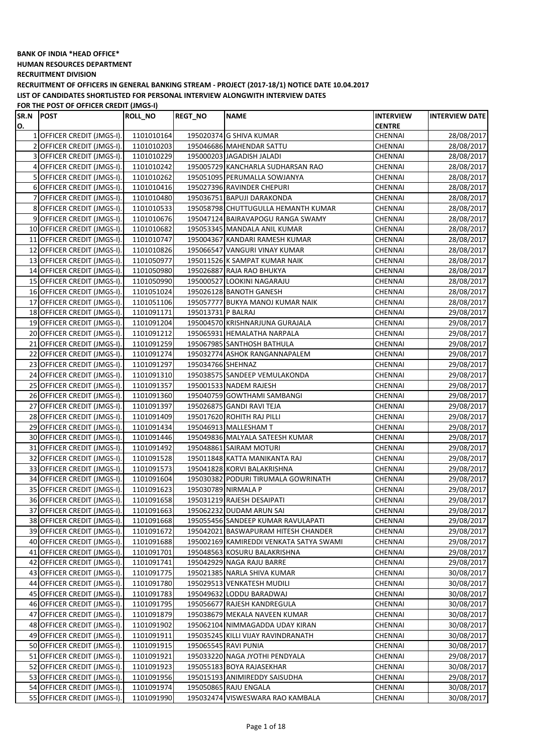**HUMAN RESOURCES DEPARTMENT**

**RECRUITMENT DIVISION**

**RECRUITMENT OF OFFICERS IN GENERAL BANKING STREAM - PROJECT (2017-18/1) NOTICE DATE 10.04.2017 LIST OF CANDIDATES SHORTLISTED FOR PERSONAL INTERVIEW ALONGWITH INTERVIEW DATES**

| SR.N | <b>POST</b>                 | <b>ROLL_NO</b> | <b>REGT_NO</b>     | <b>NAME</b>                             | <b>INTERVIEW</b> | <b>INTERVIEW DATE</b> |
|------|-----------------------------|----------------|--------------------|-----------------------------------------|------------------|-----------------------|
| O.   |                             |                |                    |                                         | <b>CENTRE</b>    |                       |
|      | 1 OFFICER CREDIT (JMGS-I).  | 1101010164     |                    | 195020374 G SHIVA KUMAR                 | CHENNAI          | 28/08/2017            |
|      | 2 OFFICER CREDIT (JMGS-I).  | 1101010203     |                    | 195046686 MAHENDAR SATTU                | CHENNAI          | 28/08/2017            |
|      | 3 OFFICER CREDIT (JMGS-I).  | 1101010229     |                    | 195000203 JAGADISH JALADI               | CHENNAI          | 28/08/2017            |
|      | 4 OFFICER CREDIT (JMGS-I).  | 1101010242     |                    | 195005729 KANCHARLA SUDHARSAN RAO       | CHENNAI          | 28/08/2017            |
|      | 5 OFFICER CREDIT (JMGS-I).  | 1101010262     |                    | 195051095 PERUMALLA SOWJANYA            | CHENNAI          | 28/08/2017            |
|      | 6 OFFICER CREDIT (JMGS-I).  | 1101010416     |                    | 195027396 RAVINDER CHEPURI              | CHENNAI          | 28/08/2017            |
|      | 7 OFFICER CREDIT (JMGS-I).  | 1101010480     |                    | 195036751 BAPUJI DARAKONDA              | CHENNAI          | 28/08/2017            |
|      | 8 OFFICER CREDIT (JMGS-I).  | 1101010533     |                    | 195058798 CHUTTUGULLA HEMANTH KUMAR     | CHENNAI          | 28/08/2017            |
|      | 9 OFFICER CREDIT (JMGS-I).  | 1101010676     |                    | 195047124 BAIRAVAPOGU RANGA SWAMY       | CHENNAI          | 28/08/2017            |
|      | 10 OFFICER CREDIT (JMGS-I). | 1101010682     |                    | 195053345 MANDALA ANIL KUMAR            | <b>CHENNAI</b>   | 28/08/2017            |
|      | 11 OFFICER CREDIT (JMGS-I). | 1101010747     |                    | 195004367 KANDARI RAMESH KUMAR          | CHENNAI          | 28/08/2017            |
|      | 12 OFFICER CREDIT (JMGS-I). | 1101010826     |                    | 195066547 VANGURI VINAY KUMAR           | CHENNAI          | 28/08/2017            |
|      | 13 OFFICER CREDIT (JMGS-I). | 1101050977     |                    | 195011526 K SAMPAT KUMAR NAIK           | CHENNAI          | 28/08/2017            |
|      | 14 OFFICER CREDIT (JMGS-I). | 1101050980     |                    | 195026887 RAJA RAO BHUKYA               | <b>CHENNAI</b>   | 28/08/2017            |
|      | 15 OFFICER CREDIT (JMGS-I). | 1101050990     |                    | 195000527 LOOKINI NAGARAJU              | <b>CHENNAI</b>   | 28/08/2017            |
|      | 16 OFFICER CREDIT (JMGS-I). | 1101051024     |                    | 195026128 BANOTH GANESH                 | CHENNAI          | 28/08/2017            |
|      | 17 OFFICER CREDIT (JMGS-I). | 1101051106     |                    | 195057777 BUKYA MANOJ KUMAR NAIK        | <b>CHENNAI</b>   | 28/08/2017            |
|      | 18 OFFICER CREDIT (JMGS-I). | 1101091171     | 195013731 P BALRAJ |                                         | CHENNAI          | 29/08/2017            |
|      | 19 OFFICER CREDIT (JMGS-I). | 1101091204     |                    | 195004570 KRISHNARJUNA GURAJALA         | CHENNAI          | 29/08/2017            |
|      | 20 OFFICER CREDIT (JMGS-I). | 1101091212     |                    | 195065931 HEMALATHA NARPALA             | CHENNAI          | 29/08/2017            |
|      | 21 OFFICER CREDIT (JMGS-I). | 1101091259     |                    | 195067985 SANTHOSH BATHULA              | <b>CHENNAI</b>   | 29/08/2017            |
|      | 22 OFFICER CREDIT (JMGS-I). | 1101091274     |                    | 195032774 ASHOK RANGANNAPALEM           | CHENNAI          | 29/08/2017            |
|      | 23 OFFICER CREDIT (JMGS-I). | 1101091297     | 195034766 SHEHNAZ  |                                         | CHENNAI          | 29/08/2017            |
|      | 24 OFFICER CREDIT (JMGS-I). | 1101091310     |                    | 195038575 SANDEEP VEMULAKONDA           | CHENNAI          | 29/08/2017            |
|      | 25 OFFICER CREDIT (JMGS-I). | 1101091357     |                    | 195001533 NADEM RAJESH                  | <b>CHENNAI</b>   |                       |
|      |                             |                |                    |                                         |                  | 29/08/2017            |
|      | 26 OFFICER CREDIT (JMGS-I). | 1101091360     |                    | 195040759 GOWTHAMI SAMBANGI             | CHENNAI          | 29/08/2017            |
|      | 27 OFFICER CREDIT (JMGS-I). | 1101091397     |                    | 195026875 GANDI RAVI TEJA               | CHENNAI          | 29/08/2017            |
|      | 28 OFFICER CREDIT (JMGS-I). | 1101091409     |                    | 195017620 ROHITH RAJ PILLI              | CHENNAI          | 29/08/2017            |
|      | 29 OFFICER CREDIT (JMGS-I). | 1101091434     |                    | 195046913 MALLESHAM T                   | <b>CHENNAI</b>   | 29/08/2017            |
|      | 30 OFFICER CREDIT (JMGS-I). | 1101091446     |                    | 195049836 MALYALA SATEESH KUMAR         | CHENNAI          | 29/08/2017            |
|      | 31 OFFICER CREDIT (JMGS-I). | 1101091492     |                    | 195048861 SAIRAM MOTURI                 | CHENNAI          | 29/08/2017            |
|      | 32 OFFICER CREDIT (JMGS-I). | 1101091528     |                    | 195011848 KATTA MANIKANTA RAJ           | CHENNAI          | 29/08/2017            |
|      | 33 OFFICER CREDIT (JMGS-I). | 1101091573     |                    | 195041828 KORVI BALAKRISHNA             | CHENNAI          | 29/08/2017            |
|      | 34 OFFICER CREDIT (JMGS-I). | 1101091604     |                    | 195030382 PODURI TIRUMALA GOWRINATH     | CHENNAI          | 29/08/2017            |
|      | 35 OFFICER CREDIT (JMGS-I). | 1101091623     |                    | 195030789 NIRMALA P                     | CHENNAI          | 29/08/2017            |
|      | 36 OFFICER CREDIT (JMGS-I). | 1101091658     |                    | 195031219 RAJESH DESAIPATI              | CHENNAI          | 29/08/2017            |
|      | 37 OFFICER CREDIT (JMGS-I). | 1101091663     |                    | 195062232 DUDAM ARUN SAI                | <b>CHENNAI</b>   | 29/08/2017            |
|      | 38 OFFICER CREDIT (JMGS-I). | 1101091668     |                    | 195055456 SANDEEP KUMAR RAVULAPATI      | CHENNAI          | 29/08/2017            |
|      | 39 OFFICER CREDIT (JMGS-I). | 1101091672     |                    | 195042021 BASWAPURAM HITESH CHANDER     | CHENNAI          | 29/08/2017            |
|      | 40 OFFICER CREDIT (JMGS-I). | 1101091688     |                    | 195002169 KAMIREDDI VENKATA SATYA SWAMI | CHENNAI          | 29/08/2017            |
|      | 41 OFFICER CREDIT (JMGS-I). | 1101091701     |                    | 195048563 KOSURU BALAKRISHNA            | CHENNAI          | 29/08/2017            |
|      | 42 OFFICER CREDIT (JMGS-I). | 1101091741     |                    | 195042929 NAGA RAJU BARRE               | CHENNAI          | 29/08/2017            |
|      | 43 OFFICER CREDIT (JMGS-I). | 1101091775     |                    | 195021385 NARLA SHIVA KUMAR             | CHENNAI          | 30/08/2017            |
|      | 44 OFFICER CREDIT (JMGS-I). | 1101091780     |                    | 195029513 VENKATESH MUDILI              | CHENNAI          | 30/08/2017            |
|      | 45 OFFICER CREDIT (JMGS-I). | 1101091783     |                    | 195049632 LODDU BARADWAJ                | CHENNAI          | 30/08/2017            |
|      | 46 OFFICER CREDIT (JMGS-I). | 1101091795     |                    | 195056677 RAJESH KANDREGULA             | CHENNAI          | 30/08/2017            |
|      | 47 OFFICER CREDIT (JMGS-I). | 1101091879     |                    | 195038679 MEKALA NAVEEN KUMAR           | CHENNAI          | 30/08/2017            |
|      | 48 OFFICER CREDIT (JMGS-I). | 1101091902     |                    | 195062104 NIMMAGADDA UDAY KIRAN         | CHENNAI          | 30/08/2017            |
|      | 49 OFFICER CREDIT (JMGS-I). | 1101091911     |                    | 195035245 KILLI VIJAY RAVINDRANATH      | CHENNAI          | 30/08/2017            |
|      | 50 OFFICER CREDIT (JMGS-I). | 1101091915     |                    | 195065545 RAVI PUNIA                    | CHENNAI          | 30/08/2017            |
|      | 51 OFFICER CREDIT (JMGS-I). | 1101091921     |                    | 195033220 NAGA JYOTHI PENDYALA          | CHENNAI          | 29/08/2017            |
|      | 52 OFFICER CREDIT (JMGS-I). | 1101091923     |                    | 195055183 BOYA RAJASEKHAR               | CHENNAI          | 30/08/2017            |
|      | 53 OFFICER CREDIT (JMGS-I). | 1101091956     |                    | 195015193 ANIMIREDDY SAISUDHA           | CHENNAI          | 29/08/2017            |
|      | 54 OFFICER CREDIT (JMGS-I). | 1101091974     |                    | 195050865 RAJU ENGALA                   | CHENNAI          | 30/08/2017            |
|      | 55 OFFICER CREDIT (JMGS-I). | 1101091990     |                    | 195032474 VISWESWARA RAO KAMBALA        | CHENNAI          | 30/08/2017            |
|      |                             |                |                    |                                         |                  |                       |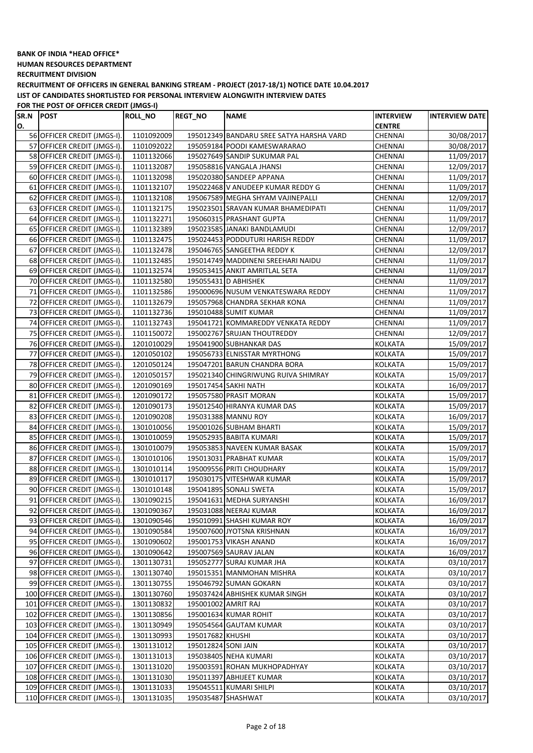**HUMAN RESOURCES DEPARTMENT**

**RECRUITMENT DIVISION**

**RECRUITMENT OF OFFICERS IN GENERAL BANKING STREAM - PROJECT (2017-18/1) NOTICE DATE 10.04.2017 LIST OF CANDIDATES SHORTLISTED FOR PERSONAL INTERVIEW ALONGWITH INTERVIEW DATES**

**FOR THE POST OF OFFICER CREDIT (JMGS-I)**

| SR.N | <b>POST</b>                  | <b>ROLL_NO</b> | <b>REGT NO</b>      | <b>NAME</b>                              | <b>INTERVIEW</b> | <b>INTERVIEW DATE</b> |
|------|------------------------------|----------------|---------------------|------------------------------------------|------------------|-----------------------|
| О.   |                              |                |                     |                                          | <b>CENTRE</b>    |                       |
|      | 56 OFFICER CREDIT (JMGS-I).  | 1101092009     |                     | 195012349 BANDARU SREE SATYA HARSHA VARD | CHENNAI          | 30/08/2017            |
|      | 57 OFFICER CREDIT (JMGS-I).  | 1101092022     |                     | 195059184 POODI KAMESWARARAO             | CHENNAI          | 30/08/2017            |
|      | 58 OFFICER CREDIT (JMGS-I).  | 1101132066     |                     | 195027649 SANDIP SUKUMAR PAL             | CHENNAI          | 11/09/2017            |
|      | 59 OFFICER CREDIT (JMGS-I).  | 1101132087     |                     | 195058816 VANGALA JHANSI                 | CHENNAI          | 12/09/2017            |
|      | 60 OFFICER CREDIT (JMGS-I).  | 1101132098     |                     | 195020380 SANDEEP APPANA                 | CHENNAI          | 11/09/2017            |
|      | 61 OFFICER CREDIT (JMGS-I).  | 1101132107     |                     | 195022468 V ANUDEEP KUMAR REDDY G        | CHENNAI          | 11/09/2017            |
|      | 62 OFFICER CREDIT (JMGS-I).  | 1101132108     |                     | 195067589 MEGHA SHYAM VAJINEPALLI        | CHENNAI          | 12/09/2017            |
|      | 63 OFFICER CREDIT (JMGS-I).  | 1101132175     |                     | 195023501 SRAVAN KUMAR BHAMEDIPATI       | CHENNAI          | 11/09/2017            |
|      | 64 OFFICER CREDIT (JMGS-I).  | 1101132271     |                     | 195060315 PRASHANT GUPTA                 | CHENNAI          | 11/09/2017            |
|      | 65 OFFICER CREDIT (JMGS-I).  | 1101132389     |                     | 195023585 JANAKI BANDLAMUDI              | CHENNAI          | 12/09/2017            |
|      | 66 OFFICER CREDIT (JMGS-I).  | 1101132475     |                     | 195024453 PODDUTURI HARISH REDDY         | CHENNAI          | 11/09/2017            |
|      | 67 OFFICER CREDIT (JMGS-I).  | 1101132478     |                     | 195046765 SANGEETHA REDDY K              | CHENNAI          | 12/09/2017            |
|      | 68 OFFICER CREDIT (JMGS-I).  | 1101132485     |                     | 195014749 MADDINENI SREEHARI NAIDU       | CHENNAI          | 11/09/2017            |
|      | 69 OFFICER CREDIT (JMGS-I).  | 1101132574     |                     | 195053415 ANKIT AMRITLAL SETA            | CHENNAI          | 11/09/2017            |
|      | 70 OFFICER CREDIT (JMGS-I).  | 1101132580     |                     | 195055431 D ABHISHEK                     | CHENNAI          | 11/09/2017            |
|      | 71 OFFICER CREDIT (JMGS-I).  | 1101132586     |                     | 195000696 NUSUM VENKATESWARA REDDY       | CHENNAI          | 11/09/2017            |
| 72   | OFFICER CREDIT (JMGS-I).     | 1101132679     |                     | 195057968 CHANDRA SEKHAR KONA            | CHENNAI          | 11/09/2017            |
|      | 73 OFFICER CREDIT (JMGS-I).  | 1101132736     |                     | 195010488 SUMIT KUMAR                    | CHENNAI          | 11/09/2017            |
|      | 74 OFFICER CREDIT (JMGS-I).  | 1101132743     |                     | 195041721 KOMMAREDDY VENKATA REDDY       | CHENNAI          | 11/09/2017            |
|      | 75 OFFICER CREDIT (JMGS-I).  | 1101150072     |                     | 195002767 SRUJAN THOUTREDDY              | CHENNAI          | 12/09/2017            |
|      | 76 OFFICER CREDIT (JMGS-I).  | 1201010029     |                     | 195041900 SUBHANKAR DAS                  | KOLKATA          | 15/09/2017            |
|      | 77 OFFICER CREDIT (JMGS-I).  | 1201050102     |                     | 195056733 ELNISSTAR MYRTHONG             | <b>KOLKATA</b>   | 15/09/2017            |
|      | 78 OFFICER CREDIT (JMGS-I).  | 1201050124     |                     | 195047201 BARUN CHANDRA BORA             | <b>KOLKATA</b>   | 15/09/2017            |
|      | 79 OFFICER CREDIT (JMGS-I).  | 1201050157     |                     | 195021340 CHINGRIWUNG RUIVA SHIMRAY      | KOLKATA          | 15/09/2017            |
|      | 80 OFFICER CREDIT (JMGS-I).  | 1201090169     |                     | 195017454 SAKHI NATH                     | KOLKATA          | 16/09/2017            |
|      | 81 OFFICER CREDIT (JMGS-I).  | 1201090172     |                     | 195057580 PRASIT MORAN                   | <b>KOLKATA</b>   | 15/09/2017            |
|      | 82 OFFICER CREDIT (JMGS-I).  | 1201090173     |                     | 195012540 HIRANYA KUMAR DAS              | <b>KOLKATA</b>   | 15/09/2017            |
|      | 83 OFFICER CREDIT (JMGS-I).  | 1201090208     |                     | 195031388 MANNU ROY                      | <b>KOLKATA</b>   | 16/09/2017            |
|      | 84 OFFICER CREDIT (JMGS-I).  | 1301010056     |                     | 195001026 SUBHAM BHARTI                  | <b>KOLKATA</b>   | 15/09/2017            |
|      | 85 OFFICER CREDIT (JMGS-I).  | 1301010059     |                     | 195052935 BABITA KUMARI                  | KOLKATA          | 15/09/2017            |
|      | 86 OFFICER CREDIT (JMGS-I).  | 1301010079     |                     | 195053853 NAVEEN KUMAR BASAK             | KOLKATA          | 15/09/2017            |
|      | 87 OFFICER CREDIT (JMGS-I).  | 1301010106     |                     | 195013031 PRABHAT KUMAR                  | KOLKATA          | 15/09/2017            |
|      | 88 OFFICER CREDIT (JMGS-I).  | 1301010114     |                     | 195009556 PRITI CHOUDHARY                | KOLKATA          | 15/09/2017            |
|      | 89 OFFICER CREDIT (JMGS-I).  | 1301010117     |                     | 195030175 VITESHWAR KUMAR                | KOLKATA          | 15/09/2017            |
|      | 90 OFFICER CREDIT (JMGS-I).  | 1301010148     |                     | 195041895 SONALI SWETA                   | KOLKATA          | 15/09/2017            |
|      | 91 OFFICER CREDIT (JMGS-I).  | 1301090215     |                     | 195041631 MEDHA SURYANSHI                | <b>KOLKATA</b>   | 16/09/2017            |
|      | 92 OFFICER CREDIT (JMGS-I).  | 1301090367     |                     | 195031088 NEERAJ KUMAR                   | <b>KOLKATA</b>   | 16/09/2017            |
|      | 93 OFFICER CREDIT (JMGS-I).  | 1301090546     |                     | 195010991 SHASHI KUMAR ROY               | KOLKATA          | 16/09/2017            |
|      | 94 OFFICER CREDIT (JMGS-I).  | 1301090584     |                     | 195007600 JYOTSNA KRISHNAN               | <b>KOLKATA</b>   | 16/09/2017            |
|      | 95 OFFICER CREDIT (JMGS-I).  | 1301090602     |                     | 195001753 VIKASH ANAND                   | KOLKATA          | 16/09/2017            |
|      | 96 OFFICER CREDIT (JMGS-I).  | 1301090642     |                     | 195007569 SAURAV JALAN                   | KOLKATA          | 16/09/2017            |
|      | 97 OFFICER CREDIT (JMGS-I).  | 1301130731     |                     | 195052777 SURAJ KUMAR JHA                | KOLKATA          | 03/10/2017            |
|      | 98 OFFICER CREDIT (JMGS-I).  | 1301130740     |                     | 195015351 MANMOHAN MISHRA                | KOLKATA          | 03/10/2017            |
|      | 99 OFFICER CREDIT (JMGS-I).  | 1301130755     |                     | 195046792 SUMAN GOKARN                   | <b>KOLKATA</b>   | 03/10/2017            |
|      | 100 OFFICER CREDIT (JMGS-I). | 1301130760     |                     | 195037424 ABHISHEK KUMAR SINGH           | <b>KOLKATA</b>   | 03/10/2017            |
|      | 101 OFFICER CREDIT (JMGS-I). | 1301130832     | 195001002 AMRIT RAJ |                                          | <b>KOLKATA</b>   | 03/10/2017            |
|      | 102 OFFICER CREDIT (JMGS-I). | 1301130856     |                     | 195001634 KUMAR ROHIT                    | <b>KOLKATA</b>   | 03/10/2017            |
|      | 103 OFFICER CREDIT (JMGS-I). | 1301130949     |                     | 195054564 GAUTAM KUMAR                   | KOLKATA          | 03/10/2017            |
|      | 104 OFFICER CREDIT (JMGS-I). | 1301130993     | 195017682 KHUSHI    |                                          | KOLKATA          | 03/10/2017            |
|      | 105 OFFICER CREDIT (JMGS-I). | 1301131012     | 195012824 SONI JAIN |                                          | KOLKATA          | 03/10/2017            |
|      | 106 OFFICER CREDIT (JMGS-I). | 1301131013     |                     | 195038405 NEHA KUMARI                    | KOLKATA          | 03/10/2017            |
|      | 107 OFFICER CREDIT (JMGS-I). | 1301131020     |                     | 195003591 ROHAN MUKHOPADHYAY             | KOLKATA          | 03/10/2017            |
|      | 108 OFFICER CREDIT (JMGS-I). | 1301131030     |                     | 195011397 ABHIJEET KUMAR                 | KOLKATA          | 03/10/2017            |
|      | 109 OFFICER CREDIT (JMGS-I). | 1301131033     |                     | 195045511 KUMARI SHILPI                  | KOLKATA          | 03/10/2017            |
|      | 110 OFFICER CREDIT (JMGS-I). | 1301131035     |                     | 195035487 SHASHWAT                       | KOLKATA          | 03/10/2017            |
|      |                              |                |                     |                                          |                  |                       |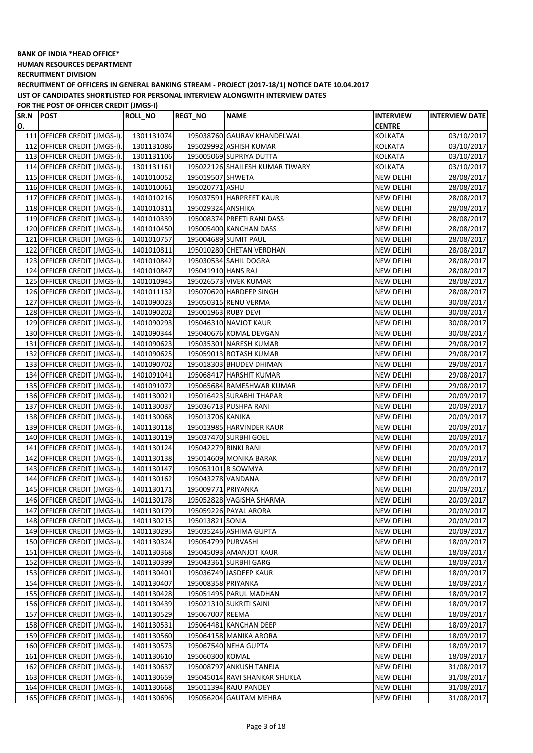**HUMAN RESOURCES DEPARTMENT**

**RECRUITMENT DIVISION**

**RECRUITMENT OF OFFICERS IN GENERAL BANKING STREAM - PROJECT (2017-18/1) NOTICE DATE 10.04.2017 LIST OF CANDIDATES SHORTLISTED FOR PERSONAL INTERVIEW ALONGWITH INTERVIEW DATES**

 $\overline{\phantom{a}}$ 

 $\overline{\phantom{a}}$ 

| SR.N POST |                              | ROLL NO    | <b>REGT_NO</b>       | <b>NAME</b>                     | <b>INTERVIEW</b> | <b>INTERVIEW DATE</b> |
|-----------|------------------------------|------------|----------------------|---------------------------------|------------------|-----------------------|
| О.        |                              |            |                      |                                 | <b>CENTRE</b>    |                       |
|           | 111 OFFICER CREDIT (JMGS-I). | 1301131074 |                      | 195038760 GAURAV KHANDELWAL     | <b>KOLKATA</b>   | 03/10/2017            |
|           | 112 OFFICER CREDIT (JMGS-I). | 1301131086 |                      | 195029992 ASHISH KUMAR          | <b>KOLKATA</b>   | 03/10/2017            |
|           | 113 OFFICER CREDIT (JMGS-I). | 1301131106 |                      | 195005069 SUPRIYA DUTTA         | <b>KOLKATA</b>   | 03/10/2017            |
|           | 114 OFFICER CREDIT (JMGS-I). | 1301131161 |                      | 195022126 SHAILESH KUMAR TIWARY | KOLKATA          | 03/10/2017            |
|           | 115 OFFICER CREDIT (JMGS-I). | 1401010052 | 195019507 SHWETA     |                                 | <b>NEW DELHI</b> | 28/08/2017            |
|           | 116 OFFICER CREDIT (JMGS-I). | 1401010061 | 195020771 ASHU       |                                 | <b>NEW DELHI</b> | 28/08/2017            |
|           | 117 OFFICER CREDIT (JMGS-I). | 1401010216 |                      | 195037591 HARPREET KAUR         | <b>NEW DELHI</b> | 28/08/2017            |
|           | 118 OFFICER CREDIT (JMGS-I). | 1401010311 | 195029324 ANSHIKA    |                                 | <b>NEW DELHI</b> | 28/08/2017            |
|           | 119 OFFICER CREDIT (JMGS-I). | 1401010339 |                      | 195008374 PREETI RANI DASS      | <b>NEW DELHI</b> | 28/08/2017            |
|           | 120 OFFICER CREDIT (JMGS-I). | 1401010450 |                      | 195005400 KANCHAN DASS          | <b>NEW DELHI</b> | 28/08/2017            |
|           | 121 OFFICER CREDIT (JMGS-I). | 1401010757 |                      | 195004689 SUMIT PAUL            | <b>NEW DELHI</b> | 28/08/2017            |
|           | 122 OFFICER CREDIT (JMGS-I). | 1401010811 |                      | 195010280 CHETAN VERDHAN        | <b>NEW DELHI</b> | 28/08/2017            |
|           | 123 OFFICER CREDIT (JMGS-I). | 1401010842 |                      | 195030534 SAHIL DOGRA           | <b>NEW DELHI</b> | 28/08/2017            |
|           | 124 OFFICER CREDIT (JMGS-I). | 1401010847 | 195041910 HANS RAJ   |                                 | <b>NEW DELHI</b> | 28/08/2017            |
|           | 125 OFFICER CREDIT (JMGS-I). | 1401010945 |                      | 195026573 VIVEK KUMAR           | NEW DELHI        | 28/08/2017            |
|           | 126 OFFICER CREDIT (JMGS-I). | 1401011132 |                      | 195070620 HARDEEP SINGH         | <b>NEW DELHI</b> | 28/08/2017            |
|           | 127 OFFICER CREDIT (JMGS-I). | 1401090023 |                      | 195050315 RENU VERMA            | <b>NEW DELHI</b> | 30/08/2017            |
|           | 128 OFFICER CREDIT (JMGS-I). | 1401090202 | 195001963 RUBY DEVI  |                                 | <b>NEW DELHI</b> | 30/08/2017            |
|           | 129 OFFICER CREDIT (JMGS-I). | 1401090293 |                      | 195046310 NAVJOT KAUR           | <b>NEW DELHI</b> | 30/08/2017            |
|           | 130 OFFICER CREDIT (JMGS-I). | 1401090344 |                      | 195040676 KOMAL DEVGAN          | <b>NEW DELHI</b> | 30/08/2017            |
|           | 131 OFFICER CREDIT (JMGS-I). | 1401090623 |                      | 195035301 NARESH KUMAR          | <b>NEW DELHI</b> | 29/08/2017            |
|           | 132 OFFICER CREDIT (JMGS-I). | 1401090625 |                      | 195059013 ROTASH KUMAR          | <b>NEW DELHI</b> | 29/08/2017            |
|           | 133 OFFICER CREDIT (JMGS-I). | 1401090702 |                      | 195018303 BHUDEV DHIMAN         | <b>NEW DELHI</b> | 29/08/2017            |
|           | 134 OFFICER CREDIT (JMGS-I). | 1401091041 |                      | 195068417 HARSHIT KUMAR         | <b>NEW DELHI</b> | 29/08/2017            |
|           | 135 OFFICER CREDIT (JMGS-I). | 1401091072 |                      | 195065684 RAMESHWAR KUMAR       | <b>NEW DELHI</b> | 29/08/2017            |
|           | 136 OFFICER CREDIT (JMGS-I). | 1401130021 |                      | 195016423 SURABHI THAPAR        | <b>NEW DELHI</b> | 20/09/2017            |
|           | 137 OFFICER CREDIT (JMGS-I). | 1401130037 |                      | 195036713 PUSHPA RANI           | <b>NEW DELHI</b> | 20/09/2017            |
|           | 138 OFFICER CREDIT (JMGS-I). | 1401130068 | 195013706 KANIKA     |                                 | <b>NEW DELHI</b> | 20/09/2017            |
|           | 139 OFFICER CREDIT (JMGS-I). | 1401130118 |                      | 195013985 HARVINDER KAUR        | <b>NEW DELHI</b> | 20/09/2017            |
|           | 140 OFFICER CREDIT (JMGS-I). | 1401130119 |                      | 195037470 SURBHI GOEL           | <b>NEW DELHI</b> | 20/09/2017            |
|           | 141 OFFICER CREDIT (JMGS-I). | 1401130124 | 195042279 RINKI RANI |                                 | <b>NEW DELHI</b> | 20/09/2017            |
|           | 142 OFFICER CREDIT (JMGS-I). | 1401130138 |                      | 195014609 MONIKA BARAK          | <b>NEW DELHI</b> | 20/09/2017            |
|           | 143 OFFICER CREDIT (JMGS-I). | 1401130147 |                      | 195053101 B SOWMYA              | NEW DELHI        | 20/09/2017            |
|           | 144 OFFICER CREDIT (JMGS-I). | 1401130162 | 195043278 VANDANA    |                                 | NEW DELHI        | 20/09/2017            |
|           | 145 OFFICER CREDIT (JMGS-I). | 1401130171 | 195009771 PRIYANKA   |                                 | <b>NEW DELHI</b> | 20/09/2017            |
|           | 146 OFFICER CREDIT (JMGS-I). | 1401130178 |                      | 195052828 VAGISHA SHARMA        | <b>NEW DELHI</b> | 20/09/2017            |
|           | 147 OFFICER CREDIT (JMGS-I). | 1401130179 |                      | 195059226 PAYAL ARORA           | <b>NEW DELHI</b> | 20/09/2017            |
|           | 148 OFFICER CREDIT (JMGS-I). | 1401130215 | 195013821 SONIA      |                                 | <b>NEW DELHI</b> | 20/09/2017            |
|           | 149 OFFICER CREDIT (JMGS-I). | 1401130295 |                      | 195035246 ASHIMA GUPTA          | <b>NEW DELHI</b> | 20/09/2017            |
|           | 150 OFFICER CREDIT (JMGS-I). | 1401130324 | 195054799 PURVASHI   |                                 | <b>NEW DELHI</b> | 18/09/2017            |
|           | 151 OFFICER CREDIT (JMGS-I). | 1401130368 |                      | 195045093 AMANJOT KAUR          | <b>NEW DELHI</b> | 18/09/2017            |
|           | 152 OFFICER CREDIT (JMGS-I). | 1401130399 |                      | 195043361 SURBHI GARG           | <b>NEW DELHI</b> | 18/09/2017            |
|           | 153 OFFICER CREDIT (JMGS-I). | 1401130401 |                      | 195036749 JASDEEP KAUR          | <b>NEW DELHI</b> | 18/09/2017            |
|           | 154 OFFICER CREDIT (JMGS-I). | 1401130407 | 195008358 PRIYANKA   |                                 | <b>NEW DELHI</b> | 18/09/2017            |
|           | 155 OFFICER CREDIT (JMGS-I). | 1401130428 |                      | 195051495 PARUL MADHAN          | <b>NEW DELHI</b> | 18/09/2017            |
|           | 156 OFFICER CREDIT (JMGS-I). | 1401130439 |                      | 195021310 SUKRITI SAINI         | NEW DELHI        | 18/09/2017            |
|           | 157 OFFICER CREDIT (JMGS-I). | 1401130529 | 195067007 REEMA      |                                 | <b>NEW DELHI</b> | 18/09/2017            |
|           | 158 OFFICER CREDIT (JMGS-I). | 1401130531 |                      | 195064481 KANCHAN DEEP          | NEW DELHI        | 18/09/2017            |
|           | 159 OFFICER CREDIT (JMGS-I). | 1401130560 |                      | 195064158 MANIKA ARORA          | NEW DELHI        | 18/09/2017            |
|           | 160 OFFICER CREDIT (JMGS-I). | 1401130573 |                      | 195067540 NEHA GUPTA            | NEW DELHI        | 18/09/2017            |
|           | 161 OFFICER CREDIT (JMGS-I). | 1401130610 | 195060300 KOMAL      |                                 | <b>NEW DELHI</b> | 18/09/2017            |
|           | 162 OFFICER CREDIT (JMGS-I). | 1401130637 |                      | 195008797 ANKUSH TANEJA         | <b>NEW DELHI</b> | 31/08/2017            |
|           | 163 OFFICER CREDIT (JMGS-I). | 1401130659 |                      | 195045014 RAVI SHANKAR SHUKLA   | <b>NEW DELHI</b> | 31/08/2017            |
|           | 164 OFFICER CREDIT (JMGS-I). | 1401130668 |                      | 195011394 RAJU PANDEY           | NEW DELHI        | 31/08/2017            |
|           | 165 OFFICER CREDIT (JMGS-I). | 1401130696 |                      | 195056204 GAUTAM MEHRA          | <b>NEW DELHI</b> | 31/08/2017            |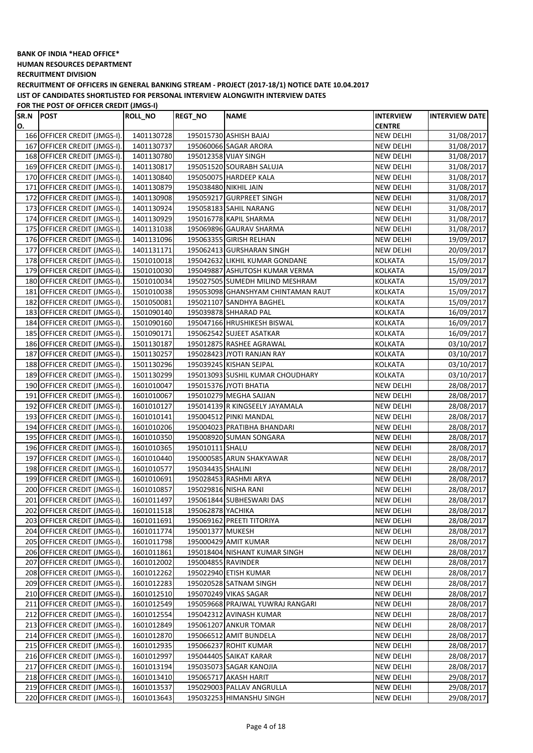**HUMAN RESOURCES DEPARTMENT**

**RECRUITMENT DIVISION**

**RECRUITMENT OF OFFICERS IN GENERAL BANKING STREAM - PROJECT (2017-18/1) NOTICE DATE 10.04.2017 LIST OF CANDIDATES SHORTLISTED FOR PERSONAL INTERVIEW ALONGWITH INTERVIEW DATES**

| SR.N POST |                              | ROLL_NO    | <b>REGT_NO</b>     | <b>NAME</b>                        | <b>INTERVIEW</b> | <b>INTERVIEW DATE</b> |
|-----------|------------------------------|------------|--------------------|------------------------------------|------------------|-----------------------|
| О.        |                              |            |                    |                                    | <b>CENTRE</b>    |                       |
|           | 166 OFFICER CREDIT (JMGS-I). | 1401130728 |                    | 195015730 ASHISH BAJAJ             | NEW DELHI        | 31/08/2017            |
|           | 167 OFFICER CREDIT (JMGS-I). | 1401130737 |                    | 195060066 SAGAR ARORA              | NEW DELHI        | 31/08/2017            |
|           | 168 OFFICER CREDIT (JMGS-I). | 1401130780 |                    | 195012358 VIJAY SINGH              | <b>NEW DELHI</b> | 31/08/2017            |
|           | 169 OFFICER CREDIT (JMGS-I). | 1401130817 |                    | 195051520 SOURABH SALUJA           | NEW DELHI        | 31/08/2017            |
|           | 170 OFFICER CREDIT (JMGS-I). | 1401130840 |                    | 195050075 HARDEEP KALA             | <b>NEW DELHI</b> | 31/08/2017            |
|           | 171 OFFICER CREDIT (JMGS-I). | 1401130879 |                    | 195038480 NIKHIL JAIN              | <b>NEW DELHI</b> | 31/08/2017            |
|           | 172 OFFICER CREDIT (JMGS-I). | 1401130908 |                    | 195059217 GURPREET SINGH           | <b>NEW DELHI</b> | 31/08/2017            |
|           | 173 OFFICER CREDIT (JMGS-I). | 1401130924 |                    | 195058183 SAHIL NARANG             | <b>NEW DELHI</b> | 31/08/2017            |
|           | 174 OFFICER CREDIT (JMGS-I). | 1401130929 |                    | 195016778 KAPIL SHARMA             | <b>NEW DELHI</b> | 31/08/2017            |
|           | 175 OFFICER CREDIT (JMGS-I). | 1401131038 |                    | 195069896 GAURAV SHARMA            | NEW DELHI        | 31/08/2017            |
|           | 176 OFFICER CREDIT (JMGS-I). | 1401131096 |                    | 195063355 GIRISH RELHAN            | <b>NEW DELHI</b> | 19/09/2017            |
|           | 177 OFFICER CREDIT (JMGS-I). | 1401131171 |                    | 195062413 GURSHARAN SINGH          | <b>NEW DELHI</b> | 20/09/2017            |
|           | 178 OFFICER CREDIT (JMGS-I). | 1501010018 |                    | 195042632 LIKHIL KUMAR GONDANE     | <b>KOLKATA</b>   | 15/09/2017            |
|           | 179 OFFICER CREDIT (JMGS-I). | 1501010030 |                    | 195049887 ASHUTOSH KUMAR VERMA     | <b>KOLKATA</b>   | 15/09/2017            |
|           | 180 OFFICER CREDIT (JMGS-I). | 1501010034 |                    | 195027505 SUMEDH MILIND MESHRAM    | <b>KOLKATA</b>   | 15/09/2017            |
|           | 181 OFFICER CREDIT (JMGS-I). | 1501010038 |                    | 195053098 GHANSHYAM CHINTAMAN RAUT | KOLKATA          | 15/09/2017            |
|           | 182 OFFICER CREDIT (JMGS-I). | 1501050081 |                    | 195021107 SANDHYA BAGHEL           | <b>KOLKATA</b>   | 15/09/2017            |
|           | 183 OFFICER CREDIT (JMGS-I). | 1501090140 |                    | 195039878 SHHARAD PAL              | <b>KOLKATA</b>   | 16/09/2017            |
|           | 184 OFFICER CREDIT (JMGS-I). | 1501090160 |                    | 195047166 HRUSHIKESH BISWAL        | KOLKATA          | 16/09/2017            |
|           | 185 OFFICER CREDIT (JMGS-I). | 1501090171 |                    | 195062542 SUJEET ASATKAR           | KOLKATA          | 16/09/2017            |
|           | 186 OFFICER CREDIT (JMGS-I). | 1501130187 |                    | 195012875 RASHEE AGRAWAL           | KOLKATA          | 03/10/2017            |
|           | 187 OFFICER CREDIT (JMGS-I). | 1501130257 |                    | 195028423 JYOTI RANJAN RAY         | KOLKATA          | 03/10/2017            |
|           |                              |            |                    | 195039245 KISHAN SEJPAL            | <b>KOLKATA</b>   |                       |
|           | 188 OFFICER CREDIT (JMGS-I). | 1501130296 |                    | 195013093 SUSHIL KUMAR CHOUDHARY   |                  | 03/10/2017            |
|           | 189 OFFICER CREDIT (JMGS-I). | 1501130299 |                    |                                    | KOLKATA          | 03/10/2017            |
|           | 190 OFFICER CREDIT (JMGS-I). | 1601010047 |                    | 195015376 JYOTI BHATIA             | <b>NEW DELHI</b> | 28/08/2017            |
|           | 191 OFFICER CREDIT (JMGS-I). | 1601010067 |                    | 195010279 MEGHA SAJJAN             | <b>NEW DELHI</b> | 28/08/2017            |
|           | 192 OFFICER CREDIT (JMGS-I). | 1601010127 |                    | 195014139 R KINGSEELY JAYAMALA     | <b>NEW DELHI</b> | 28/08/2017            |
|           | 193 OFFICER CREDIT (JMGS-I). | 1601010141 |                    | 195004512 PINKI MANDAL             | <b>NEW DELHI</b> | 28/08/2017            |
|           | 194 OFFICER CREDIT (JMGS-I). | 1601010206 |                    | 195004023 PRATIBHA BHANDARI        | <b>NEW DELHI</b> | 28/08/2017            |
|           | 195 OFFICER CREDIT (JMGS-I). | 1601010350 |                    | 195008920 SUMAN SONGARA            | <b>NEW DELHI</b> | 28/08/2017            |
|           | 196 OFFICER CREDIT (JMGS-I). | 1601010365 | 195010111 SHALU    |                                    | <b>NEW DELHI</b> | 28/08/2017            |
|           | 197 OFFICER CREDIT (JMGS-I). | 1601010440 |                    | 195000585 ARUN SHAKYAWAR           | <b>NEW DELHI</b> | 28/08/2017            |
|           | 198 OFFICER CREDIT (JMGS-I). | 1601010577 | 195034435 SHALINI  |                                    | NEW DELHI        | 28/08/2017            |
|           | 199 OFFICER CREDIT (JMGS-I). | 1601010691 |                    | 195028453 RASHMI ARYA              | <b>NEW DELHI</b> | 28/08/2017            |
|           | 200 OFFICER CREDIT (JMGS-I). | 1601010857 |                    | 195029816 NISHA RANI               | NEW DELHI        | 28/08/2017            |
|           | 201 OFFICER CREDIT (JMGS-I). | 1601011497 |                    | 195061844 SUBHESWARI DAS           | <b>NEW DELHI</b> | 28/08/2017            |
|           | 202 OFFICER CREDIT (JMGS-I). | 1601011518 | 195062878 YACHIKA  |                                    | <b>NEW DELHI</b> | 28/08/2017            |
|           | 203 OFFICER CREDIT (JMGS-I). | 1601011691 |                    | 195069162 PREETI TITORIYA          | <b>NEW DELHI</b> | 28/08/2017            |
|           | 204 OFFICER CREDIT (JMGS-I). | 1601011774 | 195001377 MUKESH   |                                    | NEW DELHI        | 28/08/2017            |
|           | 205 OFFICER CREDIT (JMGS-I). | 1601011798 |                    | 195000429 AMIT KUMAR               | NEW DELHI        | 28/08/2017            |
|           | 206 OFFICER CREDIT (JMGS-I). | 1601011861 |                    | 195018404 NISHANT KUMAR SINGH      | <b>NEW DELHI</b> | 28/08/2017            |
|           | 207 OFFICER CREDIT (JMGS-I). | 1601012002 | 195004855 RAVINDER |                                    | <b>NEW DELHI</b> | 28/08/2017            |
|           | 208 OFFICER CREDIT (JMGS-I). | 1601012262 |                    | 195022940 ETISH KUMAR              | NEW DELHI        | 28/08/2017            |
|           | 209 OFFICER CREDIT (JMGS-I). | 1601012283 |                    | 195020528 SATNAM SINGH             | NEW DELHI        | 28/08/2017            |
|           | 210 OFFICER CREDIT (JMGS-I). | 1601012510 |                    | 195070249 VIKAS SAGAR              | <b>NEW DELHI</b> | 28/08/2017            |
|           | 211 OFFICER CREDIT (JMGS-I). | 1601012549 |                    | 195059668 PRAJWAL YUWRAJ RANGARI   | NEW DELHI        | 28/08/2017            |
|           | 212 OFFICER CREDIT (JMGS-I). | 1601012554 |                    | 195042312 AVINASH KUMAR            | <b>NEW DELHI</b> | 28/08/2017            |
|           | 213 OFFICER CREDIT (JMGS-I). | 1601012849 |                    | 195061207 ANKUR TOMAR              | <b>NEW DELHI</b> | 28/08/2017            |
|           | 214 OFFICER CREDIT (JMGS-I). | 1601012870 |                    | 195066512 AMIT BUNDELA             | <b>NEW DELHI</b> | 28/08/2017            |
|           | 215 OFFICER CREDIT (JMGS-I). | 1601012935 |                    | 195066237 ROHIT KUMAR              | NEW DELHI        | 28/08/2017            |
|           | 216 OFFICER CREDIT (JMGS-I). | 1601012997 |                    | 195044405 SAIKAT KARAR             | <b>NEW DELHI</b> | 28/08/2017            |
|           | 217 OFFICER CREDIT (JMGS-I). | 1601013194 |                    | 195035073 SAGAR KANOJIA            | NEW DELHI        | 28/08/2017            |
|           | 218 OFFICER CREDIT (JMGS-I). | 1601013410 |                    | 195065717 AKASH HARIT              | NEW DELHI        | 29/08/2017            |
|           | 219 OFFICER CREDIT (JMGS-I). | 1601013537 |                    | 195029003 PALLAV ANGRULLA          | NEW DELHI        | 29/08/2017            |
|           | 220 OFFICER CREDIT (JMGS-I). | 1601013643 |                    | 195032253 HIMANSHU SINGH           | <b>NEW DELHI</b> | 29/08/2017            |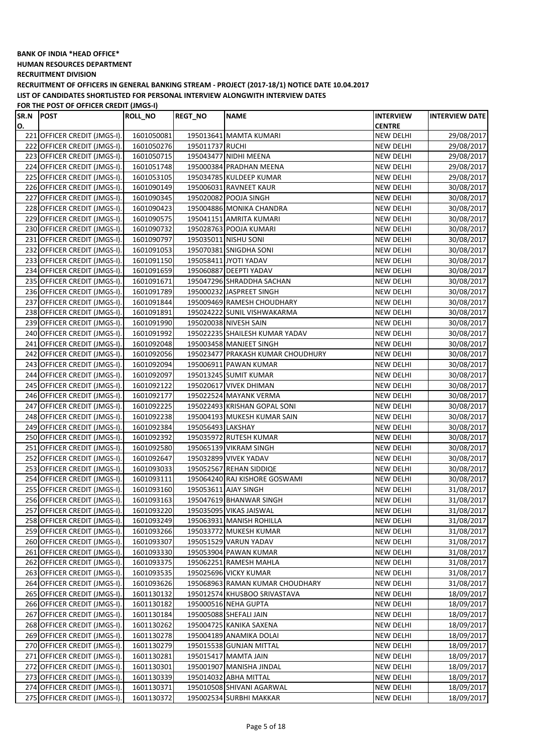**HUMAN RESOURCES DEPARTMENT**

**RECRUITMENT DIVISION**

**RECRUITMENT OF OFFICERS IN GENERAL BANKING STREAM - PROJECT (2017-18/1) NOTICE DATE 10.04.2017 LIST OF CANDIDATES SHORTLISTED FOR PERSONAL INTERVIEW ALONGWITH INTERVIEW DATES**

| SR.N | <b>POST</b>                  | <b>ROLL_NO</b>           | <b>REGT_NO</b>    | <b>NAME</b>                                            | <b>INTERVIEW</b>                     | <b>INTERVIEW DATE</b> |
|------|------------------------------|--------------------------|-------------------|--------------------------------------------------------|--------------------------------------|-----------------------|
| О.   |                              |                          |                   |                                                        | <b>CENTRE</b>                        |                       |
|      | 221 OFFICER CREDIT (JMGS-I). | 1601050081               |                   | 195013641 MAMTA KUMARI                                 | NEW DELHI                            | 29/08/2017            |
|      | 222 OFFICER CREDIT (JMGS-I). | 1601050276               | 195011737 RUCHI   |                                                        | NEW DELHI                            | 29/08/2017            |
|      | 223 OFFICER CREDIT (JMGS-I). | 1601050715               |                   | 195043477 NIDHI MEENA                                  | <b>NEW DELHI</b>                     | 29/08/2017            |
|      | 224 OFFICER CREDIT (JMGS-I). | 1601051748               |                   | 195000384 PRADHAN MEENA                                | <b>NEW DELHI</b>                     | 29/08/2017            |
|      | 225 OFFICER CREDIT (JMGS-I). | 1601053105               |                   | 195034785 KULDEEP KUMAR                                | <b>NEW DELHI</b>                     | 29/08/2017            |
|      | 226 OFFICER CREDIT (JMGS-I). | 1601090149               |                   | 195006031 RAVNEET KAUR                                 | <b>NEW DELHI</b>                     | 30/08/2017            |
|      | 227 OFFICER CREDIT (JMGS-I). | 1601090345               |                   | 195020082 POOJA SINGH                                  | <b>NEW DELHI</b>                     | 30/08/2017            |
|      | 228 OFFICER CREDIT (JMGS-I). | 1601090423               |                   | 195004886 MONIKA CHANDRA                               | <b>NEW DELHI</b>                     | 30/08/2017            |
|      | 229 OFFICER CREDIT (JMGS-I). | 1601090575               |                   | 195041151 AMRITA KUMARI                                | <b>NEW DELHI</b>                     | 30/08/2017            |
|      | 230 OFFICER CREDIT (JMGS-I). | 1601090732               |                   | 195028763 POOJA KUMARI                                 | <b>NEW DELHI</b>                     | 30/08/2017            |
|      | 231 OFFICER CREDIT (JMGS-I). | 1601090797               |                   | 195035011 NISHU SONI                                   | <b>NEW DELHI</b>                     | 30/08/2017            |
|      | 232 OFFICER CREDIT (JMGS-I). | 1601091053               |                   | 195070381 SNIGDHA SONI                                 | <b>NEW DELHI</b>                     | 30/08/2017            |
|      | 233 OFFICER CREDIT (JMGS-I). | 1601091150               |                   | 195058411 JYOTI YADAV                                  | <b>NEW DELHI</b>                     | 30/08/2017            |
|      | 234 OFFICER CREDIT (JMGS-I). | 1601091659               |                   | 195060887 DEEPTI YADAV                                 | <b>NEW DELHI</b>                     | 30/08/2017            |
|      | 235 OFFICER CREDIT (JMGS-I). | 1601091671               |                   | 195047296 SHRADDHA SACHAN                              | <b>NEW DELHI</b>                     | 30/08/2017            |
|      | 236 OFFICER CREDIT (JMGS-I). | 1601091789               |                   | 195000232 JASPREET SINGH                               | <b>NEW DELHI</b>                     | 30/08/2017            |
|      | 237 OFFICER CREDIT (JMGS-I). | 1601091844               |                   | 195009469 RAMESH CHOUDHARY                             | <b>NEW DELHI</b>                     | 30/08/2017            |
|      | 238 OFFICER CREDIT (JMGS-I). | 1601091891               |                   | 195024222 SUNIL VISHWAKARMA                            | <b>NEW DELHI</b>                     | 30/08/2017            |
|      | 239 OFFICER CREDIT (JMGS-I). | 1601091990               |                   | 195020038 NIVESH SAIN                                  | <b>NEW DELHI</b>                     | 30/08/2017            |
|      | 240 OFFICER CREDIT (JMGS-I). | 1601091992               |                   | 195022235 SHAILESH KUMAR YADAV                         | <b>NEW DELHI</b>                     | 30/08/2017            |
|      | 241 OFFICER CREDIT (JMGS-I). | 1601092048               |                   | 195003458 MANJEET SINGH                                | <b>NEW DELHI</b>                     | 30/08/2017            |
|      | 242 OFFICER CREDIT (JMGS-I). | 1601092056               |                   | 195023477 PRAKASH KUMAR CHOUDHURY                      | <b>NEW DELHI</b>                     | 30/08/2017            |
|      | 243 OFFICER CREDIT (JMGS-I). | 1601092094               |                   | 195006911 PAWAN KUMAR                                  | <b>NEW DELHI</b>                     | 30/08/2017            |
|      | 244 OFFICER CREDIT (JMGS-I). | 1601092097               |                   | 195013245 SUMIT KUMAR                                  | <b>NEW DELHI</b>                     | 30/08/2017            |
|      | 245 OFFICER CREDIT (JMGS-I). |                          |                   |                                                        |                                      |                       |
|      | 246 OFFICER CREDIT (JMGS-I). | 1601092122               |                   | 195020617 VIVEK DHIMAN                                 | <b>NEW DELHI</b>                     | 30/08/2017            |
|      | 247 OFFICER CREDIT (JMGS-I). | 1601092177<br>1601092225 |                   | 195022524 MAYANK VERMA<br>195022493 KRISHAN GOPAL SONI | <b>NEW DELHI</b><br><b>NEW DELHI</b> | 30/08/2017            |
|      |                              |                          |                   |                                                        |                                      | 30/08/2017            |
|      | 248 OFFICER CREDIT (JMGS-I). | 1601092238               |                   | 195004193 MUKESH KUMAR SAIN                            | <b>NEW DELHI</b>                     | 30/08/2017            |
|      | 249 OFFICER CREDIT (JMGS-I). | 1601092384               | 195056493 LAKSHAY |                                                        | <b>NEW DELHI</b>                     | 30/08/2017            |
|      | 250 OFFICER CREDIT (JMGS-I). | 1601092392               |                   | 195035972 RUTESH KUMAR                                 | <b>NEW DELHI</b>                     | 30/08/2017            |
|      | 251 OFFICER CREDIT (JMGS-I). | 1601092580               |                   | 195065139 VIKRAM SINGH                                 | <b>NEW DELHI</b>                     | 30/08/2017            |
|      | 252 OFFICER CREDIT (JMGS-I). | 1601092647               |                   | 195032899 VIVEK YADAV                                  | <b>NEW DELHI</b>                     | 30/08/2017            |
|      | 253 OFFICER CREDIT (JMGS-I). | 1601093033               |                   | 195052567 REHAN SIDDIQE                                | <b>NEW DELHI</b>                     | 30/08/2017            |
|      | 254 OFFICER CREDIT (JMGS-I). | 1601093111               |                   | 195064240 RAJ KISHORE GOSWAMI                          | NEW DELHI                            | 30/08/2017            |
|      | 255 OFFICER CREDIT (JMGS-I). | 1601093160               |                   | 195053611 AJAY SINGH                                   | NEW DELHI                            | 31/08/2017            |
|      | 256 OFFICER CREDIT (JMGS-I). | 1601093163               |                   | 195047619 BHANWAR SINGH                                | <b>NEW DELHI</b>                     | 31/08/2017            |
|      | 257 OFFICER CREDIT (JMGS-I). | 1601093220               |                   | 195035095 VIKAS JAISWAL                                | <b>NEW DELHI</b>                     | 31/08/2017            |
|      | 258 OFFICER CREDIT (JMGS-I). | 1601093249               |                   | 195063931 MANISH ROHILLA                               | <b>NEW DELHI</b>                     | 31/08/2017            |
|      | 259 OFFICER CREDIT (JMGS-I). | 1601093266               |                   | 195033772 MUKESH KUMAR                                 | NEW DELHI                            | 31/08/2017            |
|      | 260 OFFICER CREDIT (JMGS-I). | 1601093307               |                   | 195051529 VARUN YADAV                                  | <b>NEW DELHI</b>                     | 31/08/2017            |
|      | 261 OFFICER CREDIT (JMGS-I). | 1601093330               |                   | 195053904 PAWAN KUMAR                                  | <b>NEW DELHI</b>                     | 31/08/2017            |
|      | 262 OFFICER CREDIT (JMGS-I). | 1601093375               |                   | 195062251 RAMESH MAHLA                                 | <b>NEW DELHI</b>                     | 31/08/2017            |
|      | 263 OFFICER CREDIT (JMGS-I). | 1601093535               |                   | 195025696 VICKY KUMAR                                  | <b>NEW DELHI</b>                     | 31/08/2017            |
|      | 264 OFFICER CREDIT (JMGS-I). | 1601093626               |                   | 195068963 RAMAN KUMAR CHOUDHARY                        | <b>NEW DELHI</b>                     | 31/08/2017            |
|      | 265 OFFICER CREDIT (JMGS-I). | 1601130132               |                   | 195012574 KHUSBOO SRIVASTAVA                           | <b>NEW DELHI</b>                     | 18/09/2017            |
|      | 266 OFFICER CREDIT (JMGS-I). | 1601130182               |                   | 195000516 NEHA GUPTA                                   | <b>NEW DELHI</b>                     | 18/09/2017            |
|      | 267 OFFICER CREDIT (JMGS-I). | 1601130184               |                   | 195005088 SHEFALI JAIN                                 | <b>NEW DELHI</b>                     | 18/09/2017            |
|      | 268 OFFICER CREDIT (JMGS-I). | 1601130262               |                   | 195004725 KANIKA SAXENA                                | <b>NEW DELHI</b>                     | 18/09/2017            |
|      | 269 OFFICER CREDIT (JMGS-I). | 1601130278               |                   | 195004189 ANAMIKA DOLAI                                | NEW DELHI                            | 18/09/2017            |
|      | 270 OFFICER CREDIT (JMGS-I). | 1601130279               |                   | 195015538 GUNJAN MITTAL                                | NEW DELHI                            | 18/09/2017            |
|      | 271 OFFICER CREDIT (JMGS-I). | 1601130281               |                   | 195015417 MAMTA JAIN                                   | NEW DELHI                            | 18/09/2017            |
|      | 272 OFFICER CREDIT (JMGS-I). | 1601130301               |                   | 195001907 MANISHA JINDAL                               | NEW DELHI                            | 18/09/2017            |
|      | 273 OFFICER CREDIT (JMGS-I). | 1601130339               |                   | 195014032 ABHA MITTAL                                  | <b>NEW DELHI</b>                     | 18/09/2017            |
|      | 274 OFFICER CREDIT (JMGS-I). | 1601130371               |                   | 195010508 SHIVANI AGARWAL                              | NEW DELHI                            | 18/09/2017            |
|      | 275 OFFICER CREDIT (JMGS-I). | 1601130372               |                   | 195002534 SURBHI MAKKAR                                | <b>NEW DELHI</b>                     | 18/09/2017            |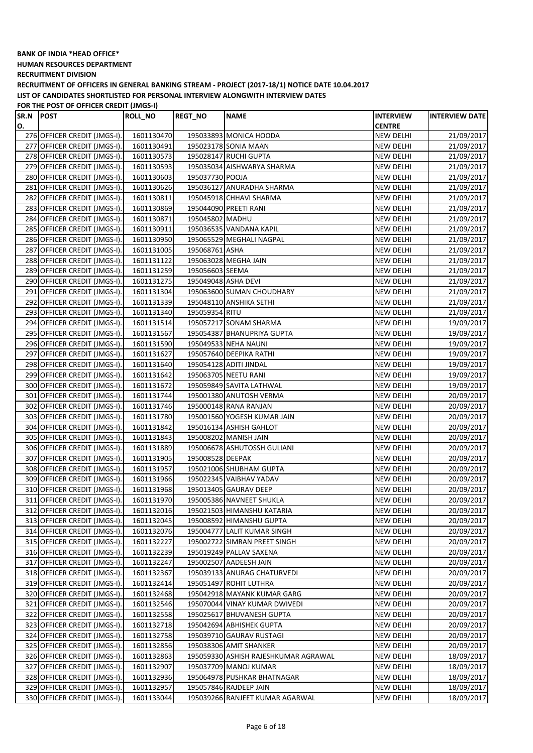**HUMAN RESOURCES DEPARTMENT**

**RECRUITMENT DIVISION**

**RECRUITMENT OF OFFICERS IN GENERAL BANKING STREAM - PROJECT (2017-18/1) NOTICE DATE 10.04.2017 LIST OF CANDIDATES SHORTLISTED FOR PERSONAL INTERVIEW ALONGWITH INTERVIEW DATES**

| SR.N | <b>POST</b>                  | <b>ROLL_NO</b> | <b>REGT_NO</b>      | <b>NAME</b>                          | <b>INTERVIEW</b> | <b>INTERVIEW DATE</b> |
|------|------------------------------|----------------|---------------------|--------------------------------------|------------------|-----------------------|
| О.   |                              |                |                     |                                      | <b>CENTRE</b>    |                       |
|      | 276 OFFICER CREDIT (JMGS-I). | 1601130470     |                     | 195033893 MONICA HOODA               | NEW DELHI        | 21/09/2017            |
|      | 277 OFFICER CREDIT (JMGS-I). | 1601130491     |                     | 195023178 SONIA MAAN                 | NEW DELHI        | 21/09/2017            |
|      | 278 OFFICER CREDIT (JMGS-I). | 1601130573     |                     | 195028147 RUCHI GUPTA                | <b>NEW DELHI</b> | 21/09/2017            |
|      | 279 OFFICER CREDIT (JMGS-I). | 1601130593     |                     | 195035034 AISHWARYA SHARMA           | <b>NEW DELHI</b> | 21/09/2017            |
|      | 280 OFFICER CREDIT (JMGS-I). | 1601130603     | 195037730 POOJA     |                                      | <b>NEW DELHI</b> | 21/09/2017            |
|      | 281 OFFICER CREDIT (JMGS-I). | 1601130626     |                     | 195036127 ANURADHA SHARMA            | <b>NEW DELHI</b> | 21/09/2017            |
|      | 282 OFFICER CREDIT (JMGS-I). | 1601130811     |                     | 195045918 CHHAVI SHARMA              | <b>NEW DELHI</b> | 21/09/2017            |
|      | 283 OFFICER CREDIT (JMGS-I). | 1601130869     |                     | 195044090 PREETI RANI                | <b>NEW DELHI</b> | 21/09/2017            |
|      | 284 OFFICER CREDIT (JMGS-I). | 1601130871     | 195045802 MADHU     |                                      | <b>NEW DELHI</b> | 21/09/2017            |
|      | 285 OFFICER CREDIT (JMGS-I). | 1601130911     |                     | 195036535 VANDANA KAPIL              | <b>NEW DELHI</b> | 21/09/2017            |
|      | 286 OFFICER CREDIT (JMGS-I). | 1601130950     |                     | 195065529 MEGHALI NAGPAL             | <b>NEW DELHI</b> | 21/09/2017            |
| 287  | OFFICER CREDIT (JMGS-I).     | 1601131005     | 195068761 ASHA      |                                      | <b>NEW DELHI</b> | 21/09/2017            |
|      | 288 OFFICER CREDIT (JMGS-I). | 1601131122     |                     | 195063028 MEGHA JAIN                 | <b>NEW DELHI</b> | 21/09/2017            |
|      | 289 OFFICER CREDIT (JMGS-I). | 1601131259     | 195056603 SEEMA     |                                      | <b>NEW DELHI</b> | 21/09/2017            |
|      | 290 OFFICER CREDIT (JMGS-I). | 1601131275     | 195049048 ASHA DEVI |                                      | <b>NEW DELHI</b> | 21/09/2017            |
|      | 291 OFFICER CREDIT (JMGS-I). | 1601131304     |                     | 195063600 SUMAN CHOUDHARY            | <b>NEW DELHI</b> | 21/09/2017            |
|      | 292 OFFICER CREDIT (JMGS-I). | 1601131339     |                     | 195048110 ANSHIKA SETHI              | NEW DELHI        | 21/09/2017            |
|      | 293 OFFICER CREDIT (JMGS-I). | 1601131340     | 195059354 RITU      |                                      | NEW DELHI        | 21/09/2017            |
|      | 294 OFFICER CREDIT (JMGS-I). | 1601131514     |                     | 195057217 SONAM SHARMA               | <b>NEW DELHI</b> | 19/09/2017            |
|      | 295 OFFICER CREDIT (JMGS-I). | 1601131567     |                     | 195054387 BHANUPRIYA GUPTA           | <b>NEW DELHI</b> | 19/09/2017            |
|      | 296 OFFICER CREDIT (JMGS-I). | 1601131590     |                     | 195049533 NEHA NAUNI                 | <b>NEW DELHI</b> | 19/09/2017            |
|      | 297 OFFICER CREDIT (JMGS-I). | 1601131627     |                     | 195057640 DEEPIKA RATHI              | <b>NEW DELHI</b> | 19/09/2017            |
|      | 298 OFFICER CREDIT (JMGS-I). | 1601131640     |                     | 195054128 ADITI JINDAL               | <b>NEW DELHI</b> | 19/09/2017            |
|      | 299 OFFICER CREDIT (JMGS-I). | 1601131642     |                     | 195063705 NEETU RANI                 | <b>NEW DELHI</b> | 19/09/2017            |
|      | 300 OFFICER CREDIT (JMGS-I). | 1601131672     |                     | 195059849 SAVITA LATHWAL             | <b>NEW DELHI</b> | 19/09/2017            |
|      | 301 OFFICER CREDIT (JMGS-I). | 1601131744     |                     | 195001380 ANUTOSH VERMA              | <b>NEW DELHI</b> | 20/09/2017            |
|      | 302 OFFICER CREDIT (JMGS-I). | 1601131746     |                     | 195000148 RANA RANJAN                | <b>NEW DELHI</b> | 20/09/2017            |
|      | 303 OFFICER CREDIT (JMGS-I). | 1601131780     |                     | 195001560 YOGESH KUMAR JAIN          | <b>NEW DELHI</b> | 20/09/2017            |
|      | 304 OFFICER CREDIT (JMGS-I). | 1601131842     |                     | 195016134 ASHISH GAHLOT              | <b>NEW DELHI</b> | 20/09/2017            |
|      | 305 OFFICER CREDIT (JMGS-I). | 1601131843     |                     | 195008202 MANISH JAIN                | <b>NEW DELHI</b> | 20/09/2017            |
|      | 306 OFFICER CREDIT (JMGS-I). | 1601131889     |                     | 195006678 ASHUTOSSH GULIANI          | <b>NEW DELHI</b> | 20/09/2017            |
| 307  | OFFICER CREDIT (JMGS-I).     | 1601131905     | 195008528 DEEPAK    |                                      | <b>NEW DELHI</b> | 20/09/2017            |
|      | 308 OFFICER CREDIT (JMGS-I). | 1601131957     |                     | 195021006 SHUBHAM GUPTA              | <b>NEW DELHI</b> | 20/09/2017            |
|      | 309 OFFICER CREDIT (JMGS-I). | 1601131966     |                     | 195022345 VAIBHAV YADAV              | NEW DELHI        | 20/09/2017            |
|      | 310 OFFICER CREDIT (JMGS-I). | 1601131968     |                     | 195013405 GAURAV DEEP                | NEW DELHI        | 20/09/2017            |
|      | 311 OFFICER CREDIT (JMGS-I). | 1601131970     |                     | 195005386 NAVNEET SHUKLA             | <b>NEW DELHI</b> | 20/09/2017            |
|      | 312 OFFICER CREDIT (JMGS-I). | 1601132016     |                     | 195021503 HIMANSHU KATARIA           | <b>NEW DELHI</b> | 20/09/2017            |
|      | 313 OFFICER CREDIT (JMGS-I). | 1601132045     |                     | 195008592 HIMANSHU GUPTA             | <b>NEW DELHI</b> | 20/09/2017            |
|      | 314 OFFICER CREDIT (JMGS-I). | 1601132076     |                     | 195004777 LALIT KUMAR SINGH          | NEW DELHI        | 20/09/2017            |
|      | 315 OFFICER CREDIT (JMGS-I). | 1601132227     |                     | 195002722 SIMRAN PREET SINGH         | <b>NEW DELHI</b> | 20/09/2017            |
|      | 316 OFFICER CREDIT (JMGS-I). | 1601132239     |                     | 195019249 PALLAV SAXENA              | <b>NEW DELHI</b> | 20/09/2017            |
|      | 317 OFFICER CREDIT (JMGS-I). | 1601132247     |                     | 195002507 AADEESH JAIN               | <b>NEW DELHI</b> | 20/09/2017            |
|      | 318 OFFICER CREDIT (JMGS-I). | 1601132367     |                     | 195039133 ANURAG CHATURVEDI          | <b>NEW DELHI</b> | 20/09/2017            |
|      | 319 OFFICER CREDIT (JMGS-I). | 1601132414     |                     | 195051497 ROHIT LUTHRA               | <b>NEW DELHI</b> | 20/09/2017            |
|      | 320 OFFICER CREDIT (JMGS-I). | 1601132468     |                     | 195042918 MAYANK KUMAR GARG          | <b>NEW DELHI</b> | 20/09/2017            |
|      | 321 OFFICER CREDIT (JMGS-I). | 1601132546     |                     | 195070044 VINAY KUMAR DWIVEDI        | <b>NEW DELHI</b> | 20/09/2017            |
|      | 322 OFFICER CREDIT (JMGS-I). | 1601132558     |                     | 195025617 BHUVANESH GUPTA            | <b>NEW DELHI</b> | 20/09/2017            |
|      | 323 OFFICER CREDIT (JMGS-I). | 1601132718     |                     | 195042694 ABHISHEK GUPTA             | NEW DELHI        | 20/09/2017            |
|      | 324 OFFICER CREDIT (JMGS-I). | 1601132758     |                     | 195039710 GAURAV RUSTAGI             | NEW DELHI        | 20/09/2017            |
|      | 325 OFFICER CREDIT (JMGS-I). | 1601132856     |                     | 195038306 AMIT SHANKER               | <b>NEW DELHI</b> | 20/09/2017            |
|      | 326 OFFICER CREDIT (JMGS-I). | 1601132863     |                     | 195059330 ASHISH RAJESHKUMAR AGRAWAL | NEW DELHI        | 18/09/2017            |
|      | 327 OFFICER CREDIT (JMGS-I). | 1601132907     |                     | 195037709 MANOJ KUMAR                | NEW DELHI        | 18/09/2017            |
|      | 328 OFFICER CREDIT (JMGS-I). | 1601132936     |                     | 195064978 PUSHKAR BHATNAGAR          | <b>NEW DELHI</b> | 18/09/2017            |
|      | 329 OFFICER CREDIT (JMGS-I). | 1601132957     |                     | 195057846 RAJDEEP JAIN               | NEW DELHI        | 18/09/2017            |
|      | 330 OFFICER CREDIT (JMGS-I). | 1601133044     |                     | 195039266 RANJEET KUMAR AGARWAL      | <b>NEW DELHI</b> | 18/09/2017            |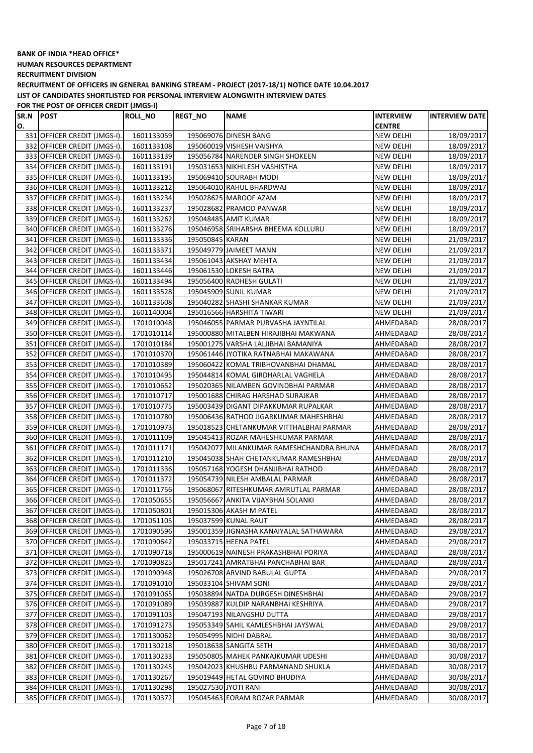**HUMAN RESOURCES DEPARTMENT**

**RECRUITMENT DIVISION**

**RECRUITMENT OF OFFICERS IN GENERAL BANKING STREAM - PROJECT (2017-18/1) NOTICE DATE 10.04.2017 LIST OF CANDIDATES SHORTLISTED FOR PERSONAL INTERVIEW ALONGWITH INTERVIEW DATES**

| SR.N | <b>POST</b>                  | <b>ROLL_NO</b> | <b>REGT_NO</b>       | <b>NAME</b>                              | INTERVIEW        | <b>INTERVIEW DATE</b> |
|------|------------------------------|----------------|----------------------|------------------------------------------|------------------|-----------------------|
| О.   |                              |                |                      |                                          | <b>CENTRE</b>    |                       |
|      | 331 OFFICER CREDIT (JMGS-I). | 1601133059     |                      | 195069076 DINESH BANG                    | NEW DELHI        | 18/09/2017            |
|      | 332 OFFICER CREDIT (JMGS-I). | 1601133108     |                      | 195060019 VISHESH VAISHYA                | NEW DELHI        | 18/09/2017            |
|      | 333 OFFICER CREDIT (JMGS-I). | 1601133139     |                      | 195056784 NARENDER SINGH SHOKEEN         | <b>NEW DELHI</b> | 18/09/2017            |
|      | 334 OFFICER CREDIT (JMGS-I). | 1601133191     |                      | 195031653 NIKHILESH VASHISTHA            | NEW DELHI        | 18/09/2017            |
|      | 335 OFFICER CREDIT (JMGS-I). | 1601133195     |                      | 195069410 SOURABH MODI                   | NEW DELHI        | 18/09/2017            |
|      | 336 OFFICER CREDIT (JMGS-I). | 1601133212     |                      | 195064010 RAHUL BHARDWAJ                 | NEW DELHI        | 18/09/2017            |
| 337  | OFFICER CREDIT (JMGS-I).     | 1601133234     |                      | 195028625 MAROOF AZAM                    | NEW DELHI        | 18/09/2017            |
|      | 338 OFFICER CREDIT (JMGS-I). | 1601133237     |                      | 195028682 PRAMOD PANWAR                  | NEW DELHI        | 18/09/2017            |
|      | 339 OFFICER CREDIT (JMGS-I). | 1601133262     |                      | 195048485 AMIT KUMAR                     | <b>NEW DELHI</b> | 18/09/2017            |
|      | 340 OFFICER CREDIT (JMGS-I). | 1601133276     |                      | 195046958 SRIHARSHA BHEEMA KOLLURU       | <b>NEW DELHI</b> | 18/09/2017            |
|      | 341 OFFICER CREDIT (JMGS-I). | 1601133336     | 195050845 KARAN      |                                          | <b>NEW DELHI</b> | 21/09/2017            |
|      | 342 OFFICER CREDIT (JMGS-I). | 1601133371     |                      | 195049779 JAIMEET MANN                   | <b>NEW DELHI</b> | 21/09/2017            |
|      | 343 OFFICER CREDIT (JMGS-I). | 1601133434     |                      | 195061043 AKSHAY MEHTA                   | <b>NEW DELHI</b> | 21/09/2017            |
|      | 344 OFFICER CREDIT (JMGS-I). | 1601133446     |                      | 195061530 LOKESH BATRA                   | <b>NEW DELHI</b> | 21/09/2017            |
|      | 345 OFFICER CREDIT (JMGS-I). | 1601133494     |                      | 195056400 RADHESH GULATI                 | <b>NEW DELHI</b> | 21/09/2017            |
|      | 346 OFFICER CREDIT (JMGS-I). | 1601133528     |                      | 195045909 SUNIL KUMAR                    | NEW DELHI        | 21/09/2017            |
| 347  | OFFICER CREDIT (JMGS-I).     | 1601133608     |                      | 195040282 SHASHI SHANKAR KUMAR           | NEW DELHI        | 21/09/2017            |
|      | 348 OFFICER CREDIT (JMGS-I). | 1601140004     |                      | 195016566 HARSHITA TIWARI                | NEW DELHI        | 21/09/2017            |
|      | 349 OFFICER CREDIT (JMGS-I). | 1701010048     |                      | 195046055 PARMAR PURVASHA JAYNTILAL      | AHMEDABAD        | 28/08/2017            |
|      | 350 OFFICER CREDIT (JMGS-I). | 1701010114     |                      | 195000880 MITALBEN HIRAJIBHAI MAKWANA    | AHMEDABAD        | 28/08/2017            |
|      | 351 OFFICER CREDIT (JMGS-I). | 1701010184     |                      | 195001275 VARSHA LALJIBHAI BAMANIYA      | AHMEDABAD        | 28/08/2017            |
|      | 352 OFFICER CREDIT (JMGS-I). | 1701010370     |                      | 195061446 JYOTIKA RATNABHAI MAKAWANA     | AHMEDABAD        | 28/08/2017            |
|      | 353 OFFICER CREDIT (JMGS-I). | 1701010389     |                      | 195060422 KOMAL TRIBHOVANBHAI DHAMAL     | AHMEDABAD        | 28/08/2017            |
|      | 354 OFFICER CREDIT (JMGS-I). | 1701010495     |                      | 195044814 KOMAL GIRDHARLAL VAGHELA       | AHMEDABAD        | 28/08/2017            |
|      | 355 OFFICER CREDIT (JMGS-I). | 1701010652     |                      | 195020365 NILAMBEN GOVINDBHAI PARMAR     | AHMEDABAD        | 28/08/2017            |
|      | 356 OFFICER CREDIT (JMGS-I). | 1701010717     |                      | 195001688 CHIRAG HARSHAD SURAJKAR        | AHMEDABAD        | 28/08/2017            |
| 357  | OFFICER CREDIT (JMGS-I).     | 1701010775     |                      | 195003439 DIGANT DIPAKKUMAR RUPALKAR     | AHMEDABAD        | 28/08/2017            |
|      | 358 OFFICER CREDIT (JMGS-I). | 1701010780     |                      | 195006436 RATHOD JIGARKUMAR MAHESHBHAI   | AHMEDABAD        | 28/08/2017            |
|      | 359 OFFICER CREDIT (JMGS-I). | 1701010973     |                      | 195018523 CHETANKUMAR VITTHALBHAI PARMAR | AHMEDABAD        | 28/08/2017            |
|      | 360 OFFICER CREDIT (JMGS-I). | 1701011109     |                      | 195045413 ROZAR MAHESHKUMAR PARMAR       | AHMEDABAD        | 28/08/2017            |
| 361  | OFFICER CREDIT (JMGS-I).     | 1701011171     |                      | 195042077 MILANKUMAR RAMESHCHANDRA BHUNA | AHMEDABAD        | 28/08/2017            |
|      | 362 OFFICER CREDIT (JMGS-I). | 1701011210     |                      | 195045038 SHAH CHETANKUMAR RAMESHBHAI    | AHMEDABAD        | 28/08/2017            |
|      | 363 OFFICER CREDIT (JMGS-I). | 1701011336     |                      | 195057168 YOGESH DHANJIBHAI RATHOD       | AHMEDABAD        | 28/08/2017            |
|      | 364 OFFICER CREDIT (JMGS-I). | 1701011372     |                      | 195054739 NILESH AMBALAL PARMAR          | AHMEDABAD        | 28/08/2017            |
|      | 365 OFFICER CREDIT (JMGS-I). | 1701011756     |                      | 195068067 RITESHKUMAR AMRUTLAL PARMAR    | AHMEDABAD        | 28/08/2017            |
|      | 366 OFFICER CREDIT (JMGS-I). | 1701050655     |                      | 195056667 ANKITA VIJAYBHAI SOLANKI       | AHMEDABAD        | 28/08/2017            |
|      | 367 OFFICER CREDIT (JMGS-I). | 1701050801     |                      | 195015306 AKASH M PATEL                  | AHMEDABAD        | 28/08/2017            |
|      | 368 OFFICER CREDIT (JMGS-I). | 1701051105     |                      | 195037599 KUNAL RAUT                     | AHMEDABAD        | 28/08/2017            |
|      | 369 OFFICER CREDIT (JMGS-I). | 1701090596     |                      | 195001359 JIGNASHA KANAIYALAL SATHAWARA  | AHMEDABAD        | 29/08/2017            |
|      | 370 OFFICER CREDIT (JMGS-I). | 1701090642     |                      | 195033715 HEENA PATEL                    | AHMEDABAD        | 29/08/2017            |
|      | 371 OFFICER CREDIT (JMGS-I). | 1701090718     |                      | 195000619 NAINESH PRAKASHBHAI PORIYA     | AHMEDABAD        | 28/08/2017            |
|      | 372 OFFICER CREDIT (JMGS-I). | 1701090825     |                      | 195017241 AMRATBHAI PANCHABHAI BAR       | AHMEDABAD        | 28/08/2017            |
|      | 373 OFFICER CREDIT (JMGS-I). | 1701090948     |                      | 195026708 ARVIND BABULAL GUPTA           | AHMEDABAD        | 29/08/2017            |
|      | 374 OFFICER CREDIT (JMGS-I). | 1701091010     |                      | 195033104 SHIVAM SONI                    | AHMEDABAD        | 29/08/2017            |
|      | 375 OFFICER CREDIT (JMGS-I). | 1701091065     |                      | 195038894 NATDA DURGESH DINESHBHAI       | AHMEDABAD        | 29/08/2017            |
|      | 376 OFFICER CREDIT (JMGS-I). | 1701091089     |                      | 195039887 KULDIP NARANBHAI KESHRIYA      | AHMEDABAD        | 29/08/2017            |
| 377  | OFFICER CREDIT (JMGS-I).     | 1701091103     |                      | 195047193 NILANGSHU DUTTA                | AHMEDABAD        | 29/08/2017            |
|      | 378 OFFICER CREDIT (JMGS-I). | 1701091273     |                      | 195053349 SAHIL KAMLESHBHAI JAYSWAL      | AHMEDABAD        | 29/08/2017            |
|      | 379 OFFICER CREDIT (JMGS-I). | 1701130062     |                      | 195054995 NIDHI DABRAL                   | AHMEDABAD        | 30/08/2017            |
|      | 380 OFFICER CREDIT (JMGS-I). | 1701130218     |                      | 195018638 SANGITA SETH                   | AHMEDABAD        | 30/08/2017            |
|      | 381 OFFICER CREDIT (JMGS-I). | 1701130233     |                      | 195050805 MAHEK PANKAJKUMAR UDESHI       | AHMEDABAD        | 30/08/2017            |
|      | 382 OFFICER CREDIT (JMGS-I). | 1701130245     |                      | 195042023 KHUSHBU PARMANAND SHUKLA       | AHMEDABAD        | 30/08/2017            |
|      | 383 OFFICER CREDIT (JMGS-I). | 1701130267     |                      | 195019449 HETAL GOVIND BHUDIYA           | AHMEDABAD        | 30/08/2017            |
|      | 384 OFFICER CREDIT (JMGS-I). | 1701130298     | 195027530 JYOTI RANI |                                          | AHMEDABAD        | 30/08/2017            |
|      | 385 OFFICER CREDIT (JMGS-I). | 1701130372     |                      | 195045463 FORAM ROZAR PARMAR             | AHMEDABAD        | 30/08/2017            |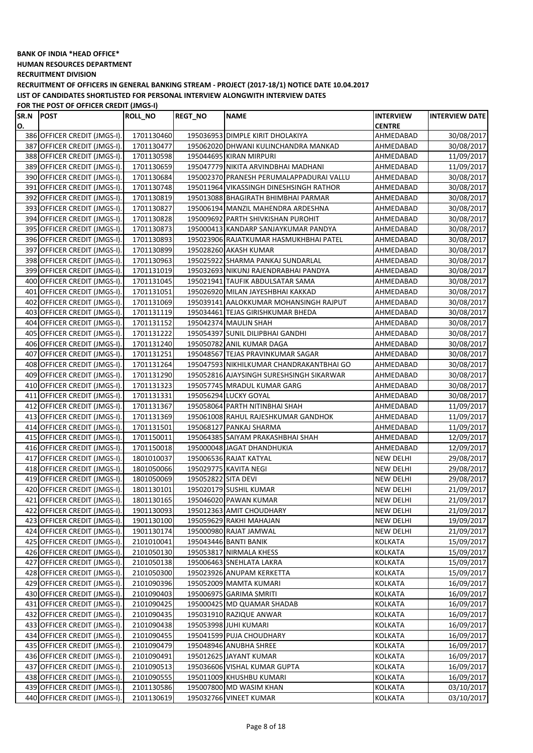**HUMAN RESOURCES DEPARTMENT**

**RECRUITMENT DIVISION**

**RECRUITMENT OF OFFICERS IN GENERAL BANKING STREAM - PROJECT (2017-18/1) NOTICE DATE 10.04.2017 LIST OF CANDIDATES SHORTLISTED FOR PERSONAL INTERVIEW ALONGWITH INTERVIEW DATES**

**FOR THE POST OF OFFICER CREDIT (JMGS-I)**

| SR.N | <b>POST</b>                  | <b>ROLL_NO</b> | <b>REGT_NO</b>      | <b>NAME</b>                                       | <b>INTERVIEW</b> | <b>INTERVIEW DATE</b> |
|------|------------------------------|----------------|---------------------|---------------------------------------------------|------------------|-----------------------|
| O.   |                              |                |                     |                                                   | <b>CENTRE</b>    |                       |
|      | 386 OFFICER CREDIT (JMGS-I). | 1701130460     |                     | 195036953 DIMPLE KIRIT DHOLAKIYA                  | AHMEDABAD        | 30/08/2017            |
|      | 387 OFFICER CREDIT (JMGS-I). | 1701130477     |                     | 195062020 DHWANI KULINCHANDRA MANKAD              | AHMEDABAD        | 30/08/2017            |
|      | 388 OFFICER CREDIT (JMGS-I). | 1701130598     |                     | 195044695 KIRAN MIRPURI                           | AHMEDABAD        | 11/09/2017            |
|      | 389 OFFICER CREDIT (JMGS-I). | 1701130659     |                     | 195047779 NIKITA ARVINDBHAI MADHANI               | AHMEDABAD        | 11/09/2017            |
|      | 390 OFFICER CREDIT (JMGS-I). | 1701130684     |                     | 195002370 PRANESH PERUMALAPPADURAI VALLU          | AHMEDABAD        | 30/08/2017            |
|      | 391 OFFICER CREDIT (JMGS-I). | 1701130748     |                     | 195011964 VIKASSINGH DINESHSINGH RATHOR           | AHMEDABAD        | 30/08/2017            |
|      | 392 OFFICER CREDIT (JMGS-I). | 1701130819     |                     | 195013088 BHAGIRATH BHIMBHAI PARMAR               | AHMEDABAD        | 30/08/2017            |
|      | 393 OFFICER CREDIT (JMGS-I). | 1701130827     |                     | 195006194 MANZIL MAHENDRA ARDESHNA                | AHMEDABAD        | 30/08/2017            |
|      | 394 OFFICER CREDIT (JMGS-I). | 1701130828     |                     | 195009692 PARTH SHIVKISHAN PUROHIT                | AHMEDABAD        | 30/08/2017            |
|      | 395 OFFICER CREDIT (JMGS-I). | 1701130873     |                     | 195000413 KANDARP SANJAYKUMAR PANDYA              | AHMEDABAD        | 30/08/2017            |
|      | 396 OFFICER CREDIT (JMGS-I). | 1701130893     |                     | 195023906 RAJATKUMAR HASMUKHBHAI PATEL            | AHMEDABAD        | 30/08/2017            |
| 397  | OFFICER CREDIT (JMGS-I).     | 1701130899     |                     | 195028260 AKASH KUMAR                             | AHMEDABAD        | 30/08/2017            |
|      | 398 OFFICER CREDIT (JMGS-I). | 1701130963     |                     | 195025922 SHARMA PANKAJ SUNDARLAL                 | AHMEDABAD        | 30/08/2017            |
|      | 399 OFFICER CREDIT (JMGS-I). | 1701131019     |                     | 195032693 NIKUNJ RAJENDRABHAI PANDYA              | AHMEDABAD        | 30/08/2017            |
|      | 400 OFFICER CREDIT (JMGS-I). | 1701131045     |                     | 195021941 TAUFIK ABDULSATAR SAMA                  | AHMEDABAD        | 30/08/2017            |
| 401  | OFFICER CREDIT (JMGS-I).     | 1701131051     |                     | 195026920 MILAN JAYESHBHAI KAKKAD                 | AHMEDABAD        | 30/08/2017            |
| 402  | OFFICER CREDIT (JMGS-I).     | 1701131069     |                     | 195039141 AALOKKUMAR MOHANSINGH RAJPUT            | AHMEDABAD        | 30/08/2017            |
|      | 403 OFFICER CREDIT (JMGS-I). | 1701131119     |                     | 195034461 TEJAS GIRISHKUMAR BHEDA                 | AHMEDABAD        | 30/08/2017            |
|      | 404 OFFICER CREDIT (JMGS-I). | 1701131152     |                     | 195042374 MAULIN SHAH                             | AHMEDABAD        | 30/08/2017            |
|      | 405 OFFICER CREDIT (JMGS-I). | 1701131222     |                     | 195054397 SUNIL DILIPBHAI GANDHI                  | AHMEDABAD        | 30/08/2017            |
|      | 406 OFFICER CREDIT (JMGS-I). | 1701131240     |                     | 195050782 ANIL KUMAR DAGA                         | AHMEDABAD        | 30/08/2017            |
|      | 407 OFFICER CREDIT (JMGS-I). | 1701131251     |                     | 195048567 TEJAS PRAVINKUMAR SAGAR                 | AHMEDABAD        | 30/08/2017            |
|      | 408 OFFICER CREDIT (JMGS-I). | 1701131264     |                     | 195047593 NIKHILKUMAR CHANDRAKANTBHAI GO          | AHMEDABAD        | 30/08/2017            |
|      | 409 OFFICER CREDIT (JMGS-I). | 1701131290     |                     | 195052816 AJAYSINGH SURESHSINGH SIKARWAR          | AHMEDABAD        | 30/08/2017            |
|      | 410 OFFICER CREDIT (JMGS-I). | 1701131323     |                     | 195057745 MRADUL KUMAR GARG                       | AHMEDABAD        | 30/08/2017            |
|      | 411 OFFICER CREDIT (JMGS-I). | 1701131331     |                     | 195056294 LUCKY GOYAL                             | AHMEDABAD        | 30/08/2017            |
|      | 412 OFFICER CREDIT (JMGS-I). | 1701131367     |                     | 195058064 PARTH NITINBHAI SHAH                    | AHMEDABAD        | 11/09/2017            |
|      | 413 OFFICER CREDIT (JMGS-I). | 1701131369     |                     | 195061008 RAHUL RAJESHKUMAR GANDHOK               | AHMEDABAD        | 11/09/2017            |
|      | 414 OFFICER CREDIT (JMGS-I). | 1701131501     |                     | 195068127 PANKAJ SHARMA                           | AHMEDABAD        | 11/09/2017            |
| 415  | OFFICER CREDIT (JMGS-I).     | 1701150011     |                     | 195064385 SAIYAM PRAKASHBHAI SHAH                 | AHMEDABAD        | 12/09/2017            |
|      | 416 OFFICER CREDIT (JMGS-I). | 1701150018     |                     | 195000048 JAGAT DHANDHUKIA                        | AHMEDABAD        | 12/09/2017            |
| 417  | OFFICER CREDIT (JMGS-I).     | 1801010037     |                     | 195006536 RAJAT KATYAL                            | NEW DELHI        | 29/08/2017            |
|      | 418 OFFICER CREDIT (JMGS-I). | 1801050066     |                     | 195029775 KAVITA NEGI                             | NEW DELHI        | 29/08/2017            |
|      | 419 OFFICER CREDIT (JMGS-I). | 1801050069     | 195052822 SITA DEVI |                                                   | NEW DELHI        | 29/08/2017            |
|      | 420 OFFICER CREDIT (JMGS-I). | 1801130101     |                     | 195020179 SUSHIL KUMAR                            | NEW DELHI        | 21/09/2017            |
|      | 421 OFFICER CREDIT (JMGS-I). | 1801130165     |                     | 195046020 PAWAN KUMAR                             | <b>NEW DELHI</b> | 21/09/2017            |
|      | 422 OFFICER CREDIT (JMGS-I). | 1901130093     |                     | 195012363 AMIT CHOUDHARY                          | <b>NEW DELHI</b> | 21/09/2017            |
|      | 423 OFFICER CREDIT (JMGS-I). | 1901130100     |                     | 195059629 RAKHI MAHAJAN                           | <b>NEW DELHI</b> | 19/09/2017            |
|      | 424 OFFICER CREDIT (JMGS-I). | 1901130174     |                     | 195000980 RAJAT JAMWAL                            | <b>NEW DELHI</b> | 21/09/2017            |
|      | 425 OFFICER CREDIT (JMGS-I). | 2101010041     |                     | 195043446 BANTI BANIK                             | <b>KOLKATA</b>   | 15/09/2017            |
|      | 426 OFFICER CREDIT (JMGS-I). | 2101050130     |                     | 195053817 NIRMALA KHESS                           | KOLKATA          | 15/09/2017            |
|      | 427 OFFICER CREDIT (JMGS-I). | 2101050138     |                     | 195006463 SNEHLATA LAKRA                          | KOLKATA          | 15/09/2017            |
|      | 428 OFFICER CREDIT (JMGS-I). | 2101050300     |                     | 195023926 ANUPAM KERKETTA                         | KOLKATA          | 15/09/2017            |
|      | 429 OFFICER CREDIT (JMGS-I). | 2101090396     |                     | 195052009 MAMTA KUMARI                            | KOLKATA          | 16/09/2017            |
|      | 430 OFFICER CREDIT (JMGS-I). | 2101090403     |                     | 195006975 GARIMA SMRITI                           | KOLKATA          | 16/09/2017            |
|      | 431 OFFICER CREDIT (JMGS-I). | 2101090425     |                     | 195000425 MD QUAMAR SHADAB                        | KOLKATA          | 16/09/2017            |
|      | 432 OFFICER CREDIT (JMGS-I). | 2101090435     |                     | 195031910 RAZIQUE ANWAR                           | KOLKATA          | 16/09/2017            |
|      | 433 OFFICER CREDIT (JMGS-I). | 2101090438     |                     | 195053998 JUHI KUMARI                             | KOLKATA          | 16/09/2017            |
|      | 434 OFFICER CREDIT (JMGS-I). | 2101090455     |                     | 195041599 PUJA CHOUDHARY                          | KOLKATA          | 16/09/2017            |
|      | 435 OFFICER CREDIT (JMGS-I). | 2101090479     |                     | 195048946 ANUBHA SHREE                            | KOLKATA          | 16/09/2017            |
|      | 436 OFFICER CREDIT (JMGS-I). | 2101090491     |                     | 195012625 JAYANT KUMAR                            | KOLKATA          | 16/09/2017            |
|      | 437 OFFICER CREDIT (JMGS-I). | 2101090513     |                     | 195036606 VISHAL KUMAR GUPTA                      | KOLKATA          | 16/09/2017            |
|      | 438 OFFICER CREDIT (JMGS-I). | 2101090555     |                     | 195011009 KHUSHBU KUMARI                          | KOLKATA          | 16/09/2017            |
|      | 439 OFFICER CREDIT (JMGS-I). | 2101130586     |                     | 195007800 MD WASIM KHAN<br>195032766 VINEET KUMAR | KOLKATA          | 03/10/2017            |
|      | 440 OFFICER CREDIT (JMGS-I). | 2101130619     |                     |                                                   | KOLKATA          | 03/10/2017            |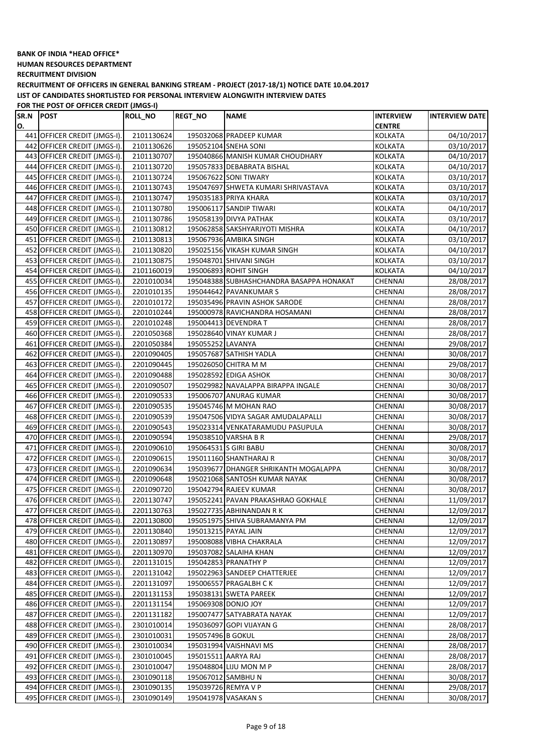**HUMAN RESOURCES DEPARTMENT**

**RECRUITMENT DIVISION**

**RECRUITMENT OF OFFICERS IN GENERAL BANKING STREAM - PROJECT (2017-18/1) NOTICE DATE 10.04.2017 LIST OF CANDIDATES SHORTLISTED FOR PERSONAL INTERVIEW ALONGWITH INTERVIEW DATES**

| SR.N | <b>POST</b>                  | ROLL_NO    | <b>REGT_NO</b>      | <b>NAME</b>                              | <b>INTERVIEW</b> | <b>INTERVIEW DATE</b> |
|------|------------------------------|------------|---------------------|------------------------------------------|------------------|-----------------------|
| O.   |                              |            |                     |                                          | <b>CENTRE</b>    |                       |
|      | 441 OFFICER CREDIT (JMGS-I). | 2101130624 |                     | 195032068 PRADEEP KUMAR                  | KOLKATA          | 04/10/2017            |
|      | 442 OFFICER CREDIT (JMGS-I). | 2101130626 |                     | 195052104 SNEHA SONI                     | KOLKATA          | 03/10/2017            |
|      | 443 OFFICER CREDIT (JMGS-I). | 2101130707 |                     | 195040866 MANISH KUMAR CHOUDHARY         | KOLKATA          | 04/10/2017            |
|      | 444 OFFICER CREDIT (JMGS-I). | 2101130720 |                     | 195057833 DEBABRATA BISHAL               | <b>KOLKATA</b>   | 04/10/2017            |
|      | 445 OFFICER CREDIT (JMGS-I). | 2101130724 |                     | 195067622 SONI TIWARY                    | <b>KOLKATA</b>   | 03/10/2017            |
|      | 446 OFFICER CREDIT (JMGS-I). | 2101130743 |                     | 195047697 SHWETA KUMARI SHRIVASTAVA      | <b>KOLKATA</b>   | 03/10/2017            |
|      | 447 OFFICER CREDIT (JMGS-I). | 2101130747 |                     | 195035183 PRIYA KHARA                    | KOLKATA          | 03/10/2017            |
|      | 448 OFFICER CREDIT (JMGS-I). | 2101130780 |                     | 195006117 SANDIP TIWARI                  | <b>KOLKATA</b>   | 04/10/2017            |
|      | 449 OFFICER CREDIT (JMGS-I). | 2101130786 |                     | 195058139 DIVYA PATHAK                   | <b>KOLKATA</b>   | 03/10/2017            |
|      | 450 OFFICER CREDIT (JMGS-I). | 2101130812 |                     | 195062858 SAKSHYARJYOTI MISHRA           | KOLKATA          | 04/10/2017            |
|      | 451 OFFICER CREDIT (JMGS-I). | 2101130813 |                     | 195067936 AMBIKA SINGH                   | KOLKATA          | 03/10/2017            |
|      | 452 OFFICER CREDIT (JMGS-I). | 2101130820 |                     | 195025156 VIKASH KUMAR SINGH             | <b>KOLKATA</b>   | 04/10/2017            |
|      | 453 OFFICER CREDIT (JMGS-I). | 2101130875 |                     | 195048701 SHIVANI SINGH                  | <b>KOLKATA</b>   | 03/10/2017            |
|      | 454 OFFICER CREDIT (JMGS-I). | 2101160019 |                     | 195006893 ROHIT SINGH                    | <b>KOLKATA</b>   | 04/10/2017            |
|      | 455 OFFICER CREDIT (JMGS-I). | 2201010034 |                     | 195048388 SUBHASHCHANDRA BASAPPA HONAKAT | <b>CHENNAI</b>   | 28/08/2017            |
|      | 456 OFFICER CREDIT (JMGS-I). | 2201010135 |                     | 195044642 PAVANKUMAR S                   | CHENNAI          | 28/08/2017            |
|      | 457 OFFICER CREDIT (JMGS-I). | 2201010172 |                     | 195035496 PRAVIN ASHOK SARODE            | CHENNAI          | 28/08/2017            |
|      | 458 OFFICER CREDIT (JMGS-I). | 2201010244 |                     | 195000978 RAVICHANDRA HOSAMANI           | CHENNAI          | 28/08/2017            |
|      | 459 OFFICER CREDIT (JMGS-I). | 2201010248 |                     | 195004413 DEVENDRA T                     | CHENNAI          | 28/08/2017            |
|      | 460 OFFICER CREDIT (JMGS-I). | 2201050368 |                     | 195028640 VINAY KUMAR J                  | CHENNAI          | 28/08/2017            |
|      | 461 OFFICER CREDIT (JMGS-I). | 2201050384 | 195055252 LAVANYA   |                                          | CHENNAI          | 29/08/2017            |
|      | 462 OFFICER CREDIT (JMGS-I). | 2201090405 |                     | 195057687 SATHISH YADLA                  | CHENNAI          | 30/08/2017            |
|      | 463 OFFICER CREDIT (JMGS-I). | 2201090445 |                     | 195026050 CHITRA M M                     | CHENNAI          | 29/08/2017            |
|      | 464 OFFICER CREDIT (JMGS-I). | 2201090488 |                     | 195028592 EDIGA ASHOK                    | CHENNAI          | 30/08/2017            |
|      | 465 OFFICER CREDIT (JMGS-I). | 2201090507 |                     | 195029982 NAVALAPPA BIRAPPA INGALE       | <b>CHENNAI</b>   | 30/08/2017            |
|      | 466 OFFICER CREDIT (JMGS-I). | 2201090533 |                     | 195006707 ANURAG KUMAR                   | CHENNAI          | 30/08/2017            |
|      | 467 OFFICER CREDIT (JMGS-I). | 2201090535 |                     | 195045746 M MOHAN RAO                    | <b>CHENNAI</b>   | 30/08/2017            |
|      | 468 OFFICER CREDIT (JMGS-I). | 2201090539 |                     | 195047506 VIDYA SAGAR AMUDALAPALLI       | CHENNAI          | 30/08/2017            |
|      | 469 OFFICER CREDIT (JMGS-I). | 2201090543 |                     | 195023314 VENKATARAMUDU PASUPULA         | <b>CHENNAI</b>   | 30/08/2017            |
|      | 470 OFFICER CREDIT (JMGS-I). | 2201090594 |                     | 195038510 VARSHA B R                     | CHENNAI          | 29/08/2017            |
|      | 471 OFFICER CREDIT (JMGS-I). | 2201090610 |                     | 195064531 S GIRI BABU                    | <b>CHENNAI</b>   | 30/08/2017            |
|      | 472 OFFICER CREDIT (JMGS-I). | 2201090615 |                     | 195011160 SHANTHARAJ R                   | CHENNAI          | 30/08/2017            |
|      | 473 OFFICER CREDIT (JMGS-I). | 2201090634 |                     | 195039677 DHANGER SHRIKANTH MOGALAPPA    | CHENNAI          | 30/08/2017            |
|      | 474 OFFICER CREDIT (JMGS-I). | 2201090648 |                     | 195021068 SANTOSH KUMAR NAYAK            | CHENNAI          | 30/08/2017            |
|      | 475 OFFICER CREDIT (JMGS-I). | 2201090720 |                     | 195042794 RAJEEV KUMAR                   | CHENNAI          | 30/08/2017            |
|      | 476 OFFICER CREDIT (JMGS-I). | 2201130747 |                     | 195052241 PAVAN PRAKASHRAO GOKHALE       | CHENNAI          | 11/09/2017            |
|      | 477 OFFICER CREDIT (JMGS-I). | 2201130763 |                     | 195027735 ABHINANDAN R K                 | CHENNAI          | 12/09/2017            |
|      | 478 OFFICER CREDIT (JMGS-I). | 2201130800 |                     | 195051975 SHIVA SUBRAMANYA PM            | CHENNAI          | 12/09/2017            |
|      | 479 OFFICER CREDIT (JMGS-I). | 2201130840 |                     | 195013215 PAYAL JAIN                     | CHENNAI          | 12/09/2017            |
|      | 480 OFFICER CREDIT (JMGS-I). | 2201130897 |                     | 195008088 VIBHA CHAKRALA                 | CHENNAI          | 12/09/2017            |
|      | 481 OFFICER CREDIT (JMGS-I). | 2201130970 |                     | 195037082 SALAIHA KHAN                   | CHENNAI          | 12/09/2017            |
|      | 482 OFFICER CREDIT (JMGS-I). | 2201131015 |                     | 195042853 PRANATHY P                     | CHENNAI          | 12/09/2017            |
|      | 483 OFFICER CREDIT (JMGS-I). | 2201131042 |                     | 195022963 SANDEEP CHATTERJEE             | CHENNAI          | 12/09/2017            |
|      | 484 OFFICER CREDIT (JMGS-I). | 2201131097 |                     | 195006557 PRAGALBH CK                    | CHENNAI          | 12/09/2017            |
|      | 485 OFFICER CREDIT (JMGS-I). | 2201131153 |                     | 195038131 SWETA PAREEK                   | CHENNAI          | 12/09/2017            |
|      | 486 OFFICER CREDIT (JMGS-I). | 2201131154 |                     | 195069308 DONJO JOY                      | CHENNAI          | 12/09/2017            |
|      | 487 OFFICER CREDIT (JMGS-I). | 2201131182 |                     | 195007477 SATYABRATA NAYAK               | CHENNAI          | 12/09/2017            |
|      | 488 OFFICER CREDIT (JMGS-I). | 2301010014 |                     | 195036097 GOPI VIJAYAN G                 | CHENNAI          | 28/08/2017            |
|      | 489 OFFICER CREDIT (JMGS-I). | 2301010031 | 195057496 B GOKUL   |                                          | CHENNAI          | 28/08/2017            |
|      | 490 OFFICER CREDIT (JMGS-I). | 2301010034 |                     | 195031994 VAISHNAVI MS                   | CHENNAI          | 28/08/2017            |
|      | 491 OFFICER CREDIT (JMGS-I). | 2301010045 | 195015511 AARYA RAJ |                                          | CHENNAI          | 28/08/2017            |
|      | 492 OFFICER CREDIT (JMGS-I). | 2301010047 |                     | 195048804 LIJU MON M P                   | CHENNAI          | 28/08/2017            |
|      | 493 OFFICER CREDIT (JMGS-I). | 2301090118 |                     | 195067012 SAMBHU N                       | CHENNAI          | 30/08/2017            |
|      | 494 OFFICER CREDIT (JMGS-I). | 2301090135 |                     | 195039726 REMYA V P                      | CHENNAI          | 29/08/2017            |
|      | 495 OFFICER CREDIT (JMGS-I). | 2301090149 |                     | 195041978 VASAKAN S                      | CHENNAI          | 30/08/2017            |
|      |                              |            |                     |                                          |                  |                       |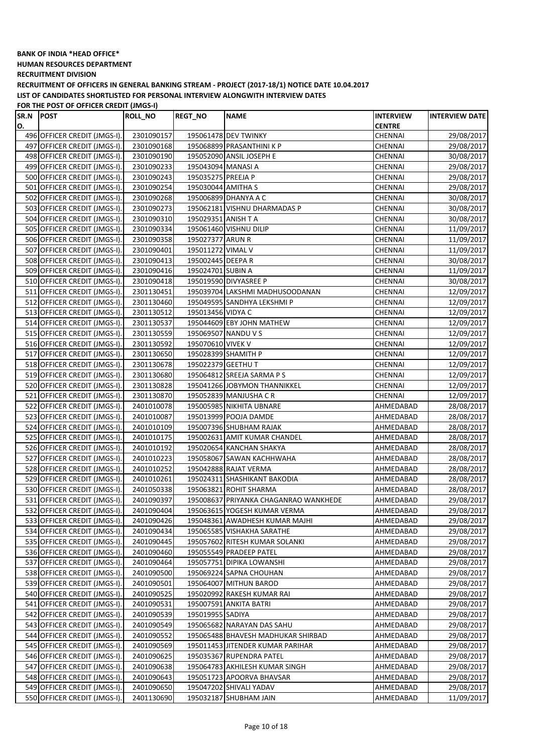**HUMAN RESOURCES DEPARTMENT**

**RECRUITMENT DIVISION**

**RECRUITMENT OF OFFICERS IN GENERAL BANKING STREAM - PROJECT (2017-18/1) NOTICE DATE 10.04.2017 LIST OF CANDIDATES SHORTLISTED FOR PERSONAL INTERVIEW ALONGWITH INTERVIEW DATES**

| SR.N | <b>POST</b>                  | <b>ROLL_NO</b> | <b>REGT_NO</b>      | <b>NAME</b>                           | <b>INTERVIEW</b> | <b>INTERVIEW DATE</b> |
|------|------------------------------|----------------|---------------------|---------------------------------------|------------------|-----------------------|
| О.   |                              |                |                     |                                       | <b>CENTRE</b>    |                       |
|      | 496 OFFICER CREDIT (JMGS-I). | 2301090157     |                     | 195061478 DEV TWINKY                  | CHENNAI          | 29/08/2017            |
|      | 497 OFFICER CREDIT (JMGS-I). | 2301090168     |                     | 195068899 PRASANTHINI K P             | CHENNAI          | 29/08/2017            |
|      | 498 OFFICER CREDIT (JMGS-I). | 2301090190     |                     | 195052090 ANSIL JOSEPH E              | CHENNAI          | 30/08/2017            |
|      | 499 OFFICER CREDIT (JMGS-I). | 2301090233     | 195043094 MANASI A  |                                       | CHENNAI          | 29/08/2017            |
|      | 500 OFFICER CREDIT (JMGS-I). | 2301090243     | 195035275 PREEJA P  |                                       | CHENNAI          | 29/08/2017            |
|      | 501 OFFICER CREDIT (JMGS-I). | 2301090254     | 195030044 AMITHA S  |                                       | CHENNAI          | 29/08/2017            |
|      | 502 OFFICER CREDIT (JMGS-I). | 2301090268     |                     | 195006899 DHANYA A C                  | CHENNAI          | 30/08/2017            |
|      | 503 OFFICER CREDIT (JMGS-I). | 2301090273     |                     | 195062181 VISHNU DHARMADAS P          | CHENNAI          | 30/08/2017            |
|      | 504 OFFICER CREDIT (JMGS-I). | 2301090310     | 195029351 ANISH T A |                                       | CHENNAI          | 30/08/2017            |
|      | 505 OFFICER CREDIT (JMGS-I). | 2301090334     |                     | 195061460 VISHNU DILIP                | CHENNAI          | 11/09/2017            |
|      | 506 OFFICER CREDIT (JMGS-I). | 2301090358     | 195027377 ARUN R    |                                       | CHENNAI          | 11/09/2017            |
|      | 507 OFFICER CREDIT (JMGS-I). | 2301090401     | 195011272 VIMAL V   |                                       | CHENNAI          | 11/09/2017            |
|      | 508 OFFICER CREDIT (JMGS-I). | 2301090413     | 195002445 DEEPA R   |                                       | CHENNAI          | 30/08/2017            |
|      | 509 OFFICER CREDIT (JMGS-I). | 2301090416     | 195024701 SUBIN A   |                                       | CHENNAI          | 11/09/2017            |
|      | 510 OFFICER CREDIT (JMGS-I). | 2301090418     |                     | 195019590 DIVYASREE P                 | <b>CHENNAI</b>   | 30/08/2017            |
|      | 511 OFFICER CREDIT (JMGS-I). | 2301130451     |                     | 195039704 LAKSHMI MADHUSOODANAN       | CHENNAI          | 12/09/2017            |
|      | 512 OFFICER CREDIT (JMGS-I). | 2301130460     |                     | 195049595 SANDHYA LEKSHMI P           | <b>CHENNAI</b>   | 12/09/2017            |
|      | 513 OFFICER CREDIT (JMGS-I). | 2301130512     | 195013456 VIDYA C   |                                       | CHENNAI          | 12/09/2017            |
|      | 514 OFFICER CREDIT (JMGS-I). | 2301130537     |                     | 195044609 EBY JOHN MATHEW             | <b>CHENNAI</b>   | 12/09/2017            |
|      | 515 OFFICER CREDIT (JMGS-I). | 2301130559     |                     | 195069507 NANDU V S                   | CHENNAI          | 12/09/2017            |
|      | 516 OFFICER CREDIT (JMGS-I). | 2301130592     | 195070610 VIVEK V   |                                       | CHENNAI          | 12/09/2017            |
|      |                              |                |                     | 195028399 SHAMITH P                   |                  |                       |
|      | 517 OFFICER CREDIT (JMGS-I). | 2301130650     |                     |                                       | CHENNAI          | 12/09/2017            |
|      | 518 OFFICER CREDIT (JMGS-I). | 2301130678     | 195022379 GEETHU T  |                                       | <b>CHENNAI</b>   | 12/09/2017            |
|      | 519 OFFICER CREDIT (JMGS-I). | 2301130680     |                     | 195064812 SREEJA SARMA P S            | CHENNAI          | 12/09/2017            |
|      | 520 OFFICER CREDIT (JMGS-I). | 2301130828     |                     | 195041266 JOBYMON THANNIKKEL          | CHENNAI          | 12/09/2017            |
|      | 521 OFFICER CREDIT (JMGS-I). | 2301130870     |                     | 195052839 MANJUSHA CR                 | CHENNAI          | 12/09/2017            |
|      | 522 OFFICER CREDIT (JMGS-I). | 2401010078     |                     | 195005985 NIKHITA UBNARE              | AHMEDABAD        | 28/08/2017            |
|      | 523 OFFICER CREDIT (JMGS-I). | 2401010087     |                     | 195013999 POOJA DAMDE                 | AHMEDABAD        | 28/08/2017            |
|      | 524 OFFICER CREDIT (JMGS-I). | 2401010109     |                     | 195007396 SHUBHAM RAJAK               | AHMEDABAD        | 28/08/2017            |
|      | 525 OFFICER CREDIT (JMGS-I). | 2401010175     |                     | 195002631 AMIT KUMAR CHANDEL          | AHMEDABAD        | 28/08/2017            |
|      | 526 OFFICER CREDIT (JMGS-I). | 2401010192     |                     | 195020654 KANCHAN SHAKYA              | AHMEDABAD        | 28/08/2017            |
|      | 527 OFFICER CREDIT (JMGS-I). | 2401010223     |                     | 195058067 SAWAN KACHHWAHA             | AHMEDABAD        | 28/08/2017            |
|      | 528 OFFICER CREDIT (JMGS-I). | 2401010252     |                     | 195042888 RAJAT VERMA                 | AHMEDABAD        | 28/08/2017            |
|      | 529 OFFICER CREDIT (JMGS-I). | 2401010261     |                     | 195024311 SHASHIKANT BAKODIA          | AHMEDABAD        | 28/08/2017            |
|      | 530 OFFICER CREDIT (JMGS-I). | 2401050338     |                     | 195063821 ROHIT SHARMA                | AHMEDABAD        | 28/08/2017            |
|      | 531 OFFICER CREDIT (JMGS-I). | 2401090397     |                     | 195008637 PRIYANKA CHAGANRAO WANKHEDE | AHMEDABAD        | 29/08/2017            |
|      | 532 OFFICER CREDIT (JMGS-I). | 2401090404     |                     | 195063615 YOGESH KUMAR VERMA          | AHMEDABAD        | 29/08/2017            |
|      | 533 OFFICER CREDIT (JMGS-I). | 2401090426     |                     | 195048361 AWADHESH KUMAR MAJHI        | AHMEDABAD        | 29/08/2017            |
|      | 534 OFFICER CREDIT (JMGS-I). | 2401090434     |                     | 195065585 VISHAKHA SARATHE            | AHMEDABAD        | 29/08/2017            |
|      | 535 OFFICER CREDIT (JMGS-I). | 2401090445     |                     | 195057602 RITESH KUMAR SOLANKI        | AHMEDABAD        | 29/08/2017            |
|      | 536 OFFICER CREDIT (JMGS-I). | 2401090460     |                     | 195055549 PRADEEP PATEL               | AHMEDABAD        | 29/08/2017            |
|      | 537 OFFICER CREDIT (JMGS-I). | 2401090464     |                     | 195057751 DIPIKA LOWANSHI             | AHMEDABAD        | 29/08/2017            |
|      | 538 OFFICER CREDIT (JMGS-I). | 2401090500     |                     | 195069224 SAPNA CHOUHAN               | AHMEDABAD        | 29/08/2017            |
|      | 539 OFFICER CREDIT (JMGS-I). | 2401090501     |                     | 195064007 MITHUN BAROD                | AHMEDABAD        | 29/08/2017            |
|      | 540 OFFICER CREDIT (JMGS-I). | 2401090525     |                     | 195020992 RAKESH KUMAR RAI            | AHMEDABAD        | 29/08/2017            |
|      | 541 OFFICER CREDIT (JMGS-I). | 2401090531     |                     | 195007591 ANKITA BATRI                | AHMEDABAD        | 29/08/2017            |
|      | 542 OFFICER CREDIT (JMGS-I). | 2401090539     | 195019955 SADIYA    |                                       | AHMEDABAD        | 29/08/2017            |
|      | 543 OFFICER CREDIT (JMGS-I). | 2401090549     |                     | 195065682 NARAYAN DAS SAHU            | AHMEDABAD        | 29/08/2017            |
|      | 544 OFFICER CREDIT (JMGS-I). | 2401090552     |                     | 195065488 BHAVESH MADHUKAR SHIRBAD    | AHMEDABAD        | 29/08/2017            |
|      | 545 OFFICER CREDIT (JMGS-I). | 2401090569     |                     | 195011453 JITENDER KUMAR PARIHAR      | AHMEDABAD        | 29/08/2017            |
|      | 546 OFFICER CREDIT (JMGS-I). | 2401090625     |                     | 195035367 RUPENDRA PATEL              | AHMEDABAD        | 29/08/2017            |
|      | 547 OFFICER CREDIT (JMGS-I). | 2401090638     |                     | 195064783 AKHILESH KUMAR SINGH        | AHMEDABAD        | 29/08/2017            |
|      | 548 OFFICER CREDIT (JMGS-I). | 2401090643     |                     | 195051723 APOORVA BHAVSAR             | AHMEDABAD        | 29/08/2017            |
|      | 549 OFFICER CREDIT (JMGS-I). | 2401090650     |                     | 195047202 SHIVALI YADAV               | AHMEDABAD        | 29/08/2017            |
|      | 550 OFFICER CREDIT (JMGS-I). | 2401130690     |                     | 195032187 SHUBHAM JAIN                | AHMEDABAD        | 11/09/2017            |
|      |                              |                |                     |                                       |                  |                       |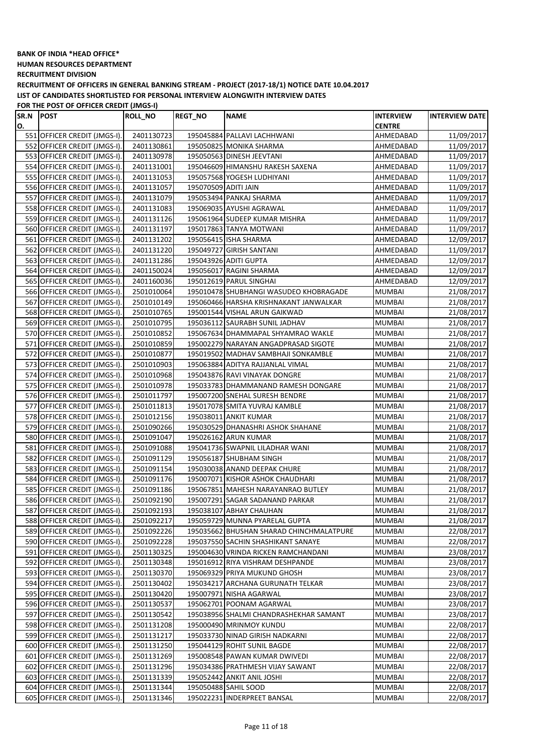**HUMAN RESOURCES DEPARTMENT**

**RECRUITMENT DIVISION**

**RECRUITMENT OF OFFICERS IN GENERAL BANKING STREAM - PROJECT (2017-18/1) NOTICE DATE 10.04.2017 LIST OF CANDIDATES SHORTLISTED FOR PERSONAL INTERVIEW ALONGWITH INTERVIEW DATES**

**FOR THE POST OF OFFICER CREDIT (JMGS-I)**

| SR.N | <b>POST</b>                  | <b>ROLL_NO</b> | <b>REGT_NO</b>       | <b>NAME</b>                              | <b>INTERVIEW</b> | <b>INTERVIEW DATE</b> |
|------|------------------------------|----------------|----------------------|------------------------------------------|------------------|-----------------------|
| О.   |                              |                |                      |                                          | <b>CENTRE</b>    |                       |
|      | 551 OFFICER CREDIT (JMGS-I). | 2401130723     |                      | 195045884 PALLAVI LACHHWANI              | AHMEDABAD        | 11/09/2017            |
|      | 552 OFFICER CREDIT (JMGS-I). | 2401130861     |                      | 195050825 MONIKA SHARMA                  | AHMEDABAD        | 11/09/2017            |
|      | 553 OFFICER CREDIT (JMGS-I). | 2401130978     |                      | 195050563 DINESH JEEVTANI                | AHMEDABAD        | 11/09/2017            |
|      | 554 OFFICER CREDIT (JMGS-I). | 2401131001     |                      | 195046609 HIMANSHU RAKESH SAXENA         | AHMEDABAD        | 11/09/2017            |
|      | 555 OFFICER CREDIT (JMGS-I). | 2401131053     |                      | 195057568 YOGESH LUDHIYANI               | AHMEDABAD        | 11/09/2017            |
|      | 556 OFFICER CREDIT (JMGS-I). | 2401131057     | 195070509 ADITI JAIN |                                          | AHMEDABAD        | 11/09/2017            |
|      | 557 OFFICER CREDIT (JMGS-I). | 2401131079     |                      | 195053494 PANKAJ SHARMA                  | AHMEDABAD        | 11/09/2017            |
|      | 558 OFFICER CREDIT (JMGS-I). | 2401131083     |                      | 195069035 AYUSHI AGRAWAL                 | AHMEDABAD        | 11/09/2017            |
|      | 559 OFFICER CREDIT (JMGS-I). | 2401131126     |                      | 195061964 SUDEEP KUMAR MISHRA            | AHMEDABAD        | 11/09/2017            |
|      | 560 OFFICER CREDIT (JMGS-I). | 2401131197     |                      | 195017863 TANYA MOTWANI                  | AHMEDABAD        | 11/09/2017            |
|      | 561 OFFICER CREDIT (JMGS-I). | 2401131202     |                      | 195056415 ISHA SHARMA                    | AHMEDABAD        | 12/09/2017            |
|      | 562 OFFICER CREDIT (JMGS-I). | 2401131220     |                      | 195049727 GIRISH SANTANI                 | AHMEDABAD        | 11/09/2017            |
|      | 563 OFFICER CREDIT (JMGS-I). | 2401131286     |                      | 195043926 ADITI GUPTA                    | AHMEDABAD        | 12/09/2017            |
|      | 564 OFFICER CREDIT (JMGS-I). | 2401150024     |                      | 195056017 RAGINI SHARMA                  | AHMEDABAD        | 12/09/2017            |
|      | 565 OFFICER CREDIT (JMGS-I). | 2401160036     |                      | 195012619 PARUL SINGHAI                  | AHMEDABAD        | 12/09/2017            |
|      | 566 OFFICER CREDIT (JMGS-I). | 2501010064     |                      | 195010478 SHUBHANGI WASUDEO KHOBRAGADE   | <b>MUMBAI</b>    | 21/08/2017            |
|      | 567 OFFICER CREDIT (JMGS-I). | 2501010149     |                      | 195060466 HARSHA KRISHNAKANT JANWALKAR   | MUMBAI           | 21/08/2017            |
|      | 568 OFFICER CREDIT (JMGS-I). | 2501010765     |                      | 195001544 VISHAL ARUN GAIKWAD            | <b>MUMBAI</b>    | 21/08/2017            |
|      | 569 OFFICER CREDIT (JMGS-I). | 2501010795     |                      | 195036112 SAURABH SUNIL JADHAV           | <b>MUMBAI</b>    | 21/08/2017            |
|      | 570 OFFICER CREDIT (JMGS-I). | 2501010852     |                      | 195067634 DHAMMAPAL SHYAMRAO WAKLE       | <b>MUMBAI</b>    | 21/08/2017            |
|      | 571 OFFICER CREDIT (JMGS-I). | 2501010859     |                      | 195002279 NARAYAN ANGADPRASAD SIGOTE     | <b>MUMBAI</b>    | 21/08/2017            |
|      | 572 OFFICER CREDIT (JMGS-I). | 2501010877     |                      | 195019502 MADHAV SAMBHAJI SONKAMBLE      | <b>MUMBAI</b>    | 21/08/2017            |
|      | 573 OFFICER CREDIT (JMGS-I). | 2501010903     |                      | 195063884 ADITYA RAJJANLAL VIMAL         | <b>MUMBAI</b>    | 21/08/2017            |
|      | 574 OFFICER CREDIT (JMGS-I). | 2501010968     |                      | 195043876 RAVI VINAYAK DONGRE            |                  |                       |
|      |                              |                |                      |                                          | <b>MUMBAI</b>    | 21/08/2017            |
|      | 575 OFFICER CREDIT (JMGS-I). | 2501010978     |                      | 195033783 DHAMMANAND RAMESH DONGARE      | <b>MUMBAI</b>    | 21/08/2017            |
|      | 576 OFFICER CREDIT (JMGS-I). | 2501011797     |                      | 195007200 SNEHAL SURESH BENDRE           | <b>MUMBAI</b>    | 21/08/2017            |
|      | 577 OFFICER CREDIT (JMGS-I). | 2501011813     |                      | 195017078 SMITA YUVRAJ KAMBLE            | <b>MUMBAI</b>    | 21/08/2017            |
|      | 578 OFFICER CREDIT (JMGS-I). | 2501012156     |                      | 195038011 ANKIT KUMAR                    | <b>MUMBAI</b>    | 21/08/2017            |
|      | 579 OFFICER CREDIT (JMGS-I). | 2501090266     |                      | 195030529 DHANASHRI ASHOK SHAHANE        | <b>MUMBAI</b>    | 21/08/2017            |
|      | 580 OFFICER CREDIT (JMGS-I). | 2501091047     |                      | 195026162 ARUN KUMAR                     | <b>MUMBAI</b>    | 21/08/2017            |
|      | 581 OFFICER CREDIT (JMGS-I). | 2501091088     |                      | 195041736 SWAPNIL LILADHAR WANI          | <b>MUMBAI</b>    | 21/08/2017            |
|      | 582 OFFICER CREDIT (JMGS-I). | 2501091129     |                      | 195056187 SHUBHAM SINGH                  | <b>MUMBAI</b>    | 21/08/2017            |
|      | 583 OFFICER CREDIT (JMGS-I). | 2501091154     |                      | 195030038 ANAND DEEPAK CHURE             | <b>MUMBAI</b>    | 21/08/2017            |
|      | 584 OFFICER CREDIT (JMGS-I). | 2501091176     |                      | 195007071 KISHOR ASHOK CHAUDHARI         | MUMBAI           | 21/08/2017            |
|      | 585 OFFICER CREDIT (JMGS-I). | 2501091186     |                      | 195067851 MAHESH NARAYANRAO BUTLEY       | <b>MUMBAI</b>    | 21/08/2017            |
|      | 586 OFFICER CREDIT (JMGS-I). | 2501092190     |                      | 195007291 SAGAR SADANAND PARKAR          | <b>MUMBAI</b>    | 21/08/2017            |
|      | 587 OFFICER CREDIT (JMGS-I). | 2501092193     |                      | 195038107 ABHAY CHAUHAN                  | <b>MUMBAI</b>    | 21/08/2017            |
|      | 588 OFFICER CREDIT (JMGS-I). | 2501092217     |                      | 195059729 MUNNA PYARELAL GUPTA           | <b>MUMBAI</b>    | 21/08/2017            |
|      | 589 OFFICER CREDIT (JMGS-I). | 2501092226     |                      | 195035662 BHUSHAN SHARAD CHINCHMALATPURE | <b>MUMBAI</b>    | 22/08/2017            |
|      | 590 OFFICER CREDIT (JMGS-I). | 2501092228     |                      | 195037550 SACHIN SHASHIKANT SANAYE       | <b>MUMBAI</b>    | 22/08/2017            |
|      | 591 OFFICER CREDIT (JMGS-I). | 2501130325     |                      | 195004630 VRINDA RICKEN RAMCHANDANI      | MUMBAI           | 23/08/2017            |
|      | 592 OFFICER CREDIT (JMGS-I). | 2501130348     |                      | 195016912 RIYA VISHRAM DESHPANDE         | MUMBAI           | 23/08/2017            |
|      | 593 OFFICER CREDIT (JMGS-I). | 2501130370     |                      | 195069329 PRIYA MUKUND GHOSH             | <b>MUMBAI</b>    | 23/08/2017            |
|      | 594 OFFICER CREDIT (JMGS-I). | 2501130402     |                      | 195034217 ARCHANA GURUNATH TELKAR        | <b>MUMBAI</b>    | 23/08/2017            |
|      | 595 OFFICER CREDIT (JMGS-I). | 2501130420     |                      | 195007971 NISHA AGARWAL                  | <b>MUMBAI</b>    | 23/08/2017            |
|      | 596 OFFICER CREDIT (JMGS-I). | 2501130537     |                      | 195062701 POONAM AGARWAL                 | <b>MUMBAI</b>    | 23/08/2017            |
|      | 597 OFFICER CREDIT (JMGS-I). | 2501130542     |                      | 195038956 SHALMI CHANDRASHEKHAR SAMANT   | <b>MUMBAI</b>    | 23/08/2017            |
|      | 598 OFFICER CREDIT (JMGS-I). | 2501131208     |                      | 195000490 MRINMOY KUNDU                  | <b>MUMBAI</b>    | 22/08/2017            |
|      | 599 OFFICER CREDIT (JMGS-I). | 2501131217     |                      | 195033730 NINAD GIRISH NADKARNI          | MUMBAI           | 22/08/2017            |
|      | 600 OFFICER CREDIT (JMGS-I). | 2501131250     |                      | 195044129 ROHIT SUNIL BAGDE              | MUMBAI           | 22/08/2017            |
|      | 601 OFFICER CREDIT (JMGS-I). | 2501131269     |                      | 195008548 PAWAN KUMAR DWIVEDI            | MUMBAI           | 22/08/2017            |
|      | 602 OFFICER CREDIT (JMGS-I). | 2501131296     |                      | 195034386 PRATHMESH VIJAY SAWANT         | <b>MUMBAI</b>    | 22/08/2017            |
|      | 603 OFFICER CREDIT (JMGS-I). | 2501131339     |                      | 195052442 ANKIT ANIL JOSHI               | <b>MUMBAI</b>    | 22/08/2017            |
|      | 604 OFFICER CREDIT (JMGS-I). | 2501131344     |                      | 195050488 SAHIL SOOD                     | <b>MUMBAI</b>    | 22/08/2017            |
|      | 605 OFFICER CREDIT (JMGS-I). | 2501131346     |                      | 195022231 INDERPREET BANSAL              | <b>MUMBAI</b>    | 22/08/2017            |
|      |                              |                |                      |                                          |                  |                       |

 $\overline{\phantom{a}}$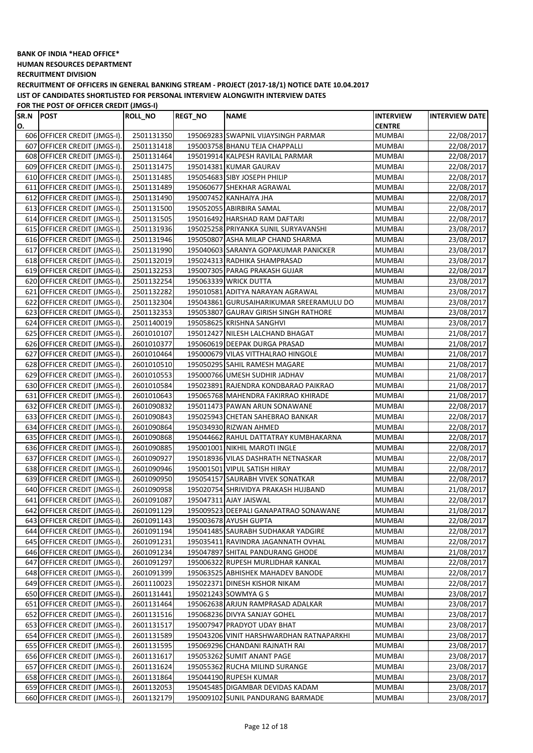**HUMAN RESOURCES DEPARTMENT**

**RECRUITMENT DIVISION**

**RECRUITMENT OF OFFICERS IN GENERAL BANKING STREAM - PROJECT (2017-18/1) NOTICE DATE 10.04.2017 LIST OF CANDIDATES SHORTLISTED FOR PERSONAL INTERVIEW ALONGWITH INTERVIEW DATES**

**FOR THE POST OF OFFICER CREDIT (JMGS-I)**

| SR.N | <b>POST</b>                  | <b>ROLL_NO</b> | <b>REGT NO</b> | <b>NAME</b>                              | <b>INTERVIEW</b> | <b>INTERVIEW DATE</b> |
|------|------------------------------|----------------|----------------|------------------------------------------|------------------|-----------------------|
| О.   |                              |                |                |                                          | <b>CENTRE</b>    |                       |
|      | 606 OFFICER CREDIT (JMGS-I). | 2501131350     |                | 195069283 SWAPNIL VIJAYSINGH PARMAR      | <b>MUMBAI</b>    | 22/08/2017            |
|      | 607 OFFICER CREDIT (JMGS-I). | 2501131418     |                | 195003758 BHANU TEJA CHAPPALLI           | <b>MUMBAI</b>    | 22/08/2017            |
|      | 608 OFFICER CREDIT (JMGS-I). | 2501131464     |                | 195019914 KALPESH RAVILAL PARMAR         | <b>MUMBAI</b>    | 22/08/2017            |
|      | 609 OFFICER CREDIT (JMGS-I). | 2501131475     |                | 195014381 KUMAR GAURAV                   | <b>MUMBAI</b>    | 22/08/2017            |
|      | 610 OFFICER CREDIT (JMGS-I). | 2501131485     |                | 195054683 SIBY JOSEPH PHILIP             | <b>MUMBAI</b>    | 22/08/2017            |
|      | 611 OFFICER CREDIT (JMGS-I). | 2501131489     |                | 195060677 SHEKHAR AGRAWAL                | <b>MUMBAI</b>    | 22/08/2017            |
|      | 612 OFFICER CREDIT (JMGS-I). | 2501131490     |                | 195007452 KANHAIYA JHA                   | <b>MUMBAI</b>    | 22/08/2017            |
|      | 613 OFFICER CREDIT (JMGS-I). | 2501131500     |                | 195052055 ABIRBIRA SAMAL                 | <b>MUMBAI</b>    | 22/08/2017            |
|      | 614 OFFICER CREDIT (JMGS-I). | 2501131505     |                | 195016492 HARSHAD RAM DAFTARI            | <b>MUMBAI</b>    | 22/08/2017            |
|      | 615 OFFICER CREDIT (JMGS-I). | 2501131936     |                | 195025258 PRIYANKA SUNIL SURYAVANSHI     | <b>MUMBAI</b>    | 23/08/2017            |
|      | 616 OFFICER CREDIT (JMGS-I). | 2501131946     |                | 195050807 ASHA MILAP CHAND SHARMA        | <b>MUMBAI</b>    | 23/08/2017            |
|      | 617 OFFICER CREDIT (JMGS-I). | 2501131990     |                | 195040603 SARANYA GOPAKUMAR PANICKER     | <b>MUMBAI</b>    | 23/08/2017            |
|      | 618 OFFICER CREDIT (JMGS-I). | 2501132019     |                | 195024313 RADHIKA SHAMPRASAD             | <b>MUMBAI</b>    | 23/08/2017            |
|      | 619 OFFICER CREDIT (JMGS-I). | 2501132253     |                | 195007305 PARAG PRAKASH GUJAR            | <b>MUMBAI</b>    | 22/08/2017            |
|      | 620 OFFICER CREDIT (JMGS-I). | 2501132254     |                | 195063339 WRICK DUTTA                    | <b>MUMBAI</b>    | 23/08/2017            |
|      | 621 OFFICER CREDIT (JMGS-I). | 2501132282     |                | 195010581 ADITYA NARAYAN AGRAWAL         | <b>MUMBAI</b>    | 23/08/2017            |
|      | 622 OFFICER CREDIT (JMGS-I). | 2501132304     |                | 195043861 GURUSAIHARIKUMAR SREERAMULU DO | MUMBAI           | 23/08/2017            |
|      | 623 OFFICER CREDIT (JMGS-I). | 2501132353     |                | 195053807 GAURAV GIRISH SINGH RATHORE    | <b>MUMBAI</b>    | 23/08/2017            |
|      | 624 OFFICER CREDIT (JMGS-I). | 2501140019     |                | 195058625 KRISHNA SANGHVI                | <b>MUMBAI</b>    | 23/08/2017            |
|      | 625 OFFICER CREDIT (JMGS-I). | 2601010107     |                | 195012427 NILESH LALCHAND BHAGAT         | <b>MUMBAI</b>    | 21/08/2017            |
|      | 626 OFFICER CREDIT (JMGS-I). | 2601010377     |                | 195060619 DEEPAK DURGA PRASAD            | <b>MUMBAI</b>    | 21/08/2017            |
|      | 627 OFFICER CREDIT (JMGS-I). | 2601010464     |                | 195000679 VILAS VITTHALRAO HINGOLE       | <b>MUMBAI</b>    | 21/08/2017            |
|      | 628 OFFICER CREDIT (JMGS-I). | 2601010510     |                | 195050295 SAHIL RAMESH MAGARE            | <b>MUMBAI</b>    | 21/08/2017            |
|      | 629 OFFICER CREDIT (JMGS-I). | 2601010553     |                | 195000766 UMESH SUDHIR JADHAV            | <b>MUMBAI</b>    | 21/08/2017            |
|      | 630 OFFICER CREDIT (JMGS-I). | 2601010584     |                | 195023891 RAJENDRA KONDBARAO PAIKRAO     | <b>MUMBAI</b>    | 21/08/2017            |
|      | 631 OFFICER CREDIT (JMGS-I). | 2601010643     |                | 195065768 MAHENDRA FAKIRRAO KHIRADE      | <b>MUMBAI</b>    | 21/08/2017            |
|      | 632 OFFICER CREDIT (JMGS-I). | 2601090832     |                | 195011473 PAWAN ARUN SONAWANE            | <b>MUMBAI</b>    | 22/08/2017            |
|      | 633 OFFICER CREDIT (JMGS-I). | 2601090843     |                | 195025943 CHETAN SAHEBRAO BANKAR         | <b>MUMBAI</b>    | 22/08/2017            |
|      | 634 OFFICER CREDIT (JMGS-I). | 2601090864     |                | 195034930 RIZWAN AHMED                   | <b>MUMBAI</b>    | 22/08/2017            |
|      | 635 OFFICER CREDIT (JMGS-I). | 2601090868     |                | 195044662 RAHUL DATTATRAY KUMBHAKARNA    | <b>MUMBAI</b>    | 22/08/2017            |
|      | 636 OFFICER CREDIT (JMGS-I). | 2601090885     |                | 195001001 NIKHIL MAROTI INGLE            | <b>MUMBAI</b>    | 22/08/2017            |
|      | 637 OFFICER CREDIT (JMGS-I). | 2601090927     |                | 195018936 VILAS DASHRATH NETNASKAR       | MUMBAI           | 22/08/2017            |
|      | 638 OFFICER CREDIT (JMGS-I). | 2601090946     |                | 195001501 VIPUL SATISH HIRAY             | <b>MUMBAI</b>    | 22/08/2017            |
|      | 639 OFFICER CREDIT (JMGS-I). | 2601090950     |                | 195054157 SAURABH VIVEK SONATKAR         | MUMBAI           | 22/08/2017            |
|      | 640 OFFICER CREDIT (JMGS-I). | 2601090958     |                | 195020754 SHRIVIDYA PRAKASH HUJBAND      | MUMBAI           | 21/08/2017            |
|      | 641 OFFICER CREDIT (JMGS-I). | 2601091087     |                | 195047311 AJAY JAISWAL                   | <b>MUMBAI</b>    | 22/08/2017            |
|      | 642 OFFICER CREDIT (JMGS-I). | 2601091129     |                | 195009523 DEEPALI GANAPATRAO SONAWANE    | <b>MUMBAI</b>    | 21/08/2017            |
|      | 643 OFFICER CREDIT (JMGS-I). | 2601091143     |                | 195003678 AYUSH GUPTA                    | <b>MUMBAI</b>    | 22/08/2017            |
|      | 644 OFFICER CREDIT (JMGS-I). | 2601091194     |                | 195041485 SAURABH SUDHAKAR YADGIRE       | <b>MUMBAI</b>    | 22/08/2017            |
|      | 645 OFFICER CREDIT (JMGS-I). | 2601091231     |                | 195035411 RAVINDRA JAGANNATH OVHAL       | MUMBAI           | 22/08/2017            |
|      | 646 OFFICER CREDIT (JMGS-I). | 2601091234     |                | 195047897 SHITAL PANDURANG GHODE         | MUMBAI           | 21/08/2017            |
|      | 647 OFFICER CREDIT (JMGS-I). | 2601091297     |                | 195006322 RUPESH MURLIDHAR KANKAL        | <b>MUMBAI</b>    | 22/08/2017            |
|      | 648 OFFICER CREDIT (JMGS-I). | 2601091399     |                | 195063525 ABHISHEK MAHADEV BANODE        | <b>MUMBAI</b>    | 22/08/2017            |
|      | 649 OFFICER CREDIT (JMGS-I). | 2601110023     |                | 195022371 DINESH KISHOR NIKAM            | <b>MUMBAI</b>    | 22/08/2017            |
|      | 650 OFFICER CREDIT (JMGS-I). | 2601131441     |                | 195021243 SOWMYA G S                     | <b>MUMBAI</b>    | 23/08/2017            |
|      | 651 OFFICER CREDIT (JMGS-I). | 2601131464     |                | 195062638 ARJUN RAMPRASAD ADALKAR        | MUMBAI           | 23/08/2017            |
|      | 652 OFFICER CREDIT (JMGS-I). | 2601131516     |                | 195068236 DIVYA SANJAY GOHEL             | <b>MUMBAI</b>    | 23/08/2017            |
|      | 653 OFFICER CREDIT (JMGS-I). | 2601131517     |                | 195007947 PRADYOT UDAY BHAT              | MUMBAI           | 23/08/2017            |
|      | 654 OFFICER CREDIT (JMGS-I). | 2601131589     |                | 195043206 VINIT HARSHWARDHAN RATNAPARKHI | MUMBAI           | 23/08/2017            |
|      | 655 OFFICER CREDIT (JMGS-I). | 2601131595     |                | 195069296 CHANDANI RAJNATH RAI           | MUMBAI           | 23/08/2017            |
|      | 656 OFFICER CREDIT (JMGS-I). | 2601131617     |                | 195053262 SUMIT ANANT PAGE               | MUMBAI           | 23/08/2017            |
|      | 657 OFFICER CREDIT (JMGS-I). | 2601131624     |                | 195055362 RUCHA MILIND SURANGE           | MUMBAI           | 23/08/2017            |
|      | 658 OFFICER CREDIT (JMGS-I). | 2601131864     |                | 195044190 RUPESH KUMAR                   | <b>MUMBAI</b>    | 23/08/2017            |
|      | 659 OFFICER CREDIT (JMGS-I). | 2601132053     |                | 195045485 DIGAMBAR DEVIDAS KADAM         | MUMBAI           | 23/08/2017            |
|      | 660 OFFICER CREDIT (JMGS-I). | 2601132179     |                | 195009102 SUNIL PANDURANG BARMADE        | <b>MUMBAI</b>    | 23/08/2017            |

 $\overline{\phantom{a}}$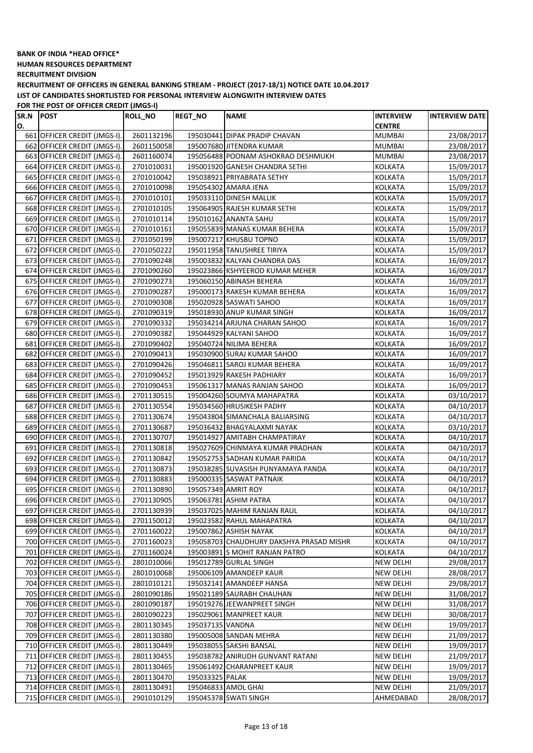**HUMAN RESOURCES DEPARTMENT**

**RECRUITMENT DIVISION**

**RECRUITMENT OF OFFICERS IN GENERAL BANKING STREAM - PROJECT (2017-18/1) NOTICE DATE 10.04.2017 LIST OF CANDIDATES SHORTLISTED FOR PERSONAL INTERVIEW ALONGWITH INTERVIEW DATES**

**FOR THE POST OF OFFICER CREDIT (JMGS-I)**

| SR.N | <b>POST</b>                  | <b>ROLL_NO</b> | <b>REGT_NO</b>   | <b>NAME</b>                              | <b>INTERVIEW</b> | <b>INTERVIEW DATE</b> |
|------|------------------------------|----------------|------------------|------------------------------------------|------------------|-----------------------|
| О.   |                              |                |                  |                                          | <b>CENTRE</b>    |                       |
|      | 661 OFFICER CREDIT (JMGS-I). | 2601132196     |                  | 195030441 DIPAK PRADIP CHAVAN            | MUMBAI           | 23/08/2017            |
|      | 662 OFFICER CREDIT (JMGS-I). | 2601150058     |                  | 195007680 JITENDRA KUMAR                 | MUMBAI           | 23/08/2017            |
|      | 663 OFFICER CREDIT (JMGS-I). | 2601160074     |                  | 195056488 POONAM ASHOKRAO DESHMUKH       | <b>MUMBAI</b>    | 23/08/2017            |
|      | 664 OFFICER CREDIT (JMGS-I). | 2701010031     |                  | 195001920 GANESH CHANDRA SETHI           | KOLKATA          | 15/09/2017            |
|      | 665 OFFICER CREDIT (JMGS-I). | 2701010042     |                  | 195038921 PRIYABRATA SETHY               | KOLKATA          | 15/09/2017            |
|      | 666 OFFICER CREDIT (JMGS-I). | 2701010098     |                  | 195054302 AMARA JENA                     | KOLKATA          | 15/09/2017            |
|      | 667 OFFICER CREDIT (JMGS-I). | 2701010101     |                  | 195033110 DINESH MALLIK                  | <b>KOLKATA</b>   | 15/09/2017            |
|      | 668 OFFICER CREDIT (JMGS-I). | 2701010105     |                  | 195064905 RAJESH KUMAR SETHI             | KOLKATA          | 15/09/2017            |
|      | 669 OFFICER CREDIT (JMGS-I). | 2701010114     |                  | 195010162 ANANTA SAHU                    | KOLKATA          | 15/09/2017            |
|      | 670 OFFICER CREDIT (JMGS-I). | 2701010161     |                  | 195055839 MANAS KUMAR BEHERA             | <b>KOLKATA</b>   | 15/09/2017            |
|      | 671 OFFICER CREDIT (JMGS-I). | 2701050199     |                  | 195007217 KHUSBU TOPNO                   | <b>KOLKATA</b>   | 15/09/2017            |
|      | 672 OFFICER CREDIT (JMGS-I). | 2701050222     |                  | 195011958 TANUSHREE TIRIYA               | <b>KOLKATA</b>   | 15/09/2017            |
|      | 673 OFFICER CREDIT (JMGS-I). | 2701090248     |                  | 195003832 KALYAN CHANDRA DAS             | <b>KOLKATA</b>   | 16/09/2017            |
|      | 674 OFFICER CREDIT (JMGS-I). | 2701090260     |                  | 195023866 KSHYEEROD KUMAR MEHER          | <b>KOLKATA</b>   | 16/09/2017            |
|      | 675 OFFICER CREDIT (JMGS-I). | 2701090273     |                  | 195060150 ABINASH BEHERA                 | <b>KOLKATA</b>   | 16/09/2017            |
|      | 676 OFFICER CREDIT (JMGS-I). | 2701090287     |                  | 195000173 RAKESH KUMAR BEHERA            | <b>KOLKATA</b>   | 16/09/2017            |
|      | 677 OFFICER CREDIT (JMGS-I). | 2701090308     |                  | 195020928 SASWATI SAHOO                  | KOLKATA          | 16/09/2017            |
|      | 678 OFFICER CREDIT (JMGS-I). | 2701090319     |                  | 195018930 ANUP KUMAR SINGH               | KOLKATA          | 16/09/2017            |
|      | 679 OFFICER CREDIT (JMGS-I). | 2701090332     |                  | 195034214 ARJUNA CHARAN SAHOO            | KOLKATA          | 16/09/2017            |
|      | 680 OFFICER CREDIT (JMGS-I). | 2701090382     |                  | 195044929 KALYANI SAHOO                  | KOLKATA          | 16/09/2017            |
|      | 681 OFFICER CREDIT (JMGS-I). | 2701090402     |                  | 195040724 NILIMA BEHERA                  | KOLKATA          | 16/09/2017            |
|      | 682 OFFICER CREDIT (JMGS-I). | 2701090413     |                  | 195030900 SURAJ KUMAR SAHOO              | KOLKATA          | 16/09/2017            |
|      | 683 OFFICER CREDIT (JMGS-I). | 2701090426     |                  | 195046811 SAROJ KUMAR BEHERA             | <b>KOLKATA</b>   | 16/09/2017            |
|      | 684 OFFICER CREDIT (JMGS-I). | 2701090452     |                  | 195013929 RAKESH PADHIARY                | <b>KOLKATA</b>   | 16/09/2017            |
|      | 685 OFFICER CREDIT (JMGS-I). | 2701090453     |                  | 195061317 MANAS RANJAN SAHOO             | KOLKATA          | 16/09/2017            |
|      | 686 OFFICER CREDIT (JMGS-I). | 2701130515     |                  | 195004260 SOUMYA MAHAPATRA               | KOLKATA          | 03/10/2017            |
|      | 687 OFFICER CREDIT (JMGS-I). | 2701130554     |                  | 195034560 HRUSIKESH PADHY                | <b>KOLKATA</b>   | 04/10/2017            |
|      | 688 OFFICER CREDIT (JMGS-I). | 2701130674     |                  | 195043804 SIMANCHALA BALIARSING          | <b>KOLKATA</b>   | 04/10/2017            |
|      | 689 OFFICER CREDIT (JMGS-I). | 2701130687     |                  | 195036432 BHAGYALAXMI NAYAK              | KOLKATA          | 03/10/2017            |
|      | 690 OFFICER CREDIT (JMGS-I). | 2701130707     |                  | 195014927 AMITABH CHAMPATIRAY            | KOLKATA          | 04/10/2017            |
| 691  | OFFICER CREDIT (JMGS-I).     | 2701130818     |                  | 195027609 CHINMAYA KUMAR PRADHAN         | KOLKATA          | 04/10/2017            |
|      | 692 OFFICER CREDIT (JMGS-I). | 2701130842     |                  | 195052753 SADHAN KUMAR PARIDA            | KOLKATA          | 04/10/2017            |
|      | 693 OFFICER CREDIT (JMGS-I). | 2701130873     |                  | 195038285 SUVASISH PUNYAMAYA PANDA       | KOLKATA          | 04/10/2017            |
|      | 694 OFFICER CREDIT (JMGS-I). | 2701130883     |                  | 195000335 SASWAT PATNAIK                 | KOLKATA          | 04/10/2017            |
|      | 695 OFFICER CREDIT (JMGS-I). | 2701130890     |                  | 195057349 AMRIT ROY                      | KOLKATA          | 04/10/2017            |
|      | 696 OFFICER CREDIT (JMGS-I). | 2701130905     |                  | 195063781 ASHIM PATRA                    | KOLKATA          | 04/10/2017            |
|      | 697 OFFICER CREDIT (JMGS-I). | 2701130939     |                  | 195037025 MAHIM RANJAN RAUL              | <b>KOLKATA</b>   | 04/10/2017            |
|      | 698 OFFICER CREDIT (JMGS-I). | 2701150012     |                  | 195023582 RAHUL MAHAPATRA                | KOLKATA          | 04/10/2017            |
|      | 699 OFFICER CREDIT (JMGS-I). | 2701160022     |                  | 195007862 ASHISH NAYAK                   | KOLKATA          | 04/10/2017            |
|      | 700 OFFICER CREDIT (JMGS-I). | 2701160023     |                  | 195058703 CHAUDHURY DAKSHYA PRASAD MISHR | KOLKATA          | 04/10/2017            |
|      | 701 OFFICER CREDIT (JMGS-I). | 2701160024     |                  | 195003891 S MOHIT RANJAN PATRO           | <b>KOLKATA</b>   | 04/10/2017            |
|      | 702 OFFICER CREDIT (JMGS-I). | 2801010066     |                  | 195012789 GURLAL SINGH                   | <b>NEW DELHI</b> | 29/08/2017            |
|      | 703 OFFICER CREDIT (JMGS-I). | 2801010068     |                  | 195006109 AMANDEEP KAUR                  | <b>NEW DELHI</b> | 28/08/2017            |
|      | 704 OFFICER CREDIT (JMGS-I). | 2801010121     |                  | 195032141 AMANDEEP HANSA                 | <b>NEW DELHI</b> | 29/08/2017            |
|      | 705 OFFICER CREDIT (JMGS-I). | 2801090186     |                  | 195021189 SAURABH CHAUHAN                | <b>NEW DELHI</b> | 31/08/2017            |
|      | 706 OFFICER CREDIT (JMGS-I). | 2801090187     |                  | 195019276 JEEWANPREET SINGH              | <b>NEW DELHI</b> | 31/08/2017            |
|      | 707 OFFICER CREDIT (JMGS-I). | 2801090223     |                  | 195029061 MANPREET KAUR                  | NEW DELHI        | 30/08/2017            |
|      | 708 OFFICER CREDIT (JMGS-I). | 2801130345     | 195037135 VANDNA |                                          | <b>NEW DELHI</b> | 19/09/2017            |
|      | 709 OFFICER CREDIT (JMGS-I). | 2801130380     |                  | 195005008 SANDAN MEHRA                   | <b>NEW DELHI</b> | 21/09/2017            |
|      | 710 OFFICER CREDIT (JMGS-I). | 2801130449     |                  | 195038055 SAKSHI BANSAL                  | NEW DELHI        | 19/09/2017            |
|      | 711 OFFICER CREDIT (JMGS-I). | 2801130455     |                  | 195038782 ANIRUDH GUNVANT RATANI         | NEW DELHI        | 21/09/2017            |
|      | 712 OFFICER CREDIT (JMGS-I). | 2801130465     |                  | 195061492 CHARANPREET KAUR               | NEW DELHI        | 19/09/2017            |
|      | 713 OFFICER CREDIT (JMGS-I). | 2801130470     | 195033325 PALAK  |                                          | NEW DELHI        | 19/09/2017            |
|      | 714 OFFICER CREDIT (JMGS-I). | 2801130491     |                  | 195046833 AMOL GHAI                      | <b>NEW DELHI</b> | 21/09/2017            |
|      | 715 OFFICER CREDIT (JMGS-I). | 2901010129     |                  | 195045378 SWATI SINGH                    | AHMEDABAD        | 28/08/2017            |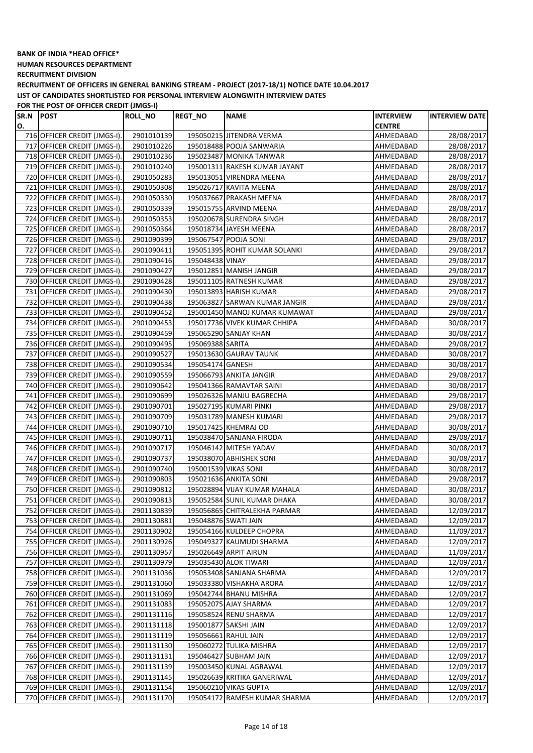**HUMAN RESOURCES DEPARTMENT**

**RECRUITMENT DIVISION**

**RECRUITMENT OF OFFICERS IN GENERAL BANKING STREAM - PROJECT (2017-18/1) NOTICE DATE 10.04.2017 LIST OF CANDIDATES SHORTLISTED FOR PERSONAL INTERVIEW ALONGWITH INTERVIEW DATES**

**FOR THE POST OF OFFICER CREDIT (JMGS-I)**

| SR.N | <b>POST</b>                                                  | <b>ROLL_NO</b>           | <b>REGT_NO</b>   | <b>NAME</b>                   | <b>INTERVIEW</b>       | <b>INTERVIEW DATE</b>    |
|------|--------------------------------------------------------------|--------------------------|------------------|-------------------------------|------------------------|--------------------------|
| O.   |                                                              |                          |                  |                               | <b>CENTRE</b>          |                          |
|      | 716 OFFICER CREDIT (JMGS-I).                                 | 2901010139               |                  | 195050215 JITENDRA VERMA      | AHMEDABAD              | 28/08/2017               |
|      | 717 OFFICER CREDIT (JMGS-I).                                 | 2901010226               |                  | 195018488 POOJA SANWARIA      | AHMEDABAD              | 28/08/2017               |
|      | 718 OFFICER CREDIT (JMGS-I).                                 | 2901010236               |                  | 195023487 MONIKA TANWAR       | AHMEDABAD              | 28/08/2017               |
|      | 719 OFFICER CREDIT (JMGS-I).                                 | 2901010240               |                  | 195001311 RAKESH KUMAR JAYANT | AHMEDABAD              | 28/08/2017               |
|      | 720 OFFICER CREDIT (JMGS-I).                                 | 2901050283               |                  | 195013051 VIRENDRA MEENA      | AHMEDABAD              | 28/08/2017               |
|      | 721 OFFICER CREDIT (JMGS-I).                                 | 2901050308               |                  | 195026717 KAVITA MEENA        | AHMEDABAD              | 28/08/2017               |
|      | 722 OFFICER CREDIT (JMGS-I).                                 | 2901050330               |                  | 195037667 PRAKASH MEENA       | AHMEDABAD              | 28/08/2017               |
|      | 723 OFFICER CREDIT (JMGS-I).                                 | 2901050339               |                  | 195015755 ARVIND MEENA        | AHMEDABAD              | 28/08/2017               |
|      | 724 OFFICER CREDIT (JMGS-I).                                 | 2901050353               |                  | 195020678 SURENDRA SINGH      | AHMEDABAD              | 28/08/2017               |
|      | 725 OFFICER CREDIT (JMGS-I).                                 | 2901050364               |                  | 195018734 JAYESH MEENA        | AHMEDABAD              | 28/08/2017               |
|      | 726 OFFICER CREDIT (JMGS-I).                                 | 2901090399               |                  | 195067547 POOJA SONI          | AHMEDABAD              | 29/08/2017               |
|      | 727 OFFICER CREDIT (JMGS-I).                                 | 2901090411               |                  | 195051395 ROHIT KUMAR SOLANKI | AHMEDABAD              | 29/08/2017               |
|      | 728 OFFICER CREDIT (JMGS-I).                                 | 2901090416               | 195048438 VINAY  |                               | AHMEDABAD              | 29/08/2017               |
|      | 729 OFFICER CREDIT (JMGS-I).                                 | 2901090427               |                  | 195012851 MANISH JANGIR       | AHMEDABAD              | 29/08/2017               |
|      | 730 OFFICER CREDIT (JMGS-I).                                 | 2901090428               |                  | 195011105 RATNESH KUMAR       | AHMEDABAD              | 29/08/2017               |
|      | 731 OFFICER CREDIT (JMGS-I).                                 | 2901090430               |                  | 195013893 HARISH KUMAR        | AHMEDABAD              | 29/08/2017               |
|      | 732 OFFICER CREDIT (JMGS-I).                                 | 2901090438               |                  | 195063827 SARWAN KUMAR JANGIR | AHMEDABAD              | 29/08/2017               |
|      | 733 OFFICER CREDIT (JMGS-I).                                 | 2901090452               |                  | 195001450 MANOJ KUMAR KUMAWAT | AHMEDABAD              | 29/08/2017               |
|      | 734 OFFICER CREDIT (JMGS-I).                                 | 2901090453               |                  | 195017736 VIVEK KUMAR CHHIPA  | AHMEDABAD              | 30/08/2017               |
|      | 735 OFFICER CREDIT (JMGS-I).                                 | 2901090459               |                  | 195065290 SANJAY KHAN         | AHMEDABAD              | 30/08/2017               |
|      | 736 OFFICER CREDIT (JMGS-I).                                 | 2901090495               | 195069388 SARITA |                               | AHMEDABAD              | 29/08/2017               |
|      | 737 OFFICER CREDIT (JMGS-I).                                 | 2901090527               |                  | 195013630 GAURAV TAUNK        | AHMEDABAD              | 30/08/2017               |
|      | 738 OFFICER CREDIT (JMGS-I).                                 | 2901090534               | 195054174 GANESH |                               | AHMEDABAD              | 30/08/2017               |
|      | 739 OFFICER CREDIT (JMGS-I).                                 | 2901090559               |                  | 195066793 ANKITA JANGIR       | AHMEDABAD              | 29/08/2017               |
|      | 740 OFFICER CREDIT (JMGS-I).                                 | 2901090642               |                  | 195041366 RAMAVTAR SAINI      | AHMEDABAD              | 30/08/2017               |
|      | 741 OFFICER CREDIT (JMGS-I).                                 | 2901090699               |                  | 195026326 MANJU BAGRECHA      | AHMEDABAD              | 29/08/2017               |
|      | 742 OFFICER CREDIT (JMGS-I).                                 | 2901090701               |                  | 195027195 KUMARI PINKI        | AHMEDABAD              | 29/08/2017               |
|      | 743 OFFICER CREDIT (JMGS-I).                                 | 2901090709               |                  | 195031789 MANESH KUMARI       | AHMEDABAD              | 29/08/2017               |
|      | 744 OFFICER CREDIT (JMGS-I).                                 | 2901090710               |                  | 195017425 KHEMRAJ OD          | AHMEDABAD              | 30/08/2017               |
|      | 745 OFFICER CREDIT (JMGS-I).                                 | 2901090711               |                  | 195038470 SANJANA FIRODA      | AHMEDABAD              | 29/08/2017               |
|      | 746 OFFICER CREDIT (JMGS-I).                                 | 2901090717               |                  | 195046142 MITESH YADAV        | AHMEDABAD              | 30/08/2017               |
|      | 747 OFFICER CREDIT (JMGS-I).                                 | 2901090737               |                  | 195038070 ABHISHEK SONI       | AHMEDABAD              | 30/08/2017               |
|      | 748 OFFICER CREDIT (JMGS-I).                                 | 2901090740               |                  | 195001539 VIKAS SONI          | AHMEDABAD              | 30/08/2017               |
|      | 749 OFFICER CREDIT (JMGS-I).                                 | 2901090803               |                  | 195021636 ANKITA SONI         | AHMEDABAD              | 29/08/2017               |
|      | 750 OFFICER CREDIT (JMGS-I).                                 | 2901090812               |                  | 195028894 VIJAY KUMAR MAHALA  | AHMEDABAD              | 30/08/2017               |
|      | 751 OFFICER CREDIT (JMGS-I).                                 | 2901090813               |                  | 195052584 SUNIL KUMAR DHAKA   | AHMEDABAD              | 30/08/2017               |
|      | 752 OFFICER CREDIT (JMGS-I).                                 | 2901130839               |                  | 195056865 CHITRALEKHA PARMAR  | AHMEDABAD              | 12/09/2017               |
|      | 753 OFFICER CREDIT (JMGS-I).                                 | 2901130881               |                  | 195048876 SWATI JAIN          | AHMEDABAD              | 12/09/2017               |
|      | 754 OFFICER CREDIT (JMGS-I).                                 | 2901130902               |                  | 195054166 KULDEEP CHOPRA      | AHMEDABAD              | 11/09/2017               |
|      | 755 OFFICER CREDIT (JMGS-I).                                 | 2901130926               |                  | 195049327 KAUMUDI SHARMA      | AHMEDABAD              | 12/09/2017               |
|      | 756 OFFICER CREDIT (JMGS-I).                                 | 2901130957               |                  | 195026649 ARPIT AIRUN         | AHMEDABAD              | 11/09/2017               |
|      | 757 OFFICER CREDIT (JMGS-I).                                 | 2901130979               |                  | 195035430 ALOK TIWARI         | AHMEDABAD              | 12/09/2017               |
|      | 758 OFFICER CREDIT (JMGS-I).                                 | 2901131036               |                  | 195053408 SANJANA SHARMA      | AHMEDABAD              | 12/09/2017               |
|      | 759 OFFICER CREDIT (JMGS-I).                                 | 2901131060               |                  | 195033380 VISHAKHA ARORA      | AHMEDABAD              | 12/09/2017               |
|      | 760 OFFICER CREDIT (JMGS-I).                                 | 2901131069               |                  | 195042744 BHANU MISHRA        | AHMEDABAD              | 12/09/2017               |
|      | 761 OFFICER CREDIT (JMGS-I).                                 | 2901131083               |                  | 195052075 AJAY SHARMA         | AHMEDABAD              | 12/09/2017               |
|      |                                                              |                          |                  | 195058524 RENU SHARMA         |                        |                          |
|      | 762 OFFICER CREDIT (JMGS-I).<br>763 OFFICER CREDIT (JMGS-I). | 2901131116<br>2901131118 |                  | 195001877 SAKSHI JAIN         | AHMEDABAD<br>AHMEDABAD | 12/09/2017<br>12/09/2017 |
|      |                                                              |                          |                  |                               |                        |                          |
|      | 764 OFFICER CREDIT (JMGS-I).                                 | 2901131119               |                  | 195056661 RAHUL JAIN          | AHMEDABAD              | 12/09/2017               |
|      | 765 OFFICER CREDIT (JMGS-I).                                 | 2901131130               |                  | 195060272 TULIKA MISHRA       | AHMEDABAD              | 12/09/2017               |
|      | 766 OFFICER CREDIT (JMGS-I).                                 | 2901131131               |                  | 195046427 SUBHAM JAIN         | AHMEDABAD              | 12/09/2017               |
|      | 767 OFFICER CREDIT (JMGS-I).                                 | 2901131139               |                  | 195003450 KUNAL AGRAWAL       | AHMEDABAD              | 12/09/2017               |
|      | 768 OFFICER CREDIT (JMGS-I).                                 | 2901131145               |                  | 195026639 KRITIKA GANERIWAL   | AHMEDABAD              | 12/09/2017               |
|      | 769 OFFICER CREDIT (JMGS-I).                                 | 2901131154               |                  | 195060210 VIKAS GUPTA         | AHMEDABAD              | 12/09/2017               |
|      | 770 OFFICER CREDIT (JMGS-I).                                 | 2901131170               |                  | 195054172 RAMESH KUMAR SHARMA | AHMEDABAD              | 12/09/2017               |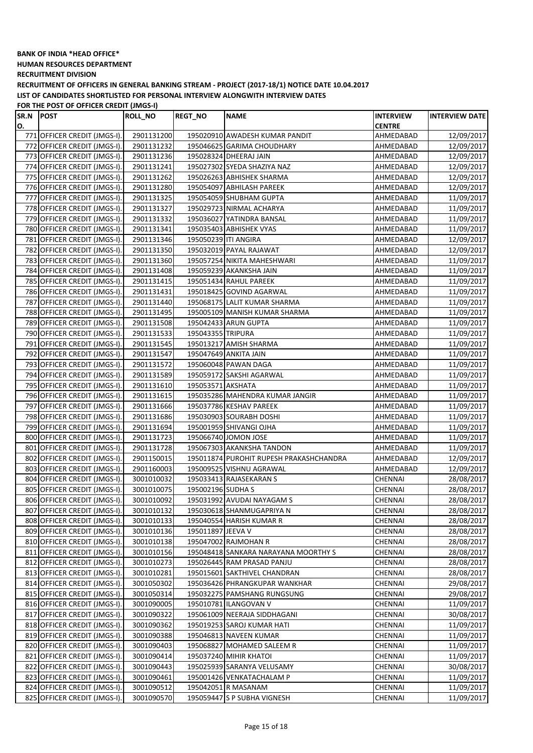**HUMAN RESOURCES DEPARTMENT**

**RECRUITMENT DIVISION**

**RECRUITMENT OF OFFICERS IN GENERAL BANKING STREAM - PROJECT (2017-18/1) NOTICE DATE 10.04.2017 LIST OF CANDIDATES SHORTLISTED FOR PERSONAL INTERVIEW ALONGWITH INTERVIEW DATES**

**FOR THE POST OF OFFICER CREDIT (JMGS-I)**

| SR.N | <b>POST</b>                  | <b>ROLL_NO</b> | <b>REGT_NO</b>       | <b>NAME</b>                             | <b>INTERVIEW</b> | <b>INTERVIEW DATE</b> |
|------|------------------------------|----------------|----------------------|-----------------------------------------|------------------|-----------------------|
| O.   |                              |                |                      |                                         | <b>CENTRE</b>    |                       |
|      | 771 OFFICER CREDIT (JMGS-I). | 2901131200     |                      | 195020910 AWADESH KUMAR PANDIT          | AHMEDABAD        | 12/09/2017            |
|      | 772 OFFICER CREDIT (JMGS-I). | 2901131232     |                      | 195046625 GARIMA CHOUDHARY              | AHMEDABAD        | 12/09/2017            |
|      | 773 OFFICER CREDIT (JMGS-I). | 2901131236     |                      | 195028324 DHEERAJ JAIN                  | AHMEDABAD        | 12/09/2017            |
|      | 774 OFFICER CREDIT (JMGS-I). | 2901131241     |                      | 195027302 SYEDA SHAZIYA NAZ             | AHMEDABAD        | 12/09/2017            |
|      | 775 OFFICER CREDIT (JMGS-I). | 2901131262     |                      | 195026263 ABHISHEK SHARMA               | AHMEDABAD        | 12/09/2017            |
|      | 776 OFFICER CREDIT (JMGS-I). | 2901131280     |                      | 195054097 ABHILASH PAREEK               | AHMEDABAD        | 12/09/2017            |
|      | 777 OFFICER CREDIT (JMGS-I). | 2901131325     |                      | 195054059 SHUBHAM GUPTA                 | AHMEDABAD        | 11/09/2017            |
|      | 778 OFFICER CREDIT (JMGS-I). | 2901131327     |                      | 195029723 NIRMAL ACHARYA                | AHMEDABAD        | 11/09/2017            |
|      | 779 OFFICER CREDIT (JMGS-I). | 2901131332     |                      | 195036027 YATINDRA BANSAL               | AHMEDABAD        | 11/09/2017            |
|      | 780 OFFICER CREDIT (JMGS-I). | 2901131341     |                      | 195035403 ABHISHEK VYAS                 | AHMEDABAD        | 11/09/2017            |
|      | 781 OFFICER CREDIT (JMGS-I). | 2901131346     | 195050239 ITI ANGIRA |                                         | AHMEDABAD        | 12/09/2017            |
|      | 782 OFFICER CREDIT (JMGS-I). | 2901131350     |                      | 195032019 PAYAL RAJAWAT                 | AHMEDABAD        | 12/09/2017            |
|      | 783 OFFICER CREDIT (JMGS-I). | 2901131360     |                      | 195057254 NIKITA MAHESHWARI             | AHMEDABAD        | 11/09/2017            |
|      | 784 OFFICER CREDIT (JMGS-I). | 2901131408     |                      | 195059239 AKANKSHA JAIN                 | AHMEDABAD        | 11/09/2017            |
|      | 785 OFFICER CREDIT (JMGS-I). | 2901131415     |                      | 195051434 RAHUL PAREEK                  | AHMEDABAD        | 11/09/2017            |
|      | 786 OFFICER CREDIT (JMGS-I). | 2901131431     |                      | 195018425 GOVIND AGARWAL                | AHMEDABAD        | 11/09/2017            |
|      | 787 OFFICER CREDIT (JMGS-I). | 2901131440     |                      | 195068175 LALIT KUMAR SHARMA            | AHMEDABAD        | 11/09/2017            |
|      | 788 OFFICER CREDIT (JMGS-I). | 2901131495     |                      | 195005109 MANISH KUMAR SHARMA           | AHMEDABAD        | 11/09/2017            |
|      | 789 OFFICER CREDIT (JMGS-I). | 2901131508     |                      | 195042433 ARUN GUPTA                    | AHMEDABAD        | 11/09/2017            |
|      | 790 OFFICER CREDIT (JMGS-I). | 2901131533     | 195043355 TRIPURA    |                                         | AHMEDABAD        | 11/09/2017            |
|      | 791 OFFICER CREDIT (JMGS-I). | 2901131545     |                      | 195013217 AMISH SHARMA                  | AHMEDABAD        | 11/09/2017            |
|      | 792 OFFICER CREDIT (JMGS-I). | 2901131547     |                      | 195047649 ANKITA JAIN                   | AHMEDABAD        | 11/09/2017            |
|      | 793 OFFICER CREDIT (JMGS-I). |                |                      | 195060048 PAWAN DAGA                    |                  |                       |
|      |                              | 2901131572     |                      |                                         | AHMEDABAD        | 11/09/2017            |
|      | 794 OFFICER CREDIT (JMGS-I). | 2901131589     |                      | 195059172 SAKSHI AGARWAL                | AHMEDABAD        | 11/09/2017            |
|      | 795 OFFICER CREDIT (JMGS-I). | 2901131610     | 195053571 AKSHATA    |                                         | AHMEDABAD        | 11/09/2017            |
|      | 796 OFFICER CREDIT (JMGS-I). | 2901131615     |                      | 195035286 MAHENDRA KUMAR JANGIR         | AHMEDABAD        | 11/09/2017            |
|      | 797 OFFICER CREDIT (JMGS-I). | 2901131666     |                      | 195037786 KESHAV PAREEK                 | AHMEDABAD        | 11/09/2017            |
|      | 798 OFFICER CREDIT (JMGS-I). | 2901131686     |                      | 195030903 SOURABH DOSHI                 | AHMEDABAD        | 11/09/2017            |
|      | 799 OFFICER CREDIT (JMGS-I). | 2901131694     |                      | 195001959 SHIVANGI OJHA                 | AHMEDABAD        | 11/09/2017            |
|      | 800 OFFICER CREDIT (JMGS-I). | 2901131723     |                      | 195066740 JOMON JOSE                    | AHMEDABAD        | 11/09/2017            |
|      | 801 OFFICER CREDIT (JMGS-I). | 2901131728     |                      | 195067303 AKANKSHA TANDON               | AHMEDABAD        | 11/09/2017            |
|      | 802 OFFICER CREDIT (JMGS-I). | 2901150015     |                      | 195011874 PUROHIT RUPESH PRAKASHCHANDRA | AHMEDABAD        | 12/09/2017            |
|      | 803 OFFICER CREDIT (JMGS-I). | 2901160003     |                      | 195009525 VISHNU AGRAWAL                | AHMEDABAD        | 12/09/2017            |
|      | 804 OFFICER CREDIT (JMGS-I). | 3001010032     |                      | 195033413 RAJASEKARAN S                 | CHENNAI          | 28/08/2017            |
|      | 805 OFFICER CREDIT (JMGS-I). | 3001010075     | 195002196 SUDHA S    |                                         | CHENNAI          | 28/08/2017            |
|      | 806 OFFICER CREDIT (JMGS-I). | 3001010092     |                      | 195031992 AVUDAI NAYAGAM S              | CHENNAI          | 28/08/2017            |
|      | 807 OFFICER CREDIT (JMGS-I). | 3001010132     |                      | 195030618 SHANMUGAPRIYA N               | CHENNAI          | 28/08/2017            |
|      | 808 OFFICER CREDIT (JMGS-I). | 3001010133     |                      | 195040554 HARISH KUMAR R                | CHENNAI          | 28/08/2017            |
|      | 809 OFFICER CREDIT (JMGS-I). | 3001010136     | 195011897 JEEVA V    |                                         | CHENNAI          | 28/08/2017            |
|      | 810 OFFICER CREDIT (JMGS-I). | 3001010138     |                      | 195047002 RAJMOHAN R                    | CHENNAI          | 28/08/2017            |
|      | 811 OFFICER CREDIT (JMGS-I). | 3001010156     |                      | 195048418 SANKARA NARAYANA MOORTHY S    | CHENNAI          | 28/08/2017            |
|      | 812 OFFICER CREDIT (JMGS-I). | 3001010273     |                      | 195026445 RAM PRASAD PANJU              | CHENNAI          | 28/08/2017            |
|      | 813 OFFICER CREDIT (JMGS-I). | 3001010281     |                      | 195015601 SAKTHIVEL CHANDRAN            | CHENNAI          | 28/08/2017            |
|      | 814 OFFICER CREDIT (JMGS-I). | 3001050302     |                      | 195036426 PHRANGKUPAR WANKHAR           | CHENNAI          | 29/08/2017            |
|      | 815 OFFICER CREDIT (JMGS-I). | 3001050314     |                      | 195032275 PAMSHANG RUNGSUNG             | CHENNAI          | 29/08/2017            |
|      | 816 OFFICER CREDIT (JMGS-I). | 3001090005     |                      | 195010781 ILANGOVAN V                   | CHENNAI          | 11/09/2017            |
|      | 817 OFFICER CREDIT (JMGS-I). | 3001090322     |                      | 195061009 NEERAJA SIDDHAGANI            | CHENNAI          | 30/08/2017            |
|      | 818 OFFICER CREDIT (JMGS-I). | 3001090362     |                      | 195019253 SAROJ KUMAR HATI              | CHENNAI          | 11/09/2017            |
|      | 819 OFFICER CREDIT (JMGS-I). | 3001090388     |                      | 195046813 NAVEEN KUMAR                  | CHENNAI          | 11/09/2017            |
|      | 820 OFFICER CREDIT (JMGS-I). | 3001090403     |                      | 195068827 MOHAMED SALEEM R              | CHENNAI          | 11/09/2017            |
|      | 821 OFFICER CREDIT (JMGS-I). | 3001090414     |                      | 195037240 MIHIR KHATOI                  | CHENNAI          | 11/09/2017            |
|      | 822 OFFICER CREDIT (JMGS-I). | 3001090443     |                      | 195025939 SARANYA VELUSAMY              | CHENNAI          | 30/08/2017            |
|      | 823 OFFICER CREDIT (JMGS-I). | 3001090461     |                      | 195001426 VENKATACHALAM P               | CHENNAI          | 11/09/2017            |
|      | 824 OFFICER CREDIT (JMGS-I). | 3001090512     |                      | 195042051 R MASANAM                     | CHENNAI          | 11/09/2017            |
|      | 825 OFFICER CREDIT (JMGS-I). | 3001090570     |                      | 195059447 S P SUBHA VIGNESH             | CHENNAI          | 11/09/2017            |
|      |                              |                |                      |                                         |                  |                       |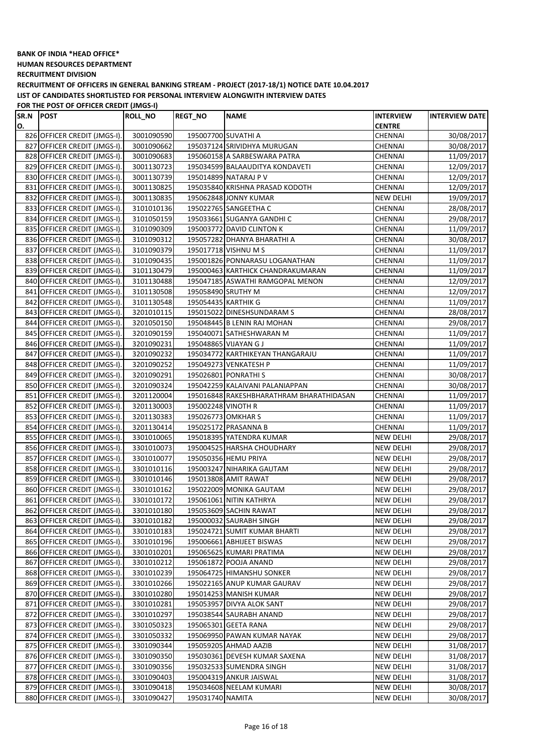**HUMAN RESOURCES DEPARTMENT**

**RECRUITMENT DIVISION**

**RECRUITMENT OF OFFICERS IN GENERAL BANKING STREAM - PROJECT (2017-18/1) NOTICE DATE 10.04.2017 LIST OF CANDIDATES SHORTLISTED FOR PERSONAL INTERVIEW ALONGWITH INTERVIEW DATES**

| SR.N POST |                              | <b>ROLL_NO</b> | <b>REGT_NO</b>     | <b>NAME</b>                              | <b>INTERVIEW</b> | <b>INTERVIEW DATE</b> |
|-----------|------------------------------|----------------|--------------------|------------------------------------------|------------------|-----------------------|
| O.        |                              |                |                    |                                          | <b>CENTRE</b>    |                       |
|           | 826 OFFICER CREDIT (JMGS-I). | 3001090590     |                    | 195007700 SUVATHI A                      | CHENNAI          | 30/08/2017            |
|           | 827 OFFICER CREDIT (JMGS-I). | 3001090662     |                    | 195037124 SRIVIDHYA MURUGAN              | CHENNAI          | 30/08/2017            |
|           | 828 OFFICER CREDIT (JMGS-I). | 3001090683     |                    | 195060158 A SARBESWARA PATRA             | CHENNAI          | 11/09/2017            |
|           | 829 OFFICER CREDIT (JMGS-I). | 3001130723     |                    | 195034599 BALAAUDITYA KONDAVETI          | CHENNAI          | 12/09/2017            |
|           | 830 OFFICER CREDIT (JMGS-I). | 3001130739     |                    | 195014899 NATARAJ P V                    | CHENNAI          | 12/09/2017            |
|           | 831 OFFICER CREDIT (JMGS-I). | 3001130825     |                    | 195035840 KRISHNA PRASAD KODOTH          | CHENNAI          | 12/09/2017            |
|           | 832 OFFICER CREDIT (JMGS-I). | 3001130835     |                    | 195062848 JONNY KUMAR                    | <b>NEW DELHI</b> | 19/09/2017            |
|           | 833 OFFICER CREDIT (JMGS-I). | 3101010136     |                    | 195022765 SANGEETHA C                    | <b>CHENNAI</b>   | 28/08/2017            |
|           | 834 OFFICER CREDIT (JMGS-I). | 3101050159     |                    | 195033661 SUGANYA GANDHI C               | CHENNAI          | 29/08/2017            |
|           | 835 OFFICER CREDIT (JMGS-I). | 3101090309     |                    | 195003772 DAVID CLINTON K                | <b>CHENNAI</b>   | 11/09/2017            |
|           | 836 OFFICER CREDIT (JMGS-I). | 3101090312     |                    | 195057282 DHANYA BHARATHI A              | CHENNAI          | 30/08/2017            |
|           | 837 OFFICER CREDIT (JMGS-I)  | 3101090379     |                    | 195017718 VISHNU M S                     | CHENNAI          | 11/09/2017            |
|           | 838 OFFICER CREDIT (JMGS-I). | 3101090435     |                    | 195001826 PONNARASU LOGANATHAN           | CHENNAI          | 11/09/2017            |
|           | 839 OFFICER CREDIT (JMGS-I). | 3101130479     |                    | 195000463 KARTHICK CHANDRAKUMARAN        | <b>CHENNAI</b>   | 11/09/2017            |
|           | 840 OFFICER CREDIT (JMGS-I). | 3101130488     |                    | 195047185 ASWATHI RAMGOPAL MENON         | <b>CHENNAI</b>   | 12/09/2017            |
|           | 841 OFFICER CREDIT (JMGS-I). | 3101130508     | 195058490 SRUTHY M |                                          | CHENNAI          | 12/09/2017            |
|           | 842 OFFICER CREDIT (JMGS-I). | 3101130548     |                    | 195054435 KARTHIK G                      | CHENNAI          | 11/09/2017            |
|           | 843 OFFICER CREDIT (JMGS-I). | 3201010115     |                    | 195015022 DINESHSUNDARAM S               | CHENNAI          | 28/08/2017            |
|           | 844 OFFICER CREDIT (JMGS-I). | 3201050150     |                    | 195048445 B LENIN RAJ MOHAN              | CHENNAI          | 29/08/2017            |
|           | 845 OFFICER CREDIT (JMGS-I). | 3201090159     |                    | 195040071 SATHESHWARAN M                 | CHENNAI          | 11/09/2017            |
|           | 846 OFFICER CREDIT (JMGS-I). | 3201090231     |                    | 195048865 VIJAYAN G J                    | <b>CHENNAI</b>   | 11/09/2017            |
|           | 847 OFFICER CREDIT (JMGS-I). | 3201090232     |                    | 195034772 KARTHIKEYAN THANGARAJU         | CHENNAI          | 11/09/2017            |
|           | 848 OFFICER CREDIT (JMGS-I). | 3201090252     |                    | 195049273 VENKATESH P                    | CHENNAI          | 11/09/2017            |
|           | 849 OFFICER CREDIT (JMGS-I). | 3201090291     |                    | 195026801 PONRATHI S                     | CHENNAI          | 30/08/2017            |
|           | 850 OFFICER CREDIT (JMGS-I). | 3201090324     |                    | 195042259 KALAIVANI PALANIAPPAN          | <b>CHENNAI</b>   | 30/08/2017            |
|           | 851 OFFICER CREDIT (JMGS-I). | 3201120004     |                    | 195016848 RAKESHBHARATHRAM BHARATHIDASAN | CHENNAI          | 11/09/2017            |
|           | 852 OFFICER CREDIT (JMGS-I). |                |                    |                                          | <b>CHENNAI</b>   |                       |
|           |                              | 3201130003     | 195002248 VINOTH R |                                          |                  | 11/09/2017            |
|           | 853 OFFICER CREDIT (JMGS-I). | 3201130383     | 195026773 OMKHAR S |                                          | CHENNAI          | 11/09/2017            |
|           | 854 OFFICER CREDIT (JMGS-I). | 3201130414     |                    | 195025172 PRASANNA B                     | <b>CHENNAI</b>   | 11/09/2017            |
|           | 855 OFFICER CREDIT (JMGS-I). | 3301010065     |                    | 195018395 YATENDRA KUMAR                 | <b>NEW DELHI</b> | 29/08/2017            |
|           | 856 OFFICER CREDIT (JMGS-I). | 3301010073     |                    | 195004525 HARSHA CHOUDHARY               | <b>NEW DELHI</b> | 29/08/2017            |
| 857       | OFFICER CREDIT (JMGS-I).     | 3301010077     |                    | 195050356 HEMU PRIYA                     | <b>NEW DELHI</b> | 29/08/2017            |
|           | 858 OFFICER CREDIT (JMGS-I). | 3301010116     |                    | 195003247 NIHARIKA GAUTAM                | <b>NEW DELHI</b> | 29/08/2017            |
|           | 859 OFFICER CREDIT (JMGS-I). | 3301010146     |                    | 195013808 AMIT RAWAT                     | NEW DELHI        | 29/08/2017            |
|           | 860 OFFICER CREDIT (JMGS-I). | 3301010162     |                    | 195022009 MONIKA GAUTAM                  | NEW DELHI        | 29/08/2017            |
|           | 861 OFFICER CREDIT (JMGS-I). | 3301010172     |                    | 195061061 NITIN KATHRYA                  | <b>NEW DELHI</b> | 29/08/2017            |
|           | 862 OFFICER CREDIT (JMGS-I). | 3301010180     |                    | 195053609 SACHIN RAWAT                   | <b>NEW DELHI</b> | 29/08/2017            |
|           | 863 OFFICER CREDIT (JMGS-I). | 3301010182     |                    | 195000032 SAURABH SINGH                  | NEW DELHI        | 29/08/2017            |
|           | 864 OFFICER CREDIT (JMGS-I). | 3301010183     |                    | 195024721 SUMIT KUMAR BHARTI             | NEW DELHI        | 29/08/2017            |
|           | 865 OFFICER CREDIT (JMGS-I). | 3301010196     |                    | 195006661 ABHIJEET BISWAS                | <b>NEW DELHI</b> | 29/08/2017            |
|           | 866 OFFICER CREDIT (JMGS-I). | 3301010201     |                    | 195065625 KUMARI PRATIMA                 | <b>NEW DELHI</b> | 29/08/2017            |
|           | 867 OFFICER CREDIT (JMGS-I). | 3301010212     |                    | 195061872 POOJA ANAND                    | NEW DELHI        | 29/08/2017            |
|           | 868 OFFICER CREDIT (JMGS-I). | 3301010239     |                    | 195064725 HIMANSHU SONKER                | <b>NEW DELHI</b> | 29/08/2017            |
|           | 869 OFFICER CREDIT (JMGS-I). | 3301010266     |                    | 195022165 ANUP KUMAR GAURAV              | <b>NEW DELHI</b> | 29/08/2017            |
|           | 870 OFFICER CREDIT (JMGS-I). | 3301010280     |                    | 195014253 MANISH KUMAR                   | <b>NEW DELHI</b> | 29/08/2017            |
|           | 871 OFFICER CREDIT (JMGS-I). | 3301010281     |                    | 195053957 DIVYA ALOK SANT                | NEW DELHI        | 29/08/2017            |
|           | 872 OFFICER CREDIT (JMGS-I). | 3301010297     |                    | 195038544 SAURABH ANAND                  | NEW DELHI        | 29/08/2017            |
|           | 873 OFFICER CREDIT (JMGS-I). | 3301050323     |                    | 195065301 GEETA RANA                     | NEW DELHI        | 29/08/2017            |
|           | 874 OFFICER CREDIT (JMGS-I). | 3301050332     |                    | 195069950 PAWAN KUMAR NAYAK              | <b>NEW DELHI</b> | 29/08/2017            |
|           | 875 OFFICER CREDIT (JMGS-I). | 3301090344     |                    | 195059205 AHMAD AAZIB                    | NEW DELHI        | 31/08/2017            |
|           | 876 OFFICER CREDIT (JMGS-I). | 3301090350     |                    | 195030361 DEVESH KUMAR SAXENA            | NEW DELHI        | 31/08/2017            |
|           | 877 OFFICER CREDIT (JMGS-I). | 3301090356     |                    | 195032533 SUMENDRA SINGH                 | NEW DELHI        | 31/08/2017            |
|           | 878 OFFICER CREDIT (JMGS-I). | 3301090403     |                    | 195004319 ANKUR JAISWAL                  | NEW DELHI        | 31/08/2017            |
|           | 879 OFFICER CREDIT (JMGS-I). | 3301090418     |                    | 195034608 NEELAM KUMARI                  | NEW DELHI        | 30/08/2017            |
|           | 880 OFFICER CREDIT (JMGS-I). | 3301090427     | 195031740 NAMITA   |                                          | <b>NEW DELHI</b> | 30/08/2017            |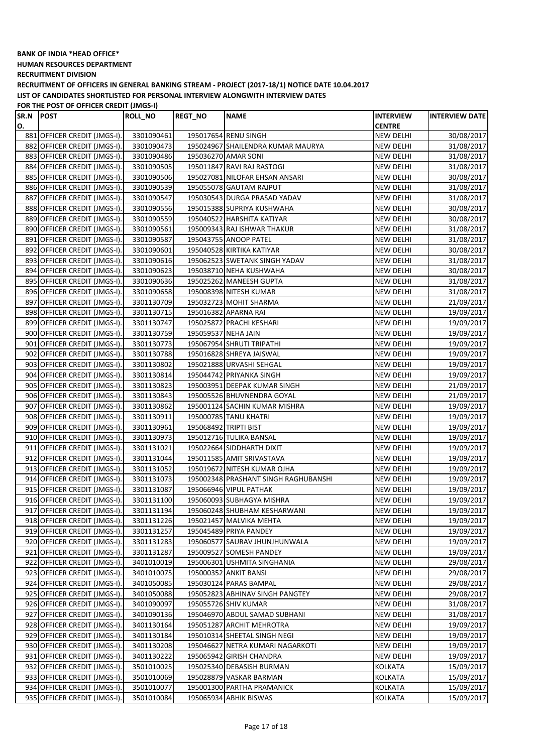**HUMAN RESOURCES DEPARTMENT**

**RECRUITMENT DIVISION**

**RECRUITMENT OF OFFICERS IN GENERAL BANKING STREAM - PROJECT (2017-18/1) NOTICE DATE 10.04.2017 LIST OF CANDIDATES SHORTLISTED FOR PERSONAL INTERVIEW ALONGWITH INTERVIEW DATES**

| SR.N | <b>POST</b>                  | <b>ROLL_NO</b> | <b>REGT_NO</b>        | <b>NAME</b>                          | <b>INTERVIEW</b> | <b>INTERVIEW DATE</b> |
|------|------------------------------|----------------|-----------------------|--------------------------------------|------------------|-----------------------|
| О.   |                              |                |                       |                                      | <b>CENTRE</b>    |                       |
|      | 881 OFFICER CREDIT (JMGS-I). | 3301090461     |                       | 195017654 RENU SINGH                 | NEW DELHI        | 30/08/2017            |
|      | 882 OFFICER CREDIT (JMGS-I). | 3301090473     |                       | 195024967 SHAILENDRA KUMAR MAURYA    | NEW DELHI        | 31/08/2017            |
|      | 883 OFFICER CREDIT (JMGS-I). | 3301090486     |                       | 195036270 AMAR SONI                  | NEW DELHI        | 31/08/2017            |
|      | 884 OFFICER CREDIT (JMGS-I). | 3301090505     |                       | 195011847 RAVI RAJ RASTOGI           | NEW DELHI        | 31/08/2017            |
|      | 885 OFFICER CREDIT (JMGS-I). | 3301090506     |                       | 195027081 NILOFAR EHSAN ANSARI       | NEW DELHI        | 30/08/2017            |
|      | 886 OFFICER CREDIT (JMGS-I). | 3301090539     |                       | 195055078 GAUTAM RAJPUT              | <b>NEW DELHI</b> | 31/08/2017            |
|      | 887 OFFICER CREDIT (JMGS-I). | 3301090547     |                       | 195030543 DURGA PRASAD YADAV         | NEW DELHI        | 31/08/2017            |
|      | 888 OFFICER CREDIT (JMGS-I). | 3301090556     |                       | 195015388 SUPRIYA KUSHWAHA           | <b>NEW DELHI</b> | 30/08/2017            |
|      | 889 OFFICER CREDIT (JMGS-I). | 3301090559     |                       | 195040522 HARSHITA KATIYAR           | <b>NEW DELHI</b> | 30/08/2017            |
|      | 890 OFFICER CREDIT (JMGS-I). | 3301090561     |                       | 195009343 RAJ ISHWAR THAKUR          | <b>NEW DELHI</b> | 31/08/2017            |
|      | 891 OFFICER CREDIT (JMGS-I). | 3301090587     |                       | 195043755 ANOOP PATEL                | <b>NEW DELHI</b> | 31/08/2017            |
|      | 892 OFFICER CREDIT (JMGS-I). | 3301090601     |                       | 195040528 KIRTIKA KATIYAR            | <b>NEW DELHI</b> | 30/08/2017            |
|      | 893 OFFICER CREDIT (JMGS-I). | 3301090616     |                       | 195062523 SWETANK SINGH YADAV        | <b>NEW DELHI</b> | 31/08/2017            |
|      | 894 OFFICER CREDIT (JMGS-I). | 3301090623     |                       | 195038710 NEHA KUSHWAHA              | NEW DELHI        | 30/08/2017            |
|      | 895 OFFICER CREDIT (JMGS-I). | 3301090636     |                       | 195025262 MANEESH GUPTA              | NEW DELHI        | 31/08/2017            |
|      | 896 OFFICER CREDIT (JMGS-I). | 3301090658     |                       | 195008398 NITESH KUMAR               | <b>NEW DELHI</b> | 31/08/2017            |
|      | 897 OFFICER CREDIT (JMGS-I). | 3301130709     |                       | 195032723 MOHIT SHARMA               | <b>NEW DELHI</b> | 21/09/2017            |
|      | 898 OFFICER CREDIT (JMGS-I). | 3301130715     |                       | 195016382 APARNA RAI                 | NEW DELHI        | 19/09/2017            |
|      | 899 OFFICER CREDIT (JMGS-I). | 3301130747     |                       | 195025872 PRACHI KESHARI             | NEW DELHI        | 19/09/2017            |
|      | 900 OFFICER CREDIT (JMGS-I). | 3301130759     | 195059537 NEHA JAIN   |                                      | <b>NEW DELHI</b> | 19/09/2017            |
|      | 901 OFFICER CREDIT (JMGS-I). | 3301130773     |                       | 195067954 SHRUTI TRIPATHI            | <b>NEW DELHI</b> | 19/09/2017            |
|      | 902 OFFICER CREDIT (JMGS-I). | 3301130788     |                       | 195016828 SHREYA JAISWAL             | NEW DELHI        | 19/09/2017            |
|      | 903 OFFICER CREDIT (JMGS-I). | 3301130802     |                       | 195021888 URVASHI SEHGAL             | <b>NEW DELHI</b> | 19/09/2017            |
|      | 904 OFFICER CREDIT (JMGS-I). | 3301130814     |                       | 195044742 PRIYANKA SINGH             | NEW DELHI        | 19/09/2017            |
|      | 905 OFFICER CREDIT (JMGS-I). | 3301130823     |                       | 195003951 DEEPAK KUMAR SINGH         | <b>NEW DELHI</b> | 21/09/2017            |
|      | 906 OFFICER CREDIT (JMGS-I). | 3301130843     |                       | 195005526 BHUVNENDRA GOYAL           | <b>NEW DELHI</b> | 21/09/2017            |
|      | 907 OFFICER CREDIT (JMGS-I). | 3301130862     |                       | 195001124 SACHIN KUMAR MISHRA        | NEW DELHI        | 19/09/2017            |
|      | 908 OFFICER CREDIT (JMGS-I). | 3301130911     |                       | 195000785 TANU KHATRI                | <b>NEW DELHI</b> | 19/09/2017            |
|      | 909 OFFICER CREDIT (JMGS-I). | 3301130961     | 195068492 TRIPTI BIST |                                      | <b>NEW DELHI</b> | 19/09/2017            |
|      | 910 OFFICER CREDIT (JMGS-I). | 3301130973     |                       | 195012716 TULIKA BANSAL              | <b>NEW DELHI</b> | 19/09/2017            |
|      | 911 OFFICER CREDIT (JMGS-I). | 3301131021     |                       | 195022664 SIDDHARTH DIXIT            | <b>NEW DELHI</b> | 19/09/2017            |
|      | 912 OFFICER CREDIT (JMGS-I). | 3301131044     |                       | 195011585 AMIT SRIVASTAVA            | NEW DELHI        | 19/09/2017            |
|      | 913 OFFICER CREDIT (JMGS-I). | 3301131052     |                       | 195019672 NITESH KUMAR OJHA          | NEW DELHI        | 19/09/2017            |
|      | 914 OFFICER CREDIT (JMGS-I). | 3301131073     |                       | 195002348 PRASHANT SINGH RAGHUBANSHI | NEW DELHI        | 19/09/2017            |
|      | 915 OFFICER CREDIT (JMGS-I). | 3301131087     |                       | 195066946 VIPUL PATHAK               | NEW DELHI        | 19/09/2017            |
|      | 916 OFFICER CREDIT (JMGS-I). | 3301131100     |                       | 195060093 SUBHAGYA MISHRA            | NEW DELHI        | 19/09/2017            |
|      | 917 OFFICER CREDIT (JMGS-I). | 3301131194     |                       | 195060248 SHUBHAM KESHARWANI         | <b>NEW DELHI</b> | 19/09/2017            |
|      | 918 OFFICER CREDIT (JMGS-I). | 3301131226     |                       | 195021457 MALVIKA MEHTA              | NEW DELHI        | 19/09/2017            |
|      | 919 OFFICER CREDIT (JMGS-I). | 3301131257     |                       | 195045489 PRIYA PANDEY               | <b>NEW DELHI</b> | 19/09/2017            |
|      | 920 OFFICER CREDIT (JMGS-I). | 3301131283     |                       | 195060577 SAURAV JHUNJHUNWALA        | <b>NEW DELHI</b> | 19/09/2017            |
|      | 921 OFFICER CREDIT (JMGS-I). | 3301131287     |                       | 195009527 SOMESH PANDEY              | NEW DELHI        | 19/09/2017            |
|      | 922 OFFICER CREDIT (JMGS-I). | 3401010019     |                       | 195006301 USHMITA SINGHANIA          | NEW DELHI        | 29/08/2017            |
|      | 923 OFFICER CREDIT (JMGS-I). | 3401010075     |                       | 195000352 ANKIT BANSI                | <b>NEW DELHI</b> | 29/08/2017            |
|      | 924 OFFICER CREDIT (JMGS-I). | 3401050085     |                       | 195030124 PARAS BAMPAL               | <b>NEW DELHI</b> | 29/08/2017            |
|      | 925 OFFICER CREDIT (JMGS-I). | 3401050088     |                       | 195052823 ABHINAV SINGH PANGTEY      | <b>NEW DELHI</b> | 29/08/2017            |
|      | 926 OFFICER CREDIT (JMGS-I). | 3401090097     |                       | 195055726 SHIV KUMAR                 | <b>NEW DELHI</b> | 31/08/2017            |
|      | 927 OFFICER CREDIT (JMGS-I). | 3401090136     |                       | 195046970 ABDUL SAMAD SUBHANI        | <b>NEW DELHI</b> | 31/08/2017            |
|      | 928 OFFICER CREDIT (JMGS-I). | 3401130164     |                       | 195051287 ARCHIT MEHROTRA            | NEW DELHI        | 19/09/2017            |
|      | 929 OFFICER CREDIT (JMGS-I). | 3401130184     |                       | 195010314 SHEETAL SINGH NEGI         | <b>NEW DELHI</b> | 19/09/2017            |
|      | 930 OFFICER CREDIT (JMGS-I). | 3401130208     |                       | 195046627 NETRA KUMARI NAGARKOTI     | NEW DELHI        | 19/09/2017            |
|      | 931 OFFICER CREDIT (JMGS-I). | 3401130222     |                       | 195065942 GIRISH CHANDRA             | NEW DELHI        | 19/09/2017            |
|      | 932 OFFICER CREDIT (JMGS-I). | 3501010025     |                       | 195025340 DEBASISH BURMAN            | KOLKATA          | 15/09/2017            |
|      | 933 OFFICER CREDIT (JMGS-I). | 3501010069     |                       | 195028879 VASKAR BARMAN              | KOLKATA          | 15/09/2017            |
|      | 934 OFFICER CREDIT (JMGS-I). | 3501010077     |                       | 195001300 PARTHA PRAMANICK           | KOLKATA          | 15/09/2017            |
|      | 935 OFFICER CREDIT (JMGS-I). | 3501010084     |                       | 195065934 ABHIK BISWAS               | KOLKATA          | 15/09/2017            |